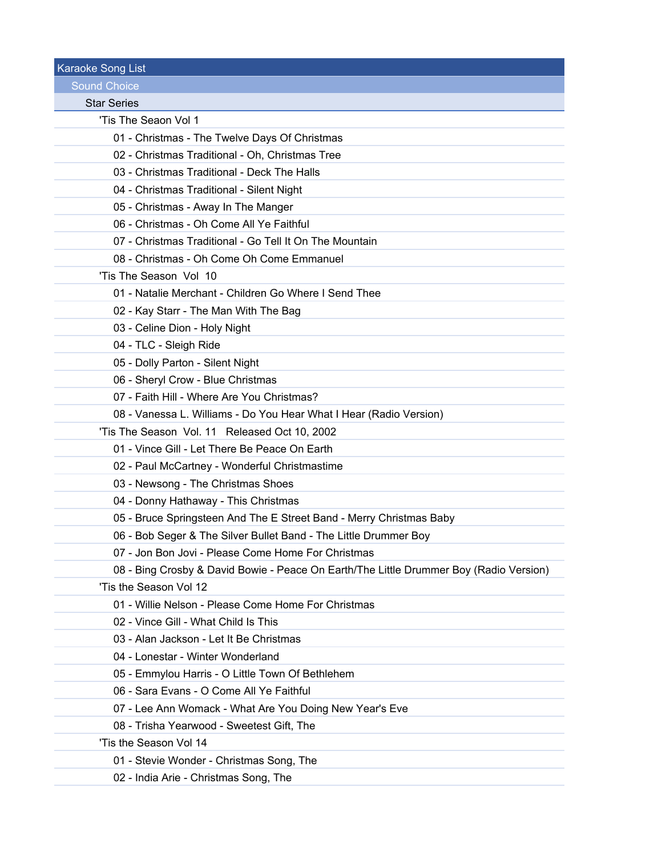Karaoke Song List Sound Choice Star Series 'Tis The Seaon Vol 1 01 - Christmas - The Twelve Days Of Christmas 02 - Christmas Traditional - Oh, Christmas Tree 03 - Christmas Traditional - Deck The Halls 04 - Christmas Traditional - Silent Night 05 - Christmas - Away In The Manger 06 - Christmas - Oh Come All Ye Faithful 07 - Christmas Traditional - Go Tell It On The Mountain 08 - Christmas - Oh Come Oh Come Emmanuel 'Tis The Season Vol 10 01 - Natalie Merchant - Children Go Where I Send Thee 02 - Kay Starr - The Man With The Bag 03 - Celine Dion - Holy Night 04 - TLC - Sleigh Ride 05 - Dolly Parton - Silent Night 06 - Sheryl Crow - Blue Christmas 07 - Faith Hill - Where Are You Christmas? 08 - Vanessa L. Williams - Do You Hear What I Hear (Radio Version) 'Tis The Season Vol. 11 Released Oct 10, 2002 01 - Vince Gill - Let There Be Peace On Earth 02 - Paul McCartney - Wonderful Christmastime 03 - Newsong - The Christmas Shoes 04 - Donny Hathaway - This Christmas 05 - Bruce Springsteen And The E Street Band - Merry Christmas Baby 06 - Bob Seger & The Silver Bullet Band - The Little Drummer Boy 07 - Jon Bon Jovi - Please Come Home For Christmas 08 - Bing Crosby & David Bowie - Peace On Earth/The Little Drummer Boy (Radio Version) 'Tis the Season Vol 12 01 - Willie Nelson - Please Come Home For Christmas 02 - Vince Gill - What Child Is This 03 - Alan Jackson - Let It Be Christmas 04 - Lonestar - Winter Wonderland 05 - Emmylou Harris - O Little Town Of Bethlehem 06 - Sara Evans - O Come All Ye Faithful 07 - Lee Ann Womack - What Are You Doing New Year's Eve 08 - Trisha Yearwood - Sweetest Gift, The 'Tis the Season Vol 14 01 - Stevie Wonder - Christmas Song, The 02 - India Arie - Christmas Song, The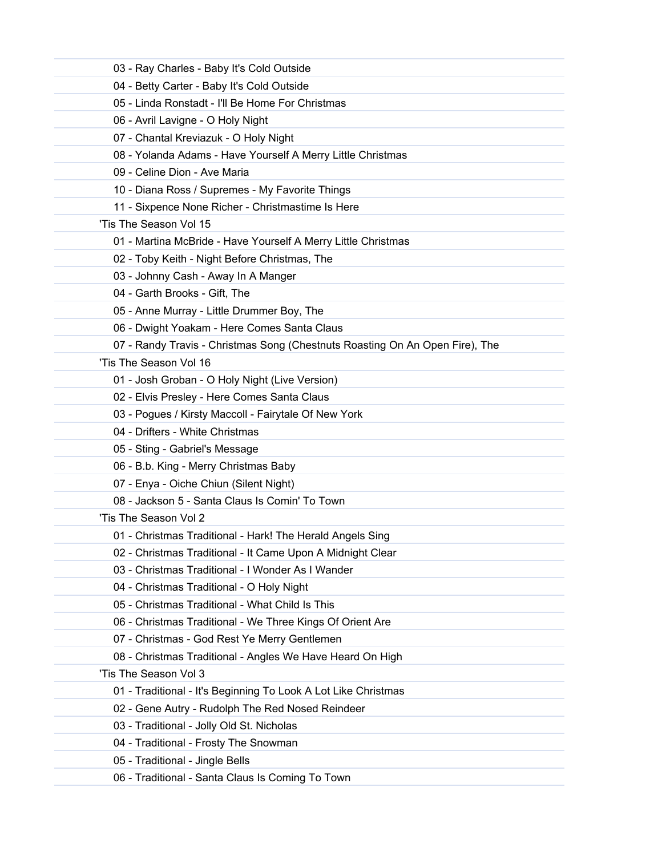| 03 - Ray Charles - Baby It's Cold Outside                                    |  |
|------------------------------------------------------------------------------|--|
|                                                                              |  |
| 04 - Betty Carter - Baby It's Cold Outside                                   |  |
| 05 - Linda Ronstadt - I'll Be Home For Christmas                             |  |
| 06 - Avril Lavigne - O Holy Night                                            |  |
| 07 - Chantal Kreviazuk - O Holy Night                                        |  |
| 08 - Yolanda Adams - Have Yourself A Merry Little Christmas                  |  |
| 09 - Celine Dion - Ave Maria                                                 |  |
| 10 - Diana Ross / Supremes - My Favorite Things                              |  |
| 11 - Sixpence None Richer - Christmastime Is Here                            |  |
| 'Tis The Season Vol 15                                                       |  |
| 01 - Martina McBride - Have Yourself A Merry Little Christmas                |  |
| 02 - Toby Keith - Night Before Christmas, The                                |  |
| 03 - Johnny Cash - Away In A Manger                                          |  |
| 04 - Garth Brooks - Gift, The                                                |  |
| 05 - Anne Murray - Little Drummer Boy, The                                   |  |
| 06 - Dwight Yoakam - Here Comes Santa Claus                                  |  |
| 07 - Randy Travis - Christmas Song (Chestnuts Roasting On An Open Fire), The |  |
| 'Tis The Season Vol 16                                                       |  |
| 01 - Josh Groban - O Holy Night (Live Version)                               |  |
| 02 - Elvis Presley - Here Comes Santa Claus                                  |  |
| 03 - Pogues / Kirsty Maccoll - Fairytale Of New York                         |  |
| 04 - Drifters - White Christmas                                              |  |
|                                                                              |  |
| 05 - Sting - Gabriel's Message                                               |  |
| 06 - B.b. King - Merry Christmas Baby                                        |  |
| 07 - Enya - Oiche Chiun (Silent Night)                                       |  |
| 08 - Jackson 5 - Santa Claus Is Comin' To Town                               |  |
| 'Tis The Season Vol 2                                                        |  |
| 01 - Christmas Traditional - Hark! The Herald Angels Sing                    |  |
| 02 - Christmas Traditional - It Came Upon A Midnight Clear                   |  |
| 03 - Christmas Traditional - I Wonder As I Wander                            |  |
| 04 - Christmas Traditional - O Holy Night                                    |  |
| 05 - Christmas Traditional - What Child Is This                              |  |
| 06 - Christmas Traditional - We Three Kings Of Orient Are                    |  |
| 07 - Christmas - God Rest Ye Merry Gentlemen                                 |  |
| 08 - Christmas Traditional - Angles We Have Heard On High                    |  |
| 'Tis The Season Vol 3                                                        |  |
| 01 - Traditional - It's Beginning To Look A Lot Like Christmas               |  |
| 02 - Gene Autry - Rudolph The Red Nosed Reindeer                             |  |
| 03 - Traditional - Jolly Old St. Nicholas                                    |  |
| 04 - Traditional - Frosty The Snowman                                        |  |
| 05 - Traditional - Jingle Bells                                              |  |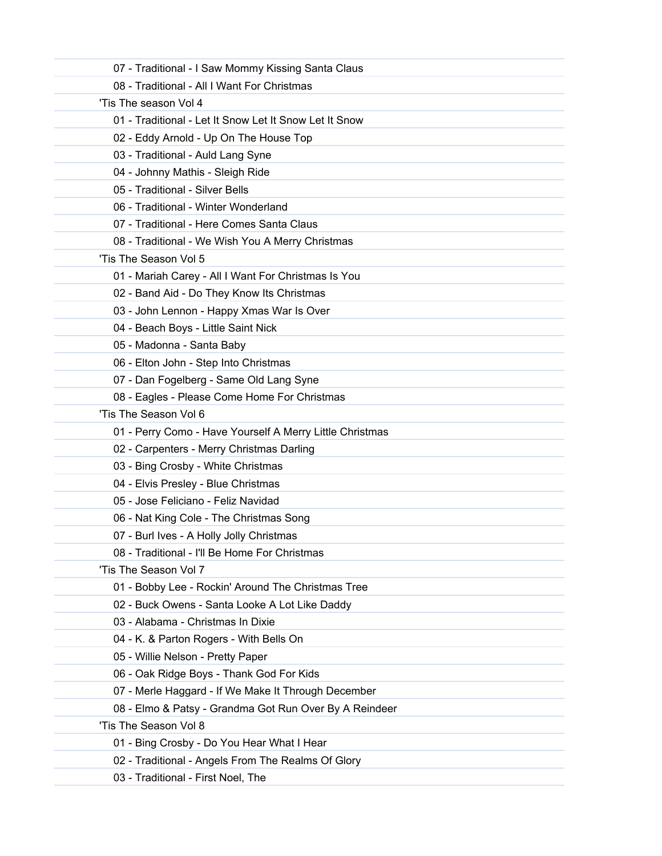| 07 - Traditional - I Saw Mommy Kissing Santa Claus       |
|----------------------------------------------------------|
| 08 - Traditional - All I Want For Christmas              |
| 'Tis The season Vol 4                                    |
| 01 - Traditional - Let It Snow Let It Snow Let It Snow   |
| 02 - Eddy Arnold - Up On The House Top                   |
| 03 - Traditional - Auld Lang Syne                        |
| 04 - Johnny Mathis - Sleigh Ride                         |
| 05 - Traditional - Silver Bells                          |
| 06 - Traditional - Winter Wonderland                     |
| 07 - Traditional - Here Comes Santa Claus                |
| 08 - Traditional - We Wish You A Merry Christmas         |
| 'Tis The Season Vol 5                                    |
| 01 - Mariah Carey - All I Want For Christmas Is You      |
| 02 - Band Aid - Do They Know Its Christmas               |
| 03 - John Lennon - Happy Xmas War Is Over                |
| 04 - Beach Boys - Little Saint Nick                      |
| 05 - Madonna - Santa Baby                                |
| 06 - Elton John - Step Into Christmas                    |
| 07 - Dan Fogelberg - Same Old Lang Syne                  |
| 08 - Eagles - Please Come Home For Christmas             |
| 'Tis The Season Vol 6                                    |
| 01 - Perry Como - Have Yourself A Merry Little Christmas |
| 02 - Carpenters - Merry Christmas Darling                |
| 03 - Bing Crosby - White Christmas                       |
| 04 - Elvis Presley - Blue Christmas                      |
| 05 - Jose Feliciano - Feliz Navidad                      |
| 06 - Nat King Cole - The Christmas Song                  |
| 07 - Burl Ives - A Holly Jolly Christmas                 |
| 08 - Traditional - I'll Be Home For Christmas            |
| 'Tis The Season Vol 7                                    |
| 01 - Bobby Lee - Rockin' Around The Christmas Tree       |
| 02 - Buck Owens - Santa Looke A Lot Like Daddy           |
| 03 - Alabama - Christmas In Dixie                        |
| 04 - K. & Parton Rogers - With Bells On                  |
| 05 - Willie Nelson - Pretty Paper                        |
| 06 - Oak Ridge Boys - Thank God For Kids                 |
| 07 - Merle Haggard - If We Make It Through December      |
| 08 - Elmo & Patsy - Grandma Got Run Over By A Reindeer   |
| 'Tis The Season Vol 8                                    |
| 01 - Bing Crosby - Do You Hear What I Hear               |
| 02 - Traditional - Angels From The Realms Of Glory       |
| 03 - Traditional - First Noel, The                       |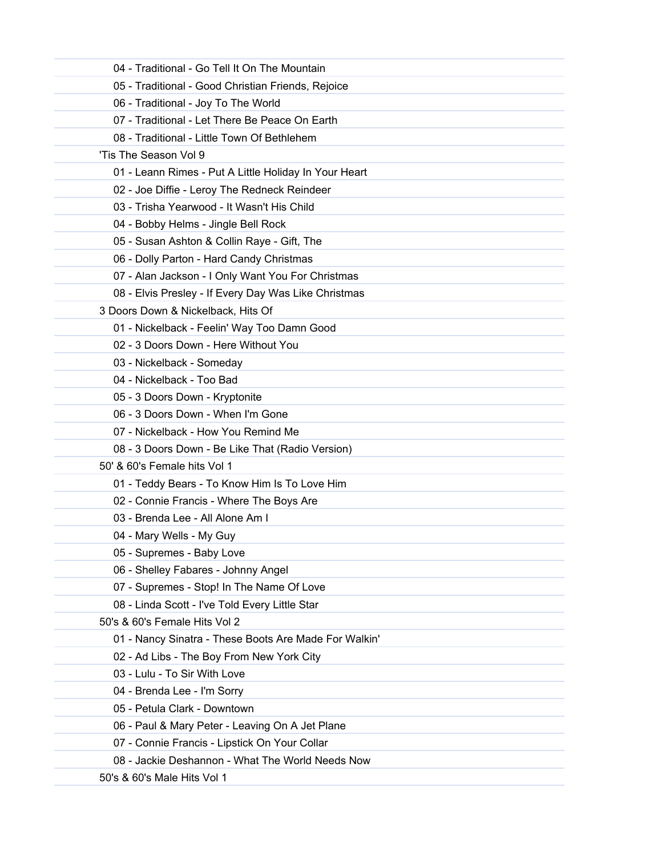| 04 - Traditional - Go Tell It On The Mountain         |
|-------------------------------------------------------|
| 05 - Traditional - Good Christian Friends, Rejoice    |
| 06 - Traditional - Joy To The World                   |
| 07 - Traditional - Let There Be Peace On Earth        |
| 08 - Traditional - Little Town Of Bethlehem           |
| 'Tis The Season Vol 9                                 |
| 01 - Leann Rimes - Put A Little Holiday In Your Heart |
| 02 - Joe Diffie - Leroy The Redneck Reindeer          |
| 03 - Trisha Yearwood - It Wasn't His Child            |
| 04 - Bobby Helms - Jingle Bell Rock                   |
| 05 - Susan Ashton & Collin Raye - Gift, The           |
| 06 - Dolly Parton - Hard Candy Christmas              |
| 07 - Alan Jackson - I Only Want You For Christmas     |
| 08 - Elvis Presley - If Every Day Was Like Christmas  |
| 3 Doors Down & Nickelback, Hits Of                    |
| 01 - Nickelback - Feelin' Way Too Damn Good           |
| 02 - 3 Doors Down - Here Without You                  |
| 03 - Nickelback - Someday                             |
| 04 - Nickelback - Too Bad                             |
| 05 - 3 Doors Down - Kryptonite                        |
| 06 - 3 Doors Down - When I'm Gone                     |
| 07 - Nickelback - How You Remind Me                   |
| 08 - 3 Doors Down - Be Like That (Radio Version)      |
| 50' & 60's Female hits Vol 1                          |
| 01 - Teddy Bears - To Know Him Is To Love Him         |
| 02 - Connie Francis - Where The Boys Are              |
| 03 - Brenda Lee - All Alone Am I                      |
| 04 - Mary Wells - My Guy                              |
| 05 - Supremes - Baby Love                             |
| 06 - Shelley Fabares - Johnny Angel                   |
| 07 - Supremes - Stop! In The Name Of Love             |
| 08 - Linda Scott - I've Told Every Little Star        |
| 50's & 60's Female Hits Vol 2                         |
| 01 - Nancy Sinatra - These Boots Are Made For Walkin' |
| 02 - Ad Libs - The Boy From New York City             |
| 03 - Lulu - To Sir With Love                          |
| 04 - Brenda Lee - I'm Sorry                           |
| 05 - Petula Clark - Downtown                          |
| 06 - Paul & Mary Peter - Leaving On A Jet Plane       |
| 07 - Connie Francis - Lipstick On Your Collar         |
| 08 - Jackie Deshannon - What The World Needs Now      |
| 50's & 60's Male Hits Vol 1                           |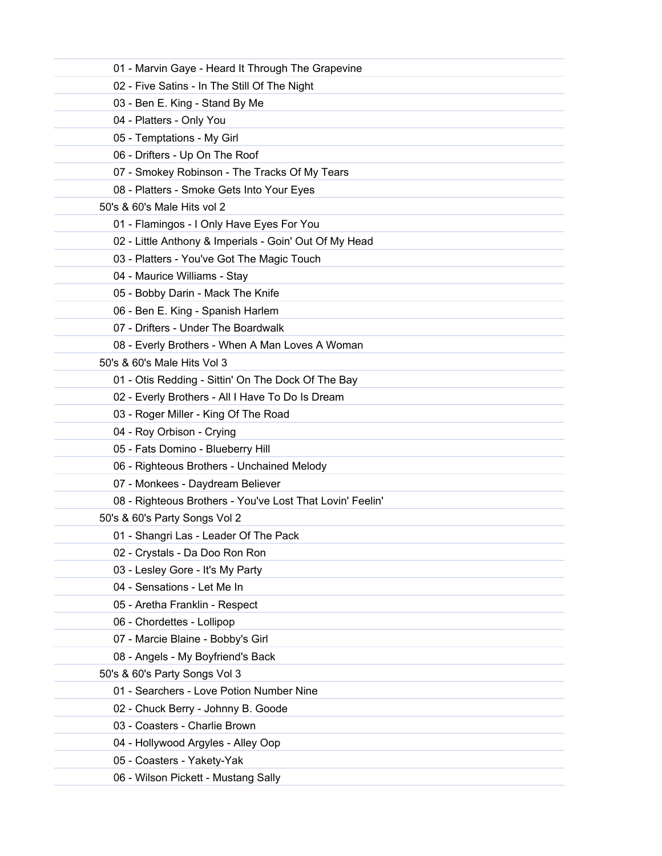| 01 - Marvin Gaye - Heard It Through The Grapevine         |
|-----------------------------------------------------------|
| 02 - Five Satins - In The Still Of The Night              |
| 03 - Ben E. King - Stand By Me                            |
| 04 - Platters - Only You                                  |
| 05 - Temptations - My Girl                                |
| 06 - Drifters - Up On The Roof                            |
| 07 - Smokey Robinson - The Tracks Of My Tears             |
| 08 - Platters - Smoke Gets Into Your Eyes                 |
| 50's & 60's Male Hits vol 2                               |
| 01 - Flamingos - I Only Have Eyes For You                 |
| 02 - Little Anthony & Imperials - Goin' Out Of My Head    |
| 03 - Platters - You've Got The Magic Touch                |
| 04 - Maurice Williams - Stay                              |
| 05 - Bobby Darin - Mack The Knife                         |
| 06 - Ben E. King - Spanish Harlem                         |
| 07 - Drifters - Under The Boardwalk                       |
| 08 - Everly Brothers - When A Man Loves A Woman           |
| 50's & 60's Male Hits Vol 3                               |
| 01 - Otis Redding - Sittin' On The Dock Of The Bay        |
| 02 - Everly Brothers - All I Have To Do Is Dream          |
| 03 - Roger Miller - King Of The Road                      |
| 04 - Roy Orbison - Crying                                 |
| 05 - Fats Domino - Blueberry Hill                         |
| 06 - Righteous Brothers - Unchained Melody                |
| 07 - Monkees - Daydream Believer                          |
| 08 - Righteous Brothers - You've Lost That Lovin' Feelin' |
| 50's & 60's Party Songs Vol 2                             |
| 01 - Shangri Las - Leader Of The Pack                     |
| 02 - Crystals - Da Doo Ron Ron                            |
| 03 - Lesley Gore - It's My Party                          |
| 04 - Sensations - Let Me In                               |
| 05 - Aretha Franklin - Respect                            |
| 06 - Chordettes - Lollipop                                |
| 07 - Marcie Blaine - Bobby's Girl                         |
| 08 - Angels - My Boyfriend's Back                         |
| 50's & 60's Party Songs Vol 3                             |
| 01 - Searchers - Love Potion Number Nine                  |
| 02 - Chuck Berry - Johnny B. Goode                        |
| 03 - Coasters - Charlie Brown                             |
| 04 - Hollywood Argyles - Alley Oop                        |
| 05 - Coasters - Yakety-Yak                                |
| 06 - Wilson Pickett - Mustang Sally                       |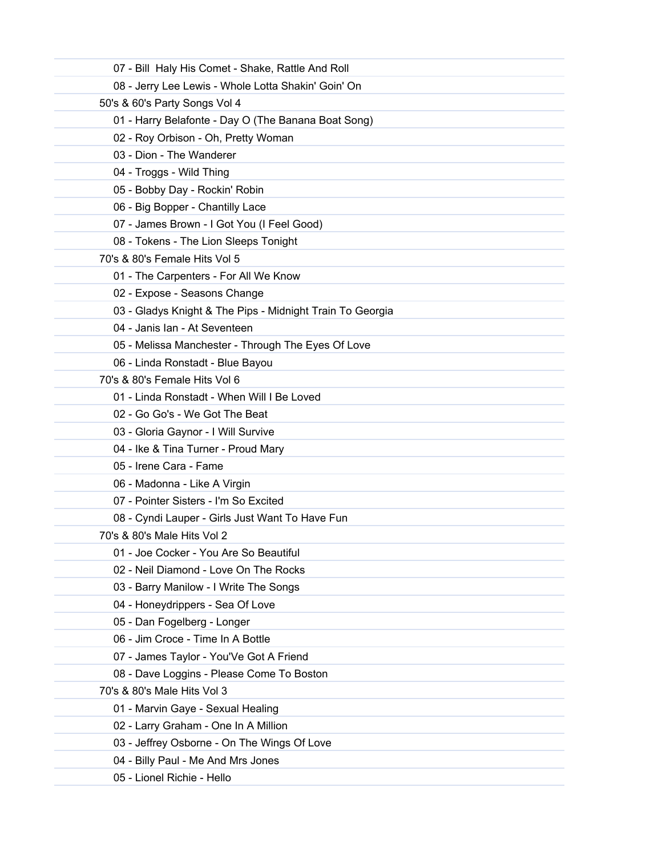| 07 - Bill Haly His Comet - Shake, Rattle And Roll         |
|-----------------------------------------------------------|
| 08 - Jerry Lee Lewis - Whole Lotta Shakin' Goin' On       |
| 50's & 60's Party Songs Vol 4                             |
| 01 - Harry Belafonte - Day O (The Banana Boat Song)       |
| 02 - Roy Orbison - Oh, Pretty Woman                       |
| 03 - Dion - The Wanderer                                  |
| 04 - Troggs - Wild Thing                                  |
| 05 - Bobby Day - Rockin' Robin                            |
| 06 - Big Bopper - Chantilly Lace                          |
| 07 - James Brown - I Got You (I Feel Good)                |
| 08 - Tokens - The Lion Sleeps Tonight                     |
| 70's & 80's Female Hits Vol 5                             |
| 01 - The Carpenters - For All We Know                     |
| 02 - Expose - Seasons Change                              |
| 03 - Gladys Knight & The Pips - Midnight Train To Georgia |
| 04 - Janis Ian - At Seventeen                             |
| 05 - Melissa Manchester - Through The Eyes Of Love        |
| 06 - Linda Ronstadt - Blue Bayou                          |
| 70's & 80's Female Hits Vol 6                             |
| 01 - Linda Ronstadt - When Will I Be Loved                |
| 02 - Go Go's - We Got The Beat                            |
| 03 - Gloria Gaynor - I Will Survive                       |
| 04 - Ike & Tina Turner - Proud Mary                       |
| 05 - Irene Cara - Fame                                    |
| 06 - Madonna - Like A Virgin                              |
| 07 - Pointer Sisters - I'm So Excited                     |
| 08 - Cyndi Lauper - Girls Just Want To Have Fun           |
| 70's & 80's Male Hits Vol 2                               |
| 01 - Joe Cocker - You Are So Beautiful                    |
| 02 - Neil Diamond - Love On The Rocks                     |
| 03 - Barry Manilow - I Write The Songs                    |
| 04 - Honeydrippers - Sea Of Love                          |
| 05 - Dan Fogelberg - Longer                               |
| 06 - Jim Croce - Time In A Bottle                         |
| 07 - James Taylor - You'Ve Got A Friend                   |
| 08 - Dave Loggins - Please Come To Boston                 |
| 70's & 80's Male Hits Vol 3                               |
| 01 - Marvin Gaye - Sexual Healing                         |
| 02 - Larry Graham - One In A Million                      |
| 03 - Jeffrey Osborne - On The Wings Of Love               |
| 04 - Billy Paul - Me And Mrs Jones                        |
| 05 - Lionel Richie - Hello                                |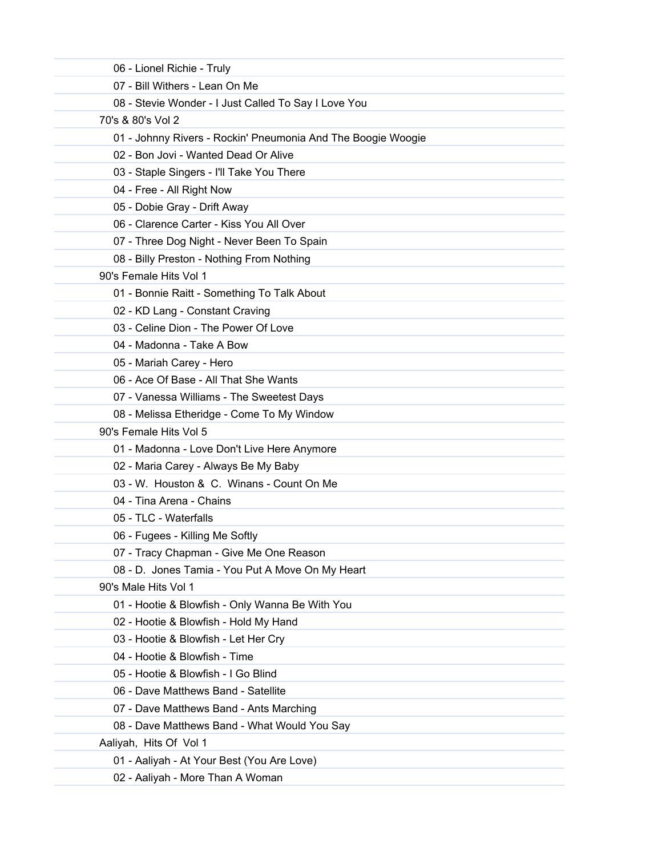| 06 - Lionel Richie - Truly                                   |
|--------------------------------------------------------------|
| 07 - Bill Withers - Lean On Me                               |
| 08 - Stevie Wonder - I Just Called To Say I Love You         |
| 70's & 80's Vol 2                                            |
| 01 - Johnny Rivers - Rockin' Pneumonia And The Boogie Woogie |
| 02 - Bon Jovi - Wanted Dead Or Alive                         |
| 03 - Staple Singers - I'll Take You There                    |
| 04 - Free - All Right Now                                    |
| 05 - Dobie Gray - Drift Away                                 |
| 06 - Clarence Carter - Kiss You All Over                     |
| 07 - Three Dog Night - Never Been To Spain                   |
| 08 - Billy Preston - Nothing From Nothing                    |
| 90's Female Hits Vol 1                                       |
| 01 - Bonnie Raitt - Something To Talk About                  |
| 02 - KD Lang - Constant Craving                              |
| 03 - Celine Dion - The Power Of Love                         |
| 04 - Madonna - Take A Bow                                    |
| 05 - Mariah Carey - Hero                                     |
| 06 - Ace Of Base - All That She Wants                        |
| 07 - Vanessa Williams - The Sweetest Days                    |
| 08 - Melissa Etheridge - Come To My Window                   |
| 90's Female Hits Vol 5                                       |
| 01 - Madonna - Love Don't Live Here Anymore                  |
| 02 - Maria Carey - Always Be My Baby                         |
| 03 - W. Houston & C. Winans - Count On Me                    |
| 04 - Tina Arena - Chains                                     |
| 05 - TLC - Waterfalls                                        |
| 06 - Fugees - Killing Me Softly                              |
| 07 - Tracy Chapman - Give Me One Reason                      |
| 08 - D. Jones Tamia - You Put A Move On My Heart             |
| 90's Male Hits Vol 1                                         |
| 01 - Hootie & Blowfish - Only Wanna Be With You              |
| 02 - Hootie & Blowfish - Hold My Hand                        |
| 03 - Hootie & Blowfish - Let Her Cry                         |
| 04 - Hootie & Blowfish - Time                                |
| 05 - Hootie & Blowfish - I Go Blind                          |
| 06 - Dave Matthews Band - Satellite                          |
| 07 - Dave Matthews Band - Ants Marching                      |
| 08 - Dave Matthews Band - What Would You Say                 |
| Aaliyah, Hits Of Vol 1                                       |
| 01 - Aaliyah - At Your Best (You Are Love)                   |
| 02 - Aaliyah - More Than A Woman                             |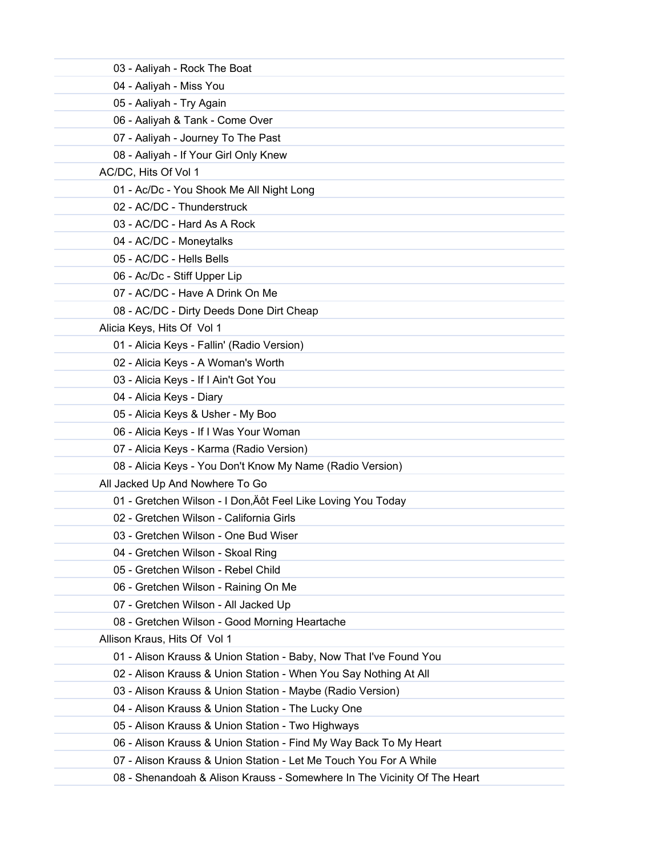| 03 - Aaliyah - Rock The Boat                                             |  |
|--------------------------------------------------------------------------|--|
| 04 - Aaliyah - Miss You                                                  |  |
| 05 - Aaliyah - Try Again                                                 |  |
| 06 - Aaliyah & Tank - Come Over                                          |  |
| 07 - Aaliyah - Journey To The Past                                       |  |
| 08 - Aaliyah - If Your Girl Only Knew                                    |  |
| AC/DC, Hits Of Vol 1                                                     |  |
| 01 - Ac/Dc - You Shook Me All Night Long                                 |  |
| 02 - AC/DC - Thunderstruck                                               |  |
| 03 - AC/DC - Hard As A Rock                                              |  |
| 04 - AC/DC - Moneytalks                                                  |  |
| 05 - AC/DC - Hells Bells                                                 |  |
| 06 - Ac/Dc - Stiff Upper Lip                                             |  |
| 07 - AC/DC - Have A Drink On Me                                          |  |
| 08 - AC/DC - Dirty Deeds Done Dirt Cheap                                 |  |
| Alicia Keys, Hits Of Vol 1                                               |  |
| 01 - Alicia Keys - Fallin' (Radio Version)                               |  |
| 02 - Alicia Keys - A Woman's Worth                                       |  |
| 03 - Alicia Keys - If I Ain't Got You                                    |  |
| 04 - Alicia Keys - Diary                                                 |  |
| 05 - Alicia Keys & Usher - My Boo                                        |  |
| 06 - Alicia Keys - If I Was Your Woman                                   |  |
| 07 - Alicia Keys - Karma (Radio Version)                                 |  |
| 08 - Alicia Keys - You Don't Know My Name (Radio Version)                |  |
| All Jacked Up And Nowhere To Go                                          |  |
| 01 - Gretchen Wilson - I Don, Äôt Feel Like Loving You Today             |  |
| 02 - Gretchen Wilson - California Girls                                  |  |
| 03 - Gretchen Wilson - One Bud Wiser                                     |  |
| 04 - Gretchen Wilson - Skoal Ring                                        |  |
| 05 - Gretchen Wilson - Rebel Child                                       |  |
| 06 - Gretchen Wilson - Raining On Me                                     |  |
| 07 - Gretchen Wilson - All Jacked Up                                     |  |
| 08 - Gretchen Wilson - Good Morning Heartache                            |  |
| Allison Kraus, Hits Of Vol 1                                             |  |
| 01 - Alison Krauss & Union Station - Baby, Now That I've Found You       |  |
| 02 - Alison Krauss & Union Station - When You Say Nothing At All         |  |
| 03 - Alison Krauss & Union Station - Maybe (Radio Version)               |  |
| 04 - Alison Krauss & Union Station - The Lucky One                       |  |
| 05 - Alison Krauss & Union Station - Two Highways                        |  |
| 06 - Alison Krauss & Union Station - Find My Way Back To My Heart        |  |
| 07 - Alison Krauss & Union Station - Let Me Touch You For A While        |  |
| 08 - Shenandoah & Alison Krauss - Somewhere In The Vicinity Of The Heart |  |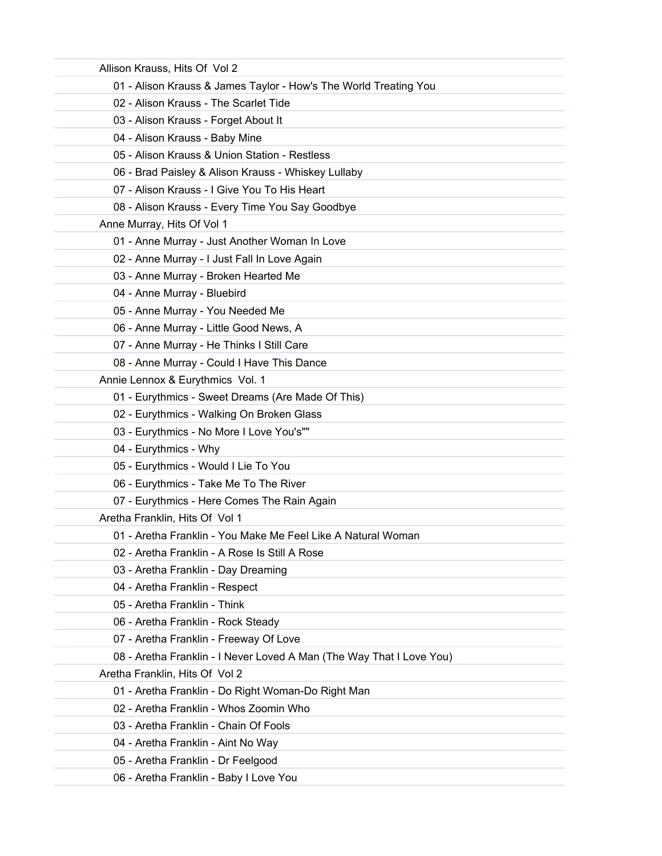| Allison Krauss, Hits Of Vol 2                                        |
|----------------------------------------------------------------------|
| 01 - Alison Krauss & James Taylor - How's The World Treating You     |
| 02 - Alison Krauss - The Scarlet Tide                                |
| 03 - Alison Krauss - Forget About It                                 |
| 04 - Alison Krauss - Baby Mine                                       |
| 05 - Alison Krauss & Union Station - Restless                        |
| 06 - Brad Paisley & Alison Krauss - Whiskey Lullaby                  |
| 07 - Alison Krauss - I Give You To His Heart                         |
| 08 - Alison Krauss - Every Time You Say Goodbye                      |
| Anne Murray, Hits Of Vol 1                                           |
| 01 - Anne Murray - Just Another Woman In Love                        |
| 02 - Anne Murray - I Just Fall In Love Again                         |
| 03 - Anne Murray - Broken Hearted Me                                 |
| 04 - Anne Murray - Bluebird                                          |
| 05 - Anne Murray - You Needed Me                                     |
| 06 - Anne Murray - Little Good News, A                               |
| 07 - Anne Murray - He Thinks I Still Care                            |
| 08 - Anne Murray - Could I Have This Dance                           |
| Annie Lennox & Eurythmics Vol. 1                                     |
| 01 - Eurythmics - Sweet Dreams (Are Made Of This)                    |
| 02 - Eurythmics - Walking On Broken Glass                            |
| 03 - Eurythmics - No More I Love You's""                             |
| 04 - Eurythmics - Why                                                |
| 05 - Eurythmics - Would I Lie To You                                 |
| 06 - Eurythmics - Take Me To The River                               |
| 07 - Eurythmics - Here Comes The Rain Again                          |
| Aretha Franklin, Hits Of Vol 1                                       |
| 01 - Aretha Franklin - You Make Me Feel Like A Natural Woman         |
| 02 - Aretha Franklin - A Rose Is Still A Rose                        |
| 03 - Aretha Franklin - Day Dreaming                                  |
| 04 - Aretha Franklin - Respect                                       |
| 05 - Aretha Franklin - Think                                         |
| 06 - Aretha Franklin - Rock Steady                                   |
| 07 - Aretha Franklin - Freeway Of Love                               |
| 08 - Aretha Franklin - I Never Loved A Man (The Way That I Love You) |
| Aretha Franklin, Hits Of Vol 2                                       |
| 01 - Aretha Franklin - Do Right Woman-Do Right Man                   |
| 02 - Aretha Franklin - Whos Zoomin Who                               |
| 03 - Aretha Franklin - Chain Of Fools                                |
| 04 - Aretha Franklin - Aint No Way                                   |
| 05 - Aretha Franklin - Dr Feelgood                                   |
| 06 - Aretha Franklin - Baby I Love You                               |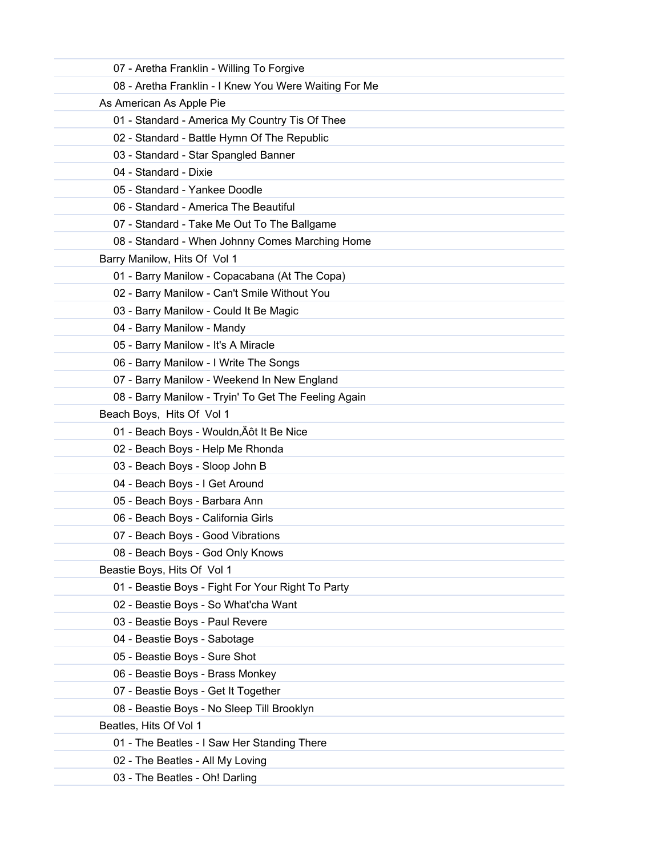| 07 - Aretha Franklin - Willing To Forgive             |
|-------------------------------------------------------|
| 08 - Aretha Franklin - I Knew You Were Waiting For Me |
| As American As Apple Pie                              |
| 01 - Standard - America My Country Tis Of Thee        |
| 02 - Standard - Battle Hymn Of The Republic           |
| 03 - Standard - Star Spangled Banner                  |
| 04 - Standard - Dixie                                 |
| 05 - Standard - Yankee Doodle                         |
| 06 - Standard - America The Beautiful                 |
| 07 - Standard - Take Me Out To The Ballgame           |
| 08 - Standard - When Johnny Comes Marching Home       |
| Barry Manilow, Hits Of Vol 1                          |
| 01 - Barry Manilow - Copacabana (At The Copa)         |
| 02 - Barry Manilow - Can't Smile Without You          |
| 03 - Barry Manilow - Could It Be Magic                |
| 04 - Barry Manilow - Mandy                            |
| 05 - Barry Manilow - It's A Miracle                   |
| 06 - Barry Manilow - I Write The Songs                |
| 07 - Barry Manilow - Weekend In New England           |
| 08 - Barry Manilow - Tryin' To Get The Feeling Again  |
| Beach Boys, Hits Of Vol 1                             |
| 01 - Beach Boys - Wouldn, Äôt It Be Nice              |
| 02 - Beach Boys - Help Me Rhonda                      |
| 03 - Beach Boys - Sloop John B                        |
| 04 - Beach Boys - I Get Around                        |
| 05 - Beach Boys - Barbara Ann                         |
| 06 - Beach Boys - California Girls                    |
| 07 - Beach Boys - Good Vibrations                     |
| 08 - Beach Boys - God Only Knows                      |
| Beastie Boys, Hits Of Vol 1                           |
| 01 - Beastie Boys - Fight For Your Right To Party     |
| 02 - Beastie Boys - So What'cha Want                  |
| 03 - Beastie Boys - Paul Revere                       |
| 04 - Beastie Boys - Sabotage                          |
| 05 - Beastie Boys - Sure Shot                         |
| 06 - Beastie Boys - Brass Monkey                      |
| 07 - Beastie Boys - Get It Together                   |
| 08 - Beastie Boys - No Sleep Till Brooklyn            |
| Beatles, Hits Of Vol 1                                |
| 01 - The Beatles - I Saw Her Standing There           |
| 02 - The Beatles - All My Loving                      |
| 03 - The Beatles - Oh! Darling                        |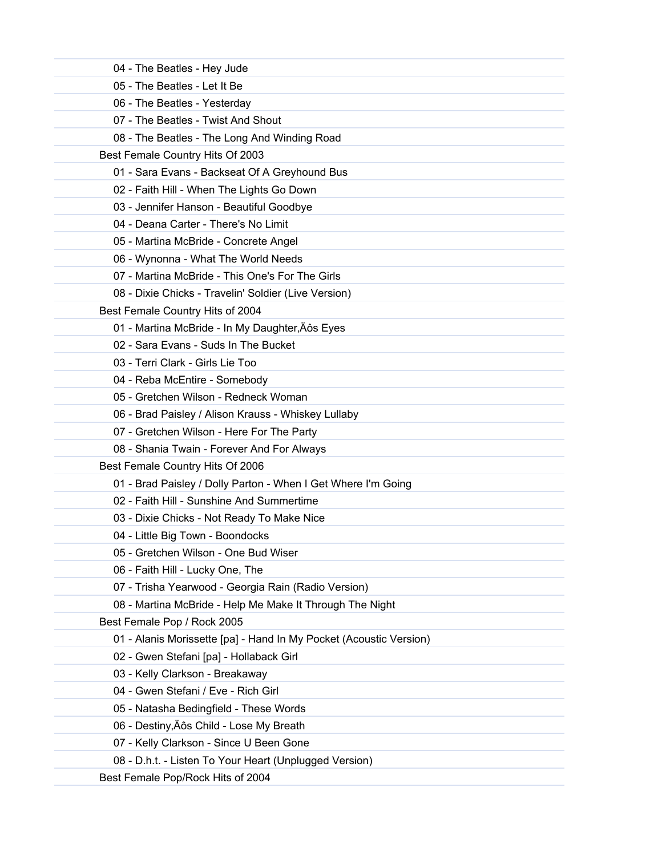| 04 - The Beatles - Hey Jude                                        |
|--------------------------------------------------------------------|
| 05 - The Beatles - Let It Be                                       |
| 06 - The Beatles - Yesterday                                       |
| 07 - The Beatles - Twist And Shout                                 |
| 08 - The Beatles - The Long And Winding Road                       |
| Best Female Country Hits Of 2003                                   |
| 01 - Sara Evans - Backseat Of A Greyhound Bus                      |
| 02 - Faith Hill - When The Lights Go Down                          |
| 03 - Jennifer Hanson - Beautiful Goodbye                           |
| 04 - Deana Carter - There's No Limit                               |
| 05 - Martina McBride - Concrete Angel                              |
| 06 - Wynonna - What The World Needs                                |
| 07 - Martina McBride - This One's For The Girls                    |
| 08 - Dixie Chicks - Travelin' Soldier (Live Version)               |
| Best Female Country Hits of 2004                                   |
| 01 - Martina McBride - In My Daughter, Äôs Eyes                    |
| 02 - Sara Evans - Suds In The Bucket                               |
| 03 - Terri Clark - Girls Lie Too                                   |
| 04 - Reba McEntire - Somebody                                      |
| 05 - Gretchen Wilson - Redneck Woman                               |
| 06 - Brad Paisley / Alison Krauss - Whiskey Lullaby                |
| 07 - Gretchen Wilson - Here For The Party                          |
| 08 - Shania Twain - Forever And For Always                         |
| Best Female Country Hits Of 2006                                   |
| 01 - Brad Paisley / Dolly Parton - When I Get Where I'm Going      |
| 02 - Faith Hill - Sunshine And Summertime                          |
| 03 - Dixie Chicks - Not Ready To Make Nice                         |
| 04 - Little Big Town - Boondocks                                   |
| 05 - Gretchen Wilson - One Bud Wiser                               |
| 06 - Faith Hill - Lucky One, The                                   |
| 07 - Trisha Yearwood - Georgia Rain (Radio Version)                |
| 08 - Martina McBride - Help Me Make It Through The Night           |
| Best Female Pop / Rock 2005                                        |
| 01 - Alanis Morissette [pa] - Hand In My Pocket (Acoustic Version) |
| 02 - Gwen Stefani [pa] - Hollaback Girl                            |
| 03 - Kelly Clarkson - Breakaway                                    |
| 04 - Gwen Stefani / Eve - Rich Girl                                |
| 05 - Natasha Bedingfield - These Words                             |
| 06 - Destiny, Äôs Child - Lose My Breath                           |
| 07 - Kelly Clarkson - Since U Been Gone                            |
| 08 - D.h.t. - Listen To Your Heart (Unplugged Version)             |
| Best Female Pop/Rock Hits of 2004                                  |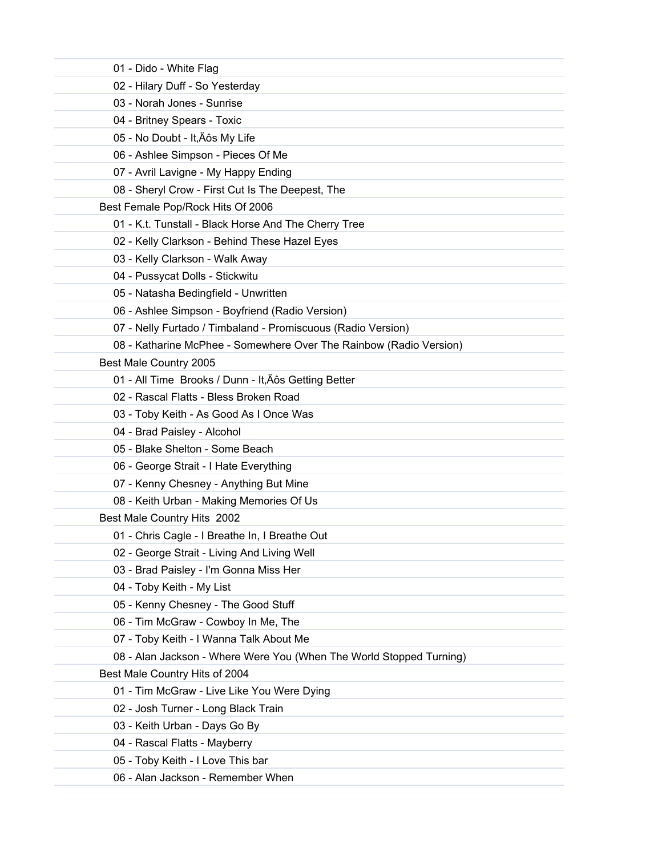| 01 - Dido - White Flag                                              |
|---------------------------------------------------------------------|
| 02 - Hilary Duff - So Yesterday                                     |
| 03 - Norah Jones - Sunrise                                          |
| 04 - Britney Spears - Toxic                                         |
| 05 - No Doubt - It, Äôs My Life                                     |
| 06 - Ashlee Simpson - Pieces Of Me                                  |
| 07 - Avril Lavigne - My Happy Ending                                |
| 08 - Sheryl Crow - First Cut Is The Deepest, The                    |
| Best Female Pop/Rock Hits Of 2006                                   |
| 01 - K.t. Tunstall - Black Horse And The Cherry Tree                |
| 02 - Kelly Clarkson - Behind These Hazel Eyes                       |
| 03 - Kelly Clarkson - Walk Away                                     |
| 04 - Pussycat Dolls - Stickwitu                                     |
| 05 - Natasha Bedingfield - Unwritten                                |
| 06 - Ashlee Simpson - Boyfriend (Radio Version)                     |
| 07 - Nelly Furtado / Timbaland - Promiscuous (Radio Version)        |
| 08 - Katharine McPhee - Somewhere Over The Rainbow (Radio Version)  |
| Best Male Country 2005                                              |
| 01 - All Time Brooks / Dunn - It, Äôs Getting Better                |
| 02 - Rascal Flatts - Bless Broken Road                              |
| 03 - Toby Keith - As Good As I Once Was                             |
| 04 - Brad Paisley - Alcohol                                         |
| 05 - Blake Shelton - Some Beach                                     |
| 06 - George Strait - I Hate Everything                              |
| 07 - Kenny Chesney - Anything But Mine                              |
| 08 - Keith Urban - Making Memories Of Us                            |
| Best Male Country Hits 2002                                         |
| 01 - Chris Cagle - I Breathe In, I Breathe Out                      |
| 02 - George Strait - Living And Living Well                         |
| 03 - Brad Paisley - I'm Gonna Miss Her                              |
| 04 - Toby Keith - My List                                           |
| 05 - Kenny Chesney - The Good Stuff                                 |
| 06 - Tim McGraw - Cowboy In Me, The                                 |
| 07 - Toby Keith - I Wanna Talk About Me                             |
| 08 - Alan Jackson - Where Were You (When The World Stopped Turning) |
| Best Male Country Hits of 2004                                      |
| 01 - Tim McGraw - Live Like You Were Dying                          |
| 02 - Josh Turner - Long Black Train                                 |
| 03 - Keith Urban - Days Go By                                       |
| 04 - Rascal Flatts - Mayberry                                       |
| 05 - Toby Keith - I Love This bar                                   |
| 06 - Alan Jackson - Remember When                                   |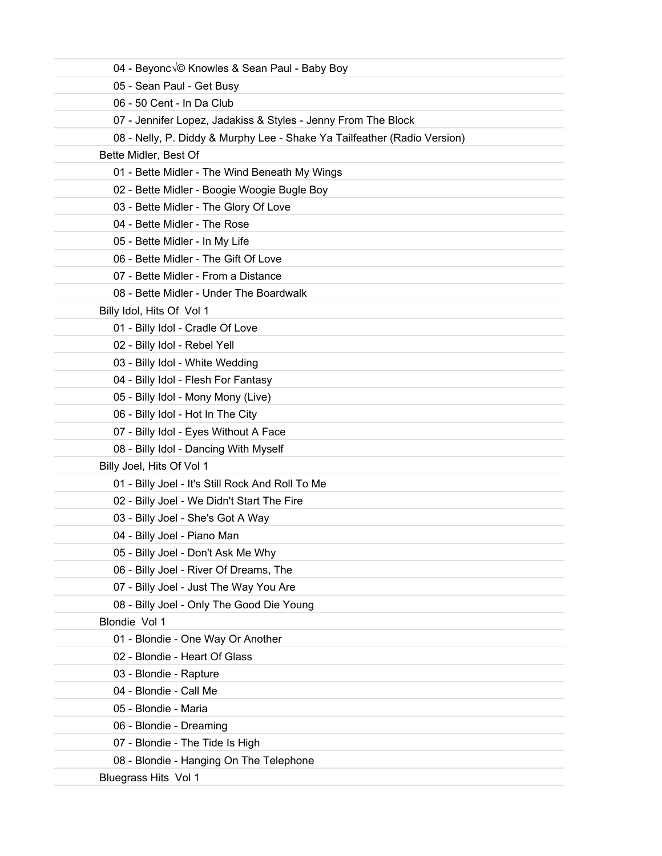| 04 - Beyoncé Knowles & Sean Paul - Baby Boy                              |
|--------------------------------------------------------------------------|
| 05 - Sean Paul - Get Busy                                                |
| 06 - 50 Cent - In Da Club                                                |
| 07 - Jennifer Lopez, Jadakiss & Styles - Jenny From The Block            |
| 08 - Nelly, P. Diddy & Murphy Lee - Shake Ya Tailfeather (Radio Version) |
| Bette Midler, Best Of                                                    |
| 01 - Bette Midler - The Wind Beneath My Wings                            |
| 02 - Bette Midler - Boogie Woogie Bugle Boy                              |
| 03 - Bette Midler - The Glory Of Love                                    |
| 04 - Bette Midler - The Rose                                             |
| 05 - Bette Midler - In My Life                                           |
| 06 - Bette Midler - The Gift Of Love                                     |
| 07 - Bette Midler - From a Distance                                      |
| 08 - Bette Midler - Under The Boardwalk                                  |
| Billy Idol, Hits Of Vol 1                                                |
| 01 - Billy Idol - Cradle Of Love                                         |
| 02 - Billy Idol - Rebel Yell                                             |
| 03 - Billy Idol - White Wedding                                          |
| 04 - Billy Idol - Flesh For Fantasy                                      |
| 05 - Billy Idol - Mony Mony (Live)                                       |
| 06 - Billy Idol - Hot In The City                                        |
| 07 - Billy Idol - Eyes Without A Face                                    |
| 08 - Billy Idol - Dancing With Myself                                    |
| Billy Joel, Hits Of Vol 1                                                |
| 01 - Billy Joel - It's Still Rock And Roll To Me                         |
| 02 - Billy Joel - We Didn't Start The Fire                               |
| 03 - Billy Joel - She's Got A Way                                        |
| 04 - Billy Joel - Piano Man                                              |
| 05 - Billy Joel - Don't Ask Me Why                                       |
| 06 - Billy Joel - River Of Dreams, The                                   |
| 07 - Billy Joel - Just The Way You Are                                   |
| 08 - Billy Joel - Only The Good Die Young                                |
| Blondie Vol 1                                                            |
| 01 - Blondie - One Way Or Another                                        |
| 02 - Blondie - Heart Of Glass                                            |
| 03 - Blondie - Rapture                                                   |
| 04 - Blondie - Call Me                                                   |
| 05 - Blondie - Maria                                                     |
| 06 - Blondie - Dreaming                                                  |
| 07 - Blondie - The Tide Is High                                          |
| 08 - Blondie - Hanging On The Telephone                                  |
| Bluegrass Hits Vol 1                                                     |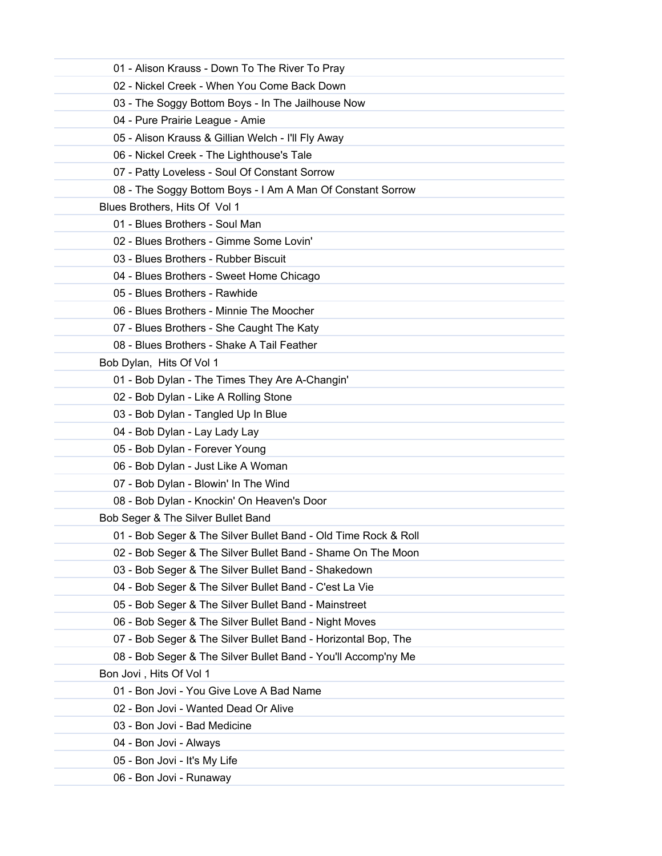| 01 - Alison Krauss - Down To The River To Pray                 |
|----------------------------------------------------------------|
| 02 - Nickel Creek - When You Come Back Down                    |
| 03 - The Soggy Bottom Boys - In The Jailhouse Now              |
| 04 - Pure Prairie League - Amie                                |
| 05 - Alison Krauss & Gillian Welch - I'll Fly Away             |
| 06 - Nickel Creek - The Lighthouse's Tale                      |
| 07 - Patty Loveless - Soul Of Constant Sorrow                  |
| 08 - The Soggy Bottom Boys - I Am A Man Of Constant Sorrow     |
| Blues Brothers, Hits Of Vol 1                                  |
| 01 - Blues Brothers - Soul Man                                 |
| 02 - Blues Brothers - Gimme Some Lovin'                        |
| 03 - Blues Brothers - Rubber Biscuit                           |
| 04 - Blues Brothers - Sweet Home Chicago                       |
| 05 - Blues Brothers - Rawhide                                  |
| 06 - Blues Brothers - Minnie The Moocher                       |
| 07 - Blues Brothers - She Caught The Katy                      |
| 08 - Blues Brothers - Shake A Tail Feather                     |
| Bob Dylan, Hits Of Vol 1                                       |
| 01 - Bob Dylan - The Times They Are A-Changin'                 |
| 02 - Bob Dylan - Like A Rolling Stone                          |
| 03 - Bob Dylan - Tangled Up In Blue                            |
| 04 - Bob Dylan - Lay Lady Lay                                  |
| 05 - Bob Dylan - Forever Young                                 |
| 06 - Bob Dylan - Just Like A Woman                             |
| 07 - Bob Dylan - Blowin' In The Wind                           |
| 08 - Bob Dylan - Knockin' On Heaven's Door                     |
| Bob Seger & The Silver Bullet Band                             |
| 01 - Bob Seger & The Silver Bullet Band - Old Time Rock & Roll |
| 02 - Bob Seger & The Silver Bullet Band - Shame On The Moon    |
| 03 - Bob Seger & The Silver Bullet Band - Shakedown            |
| 04 - Bob Seger & The Silver Bullet Band - C'est La Vie         |
| 05 - Bob Seger & The Silver Bullet Band - Mainstreet           |
| 06 - Bob Seger & The Silver Bullet Band - Night Moves          |
| 07 - Bob Seger & The Silver Bullet Band - Horizontal Bop, The  |
| 08 - Bob Seger & The Silver Bullet Band - You'll Accomp'ny Me  |
| Bon Jovi, Hits Of Vol 1                                        |
| 01 - Bon Jovi - You Give Love A Bad Name                       |
| 02 - Bon Jovi - Wanted Dead Or Alive                           |
| 03 - Bon Jovi - Bad Medicine                                   |
| 04 - Bon Jovi - Always                                         |
| 05 - Bon Jovi - It's My Life                                   |
| 06 - Bon Jovi - Runaway                                        |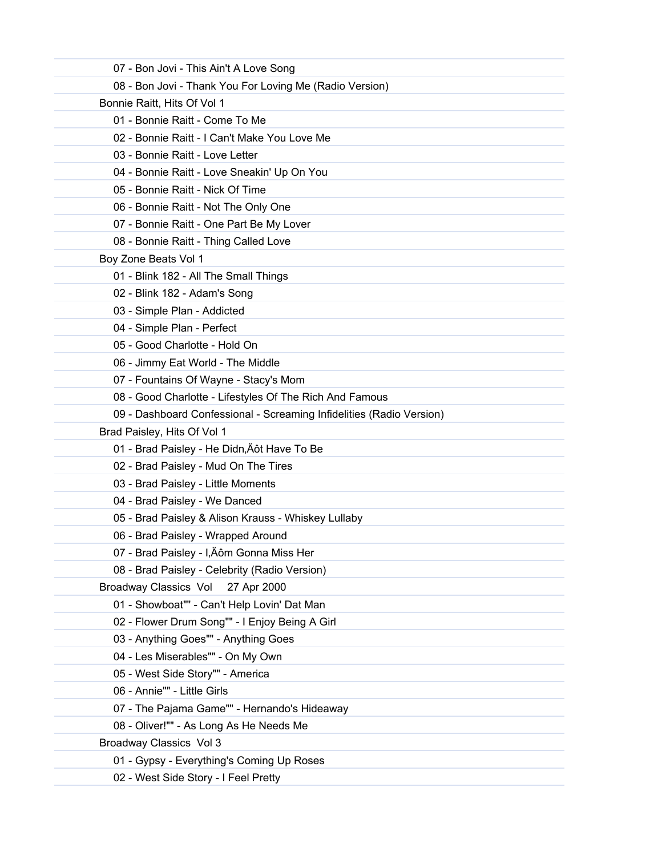| 07 - Bon Jovi - This Ain't A Love Song                               |
|----------------------------------------------------------------------|
| 08 - Bon Jovi - Thank You For Loving Me (Radio Version)              |
| Bonnie Raitt, Hits Of Vol 1                                          |
| 01 - Bonnie Raitt - Come To Me                                       |
| 02 - Bonnie Raitt - I Can't Make You Love Me                         |
| 03 - Bonnie Raitt - Love Letter                                      |
| 04 - Bonnie Raitt - Love Sneakin' Up On You                          |
| 05 - Bonnie Raitt - Nick Of Time                                     |
| 06 - Bonnie Raitt - Not The Only One                                 |
| 07 - Bonnie Raitt - One Part Be My Lover                             |
| 08 - Bonnie Raitt - Thing Called Love                                |
| Boy Zone Beats Vol 1                                                 |
| 01 - Blink 182 - All The Small Things                                |
| 02 - Blink 182 - Adam's Song                                         |
| 03 - Simple Plan - Addicted                                          |
| 04 - Simple Plan - Perfect                                           |
| 05 - Good Charlotte - Hold On                                        |
| 06 - Jimmy Eat World - The Middle                                    |
| 07 - Fountains Of Wayne - Stacy's Mom                                |
| 08 - Good Charlotte - Lifestyles Of The Rich And Famous              |
| 09 - Dashboard Confessional - Screaming Infidelities (Radio Version) |
| Brad Paisley, Hits Of Vol 1                                          |
| 01 - Brad Paisley - He Didn, Äôt Have To Be                          |
| 02 - Brad Paisley - Mud On The Tires                                 |
| 03 - Brad Paisley - Little Moments                                   |
| 04 - Brad Paisley - We Danced                                        |
| 05 - Brad Paisley & Alison Krauss - Whiskey Lullaby                  |
| 06 - Brad Paisley - Wrapped Around                                   |
| 07 - Brad Paisley - I, Äôm Gonna Miss Her                            |
| 08 - Brad Paisley - Celebrity (Radio Version)                        |
| Broadway Classics Vol<br>27 Apr 2000                                 |
| 01 - Showboat"" - Can't Help Lovin' Dat Man                          |
| 02 - Flower Drum Song"" - I Enjoy Being A Girl                       |
| 03 - Anything Goes"" - Anything Goes                                 |
| 04 - Les Miserables"" - On My Own                                    |
| 05 - West Side Story"" - America                                     |
| 06 - Annie"" - Little Girls                                          |
| 07 - The Pajama Game"" - Hernando's Hideaway                         |
| 08 - Oliver!"" - As Long As He Needs Me                              |
| Broadway Classics Vol 3                                              |
| 01 - Gypsy - Everything's Coming Up Roses                            |
| 02 - West Side Story - I Feel Pretty                                 |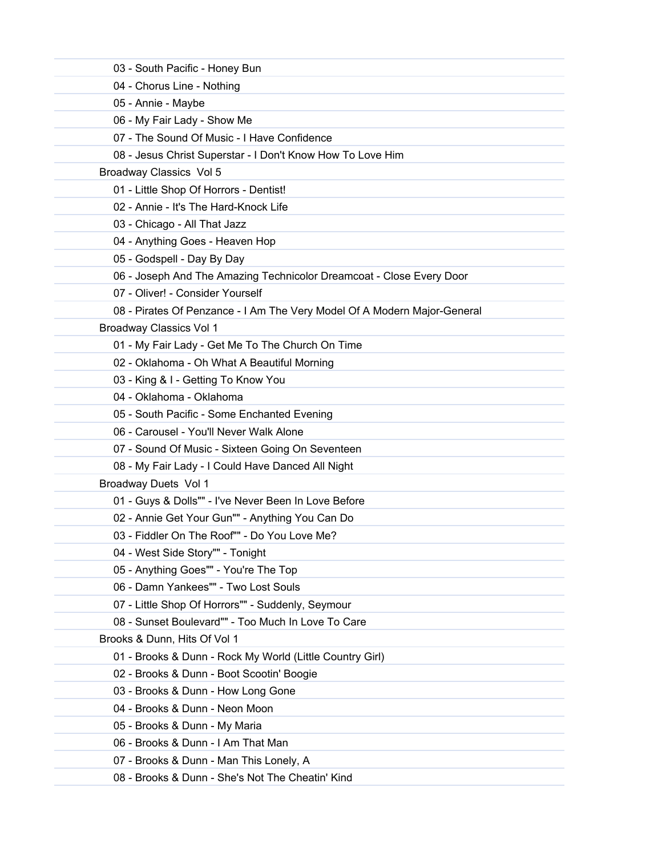| 03 - South Pacific - Honey Bun                                           |  |
|--------------------------------------------------------------------------|--|
| 04 - Chorus Line - Nothing                                               |  |
| 05 - Annie - Maybe                                                       |  |
| 06 - My Fair Lady - Show Me                                              |  |
| 07 - The Sound Of Music - I Have Confidence                              |  |
| 08 - Jesus Christ Superstar - I Don't Know How To Love Him               |  |
| Broadway Classics Vol 5                                                  |  |
| 01 - Little Shop Of Horrors - Dentist!                                   |  |
| 02 - Annie - It's The Hard-Knock Life                                    |  |
| 03 - Chicago - All That Jazz                                             |  |
| 04 - Anything Goes - Heaven Hop                                          |  |
| 05 - Godspell - Day By Day                                               |  |
| 06 - Joseph And The Amazing Technicolor Dreamcoat - Close Every Door     |  |
| 07 - Oliver! - Consider Yourself                                         |  |
| 08 - Pirates Of Penzance - I Am The Very Model Of A Modern Major-General |  |
| Broadway Classics Vol 1                                                  |  |
| 01 - My Fair Lady - Get Me To The Church On Time                         |  |
| 02 - Oklahoma - Oh What A Beautiful Morning                              |  |
| 03 - King & I - Getting To Know You                                      |  |
| 04 - Oklahoma - Oklahoma                                                 |  |
| 05 - South Pacific - Some Enchanted Evening                              |  |
| 06 - Carousel - You'll Never Walk Alone                                  |  |
| 07 - Sound Of Music - Sixteen Going On Seventeen                         |  |
| 08 - My Fair Lady - I Could Have Danced All Night                        |  |
| Broadway Duets Vol 1                                                     |  |
| 01 - Guys & Dolls"" - I've Never Been In Love Before                     |  |
| 02 - Annie Get Your Gun"" - Anything You Can Do                          |  |
| 03 - Fiddler On The Roof"" - Do You Love Me?                             |  |
| 04 - West Side Story"" - Tonight                                         |  |
| 05 - Anything Goes"" - You're The Top                                    |  |
| 06 - Damn Yankees"" - Two Lost Souls                                     |  |
| 07 - Little Shop Of Horrors"" - Suddenly, Seymour                        |  |
| 08 - Sunset Boulevard"" - Too Much In Love To Care                       |  |
| Brooks & Dunn, Hits Of Vol 1                                             |  |
| 01 - Brooks & Dunn - Rock My World (Little Country Girl)                 |  |
| 02 - Brooks & Dunn - Boot Scootin' Boogie                                |  |
| 03 - Brooks & Dunn - How Long Gone                                       |  |
| 04 - Brooks & Dunn - Neon Moon                                           |  |
| 05 - Brooks & Dunn - My Maria                                            |  |
| 06 - Brooks & Dunn - I Am That Man                                       |  |
| 07 - Brooks & Dunn - Man This Lonely, A                                  |  |
| 08 - Brooks & Dunn - She's Not The Cheatin' Kind                         |  |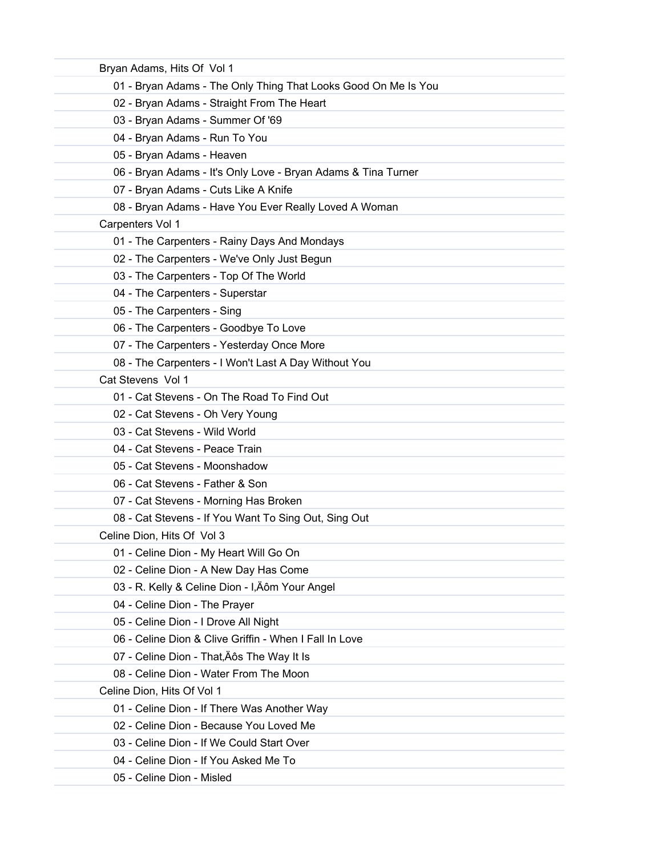| Bryan Adams, Hits Of Vol 1                                     |
|----------------------------------------------------------------|
| 01 - Bryan Adams - The Only Thing That Looks Good On Me Is You |
| 02 - Bryan Adams - Straight From The Heart                     |
| 03 - Bryan Adams - Summer Of '69                               |
| 04 - Bryan Adams - Run To You                                  |
| 05 - Bryan Adams - Heaven                                      |
| 06 - Bryan Adams - It's Only Love - Bryan Adams & Tina Turner  |
| 07 - Bryan Adams - Cuts Like A Knife                           |
| 08 - Bryan Adams - Have You Ever Really Loved A Woman          |
| Carpenters Vol 1                                               |
| 01 - The Carpenters - Rainy Days And Mondays                   |
| 02 - The Carpenters - We've Only Just Begun                    |
| 03 - The Carpenters - Top Of The World                         |
| 04 - The Carpenters - Superstar                                |
| 05 - The Carpenters - Sing                                     |
| 06 - The Carpenters - Goodbye To Love                          |
| 07 - The Carpenters - Yesterday Once More                      |
| 08 - The Carpenters - I Won't Last A Day Without You           |
| Cat Stevens Vol 1                                              |
| 01 - Cat Stevens - On The Road To Find Out                     |
| 02 - Cat Stevens - Oh Very Young                               |
| 03 - Cat Stevens - Wild World                                  |
| 04 - Cat Stevens - Peace Train                                 |
| 05 - Cat Stevens - Moonshadow                                  |
| 06 - Cat Stevens - Father & Son                                |
| 07 - Cat Stevens - Morning Has Broken                          |
| 08 - Cat Stevens - If You Want To Sing Out, Sing Out           |
| Celine Dion, Hits Of Vol 3                                     |
| 01 - Celine Dion - My Heart Will Go On                         |
| 02 - Celine Dion - A New Day Has Come                          |
| 03 - R. Kelly & Celine Dion - I, Äôm Your Angel                |
| 04 - Celine Dion - The Prayer                                  |
| 05 - Celine Dion - I Drove All Night                           |
| 06 - Celine Dion & Clive Griffin - When I Fall In Love         |
| 07 - Celine Dion - That, Äôs The Way It Is                     |
| 08 - Celine Dion - Water From The Moon                         |
| Celine Dion, Hits Of Vol 1                                     |
| 01 - Celine Dion - If There Was Another Way                    |
| 02 - Celine Dion - Because You Loved Me                        |
| 03 - Celine Dion - If We Could Start Over                      |
| 04 - Celine Dion - If You Asked Me To                          |
| 05 - Celine Dion - Misled                                      |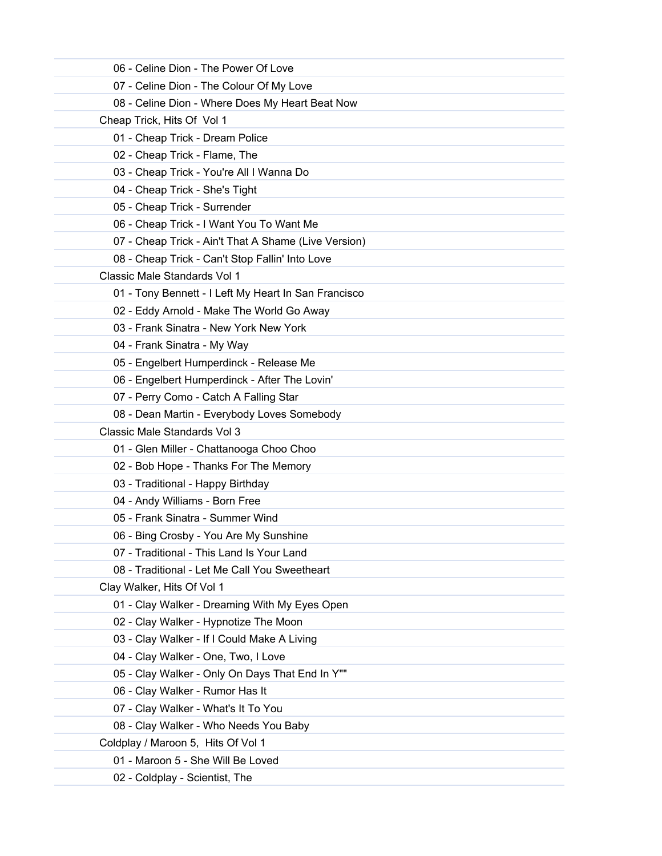| 06 - Celine Dion - The Power Of Love                 |
|------------------------------------------------------|
| 07 - Celine Dion - The Colour Of My Love             |
| 08 - Celine Dion - Where Does My Heart Beat Now      |
| Cheap Trick, Hits Of Vol 1                           |
| 01 - Cheap Trick - Dream Police                      |
| 02 - Cheap Trick - Flame, The                        |
| 03 - Cheap Trick - You're All I Wanna Do             |
| 04 - Cheap Trick - She's Tight                       |
| 05 - Cheap Trick - Surrender                         |
| 06 - Cheap Trick - I Want You To Want Me             |
| 07 - Cheap Trick - Ain't That A Shame (Live Version) |
| 08 - Cheap Trick - Can't Stop Fallin' Into Love      |
| Classic Male Standards Vol 1                         |
| 01 - Tony Bennett - I Left My Heart In San Francisco |
| 02 - Eddy Arnold - Make The World Go Away            |
| 03 - Frank Sinatra - New York New York               |
| 04 - Frank Sinatra - My Way                          |
| 05 - Engelbert Humperdinck - Release Me              |
| 06 - Engelbert Humperdinck - After The Lovin'        |
| 07 - Perry Como - Catch A Falling Star               |
| 08 - Dean Martin - Everybody Loves Somebody          |
| Classic Male Standards Vol 3                         |
| 01 - Glen Miller - Chattanooga Choo Choo             |
| 02 - Bob Hope - Thanks For The Memory                |
| 03 - Traditional - Happy Birthday                    |
| 04 - Andy Williams - Born Free                       |
| 05 - Frank Sinatra - Summer Wind                     |
| 06 - Bing Crosby - You Are My Sunshine               |
| 07 - Traditional - This Land Is Your Land            |
| 08 - Traditional - Let Me Call You Sweetheart        |
| Clay Walker, Hits Of Vol 1                           |
| 01 - Clay Walker - Dreaming With My Eyes Open        |
| 02 - Clay Walker - Hypnotize The Moon                |
| 03 - Clay Walker - If I Could Make A Living          |
| 04 - Clay Walker - One, Two, I Love                  |
| 05 - Clay Walker - Only On Days That End In Y""      |
| 06 - Clay Walker - Rumor Has It                      |
| 07 - Clay Walker - What's It To You                  |
| 08 - Clay Walker - Who Needs You Baby                |
| Coldplay / Maroon 5, Hits Of Vol 1                   |
| 01 - Maroon 5 - She Will Be Loved                    |
| 02 - Coldplay - Scientist, The                       |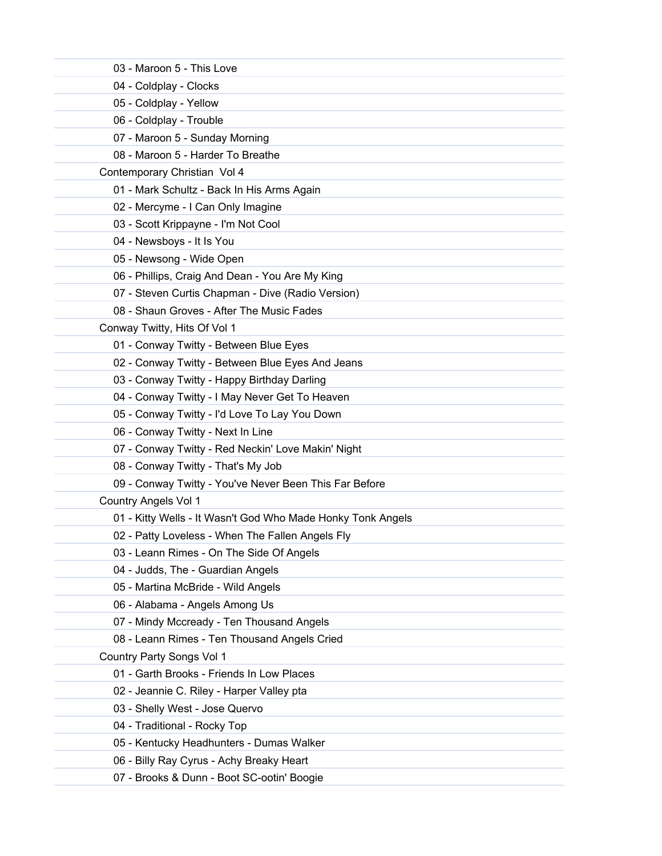| 03 - Maroon 5 - This Love                                   |
|-------------------------------------------------------------|
| 04 - Coldplay - Clocks                                      |
| 05 - Coldplay - Yellow                                      |
| 06 - Coldplay - Trouble                                     |
| 07 - Maroon 5 - Sunday Morning                              |
| 08 - Maroon 5 - Harder To Breathe                           |
| Contemporary Christian Vol 4                                |
| 01 - Mark Schultz - Back In His Arms Again                  |
| 02 - Mercyme - I Can Only Imagine                           |
| 03 - Scott Krippayne - I'm Not Cool                         |
| 04 - Newsboys - It Is You                                   |
| 05 - Newsong - Wide Open                                    |
| 06 - Phillips, Craig And Dean - You Are My King             |
| 07 - Steven Curtis Chapman - Dive (Radio Version)           |
| 08 - Shaun Groves - After The Music Fades                   |
| Conway Twitty, Hits Of Vol 1                                |
| 01 - Conway Twitty - Between Blue Eyes                      |
| 02 - Conway Twitty - Between Blue Eyes And Jeans            |
| 03 - Conway Twitty - Happy Birthday Darling                 |
| 04 - Conway Twitty - I May Never Get To Heaven              |
| 05 - Conway Twitty - I'd Love To Lay You Down               |
| 06 - Conway Twitty - Next In Line                           |
| 07 - Conway Twitty - Red Neckin' Love Makin' Night          |
| 08 - Conway Twitty - That's My Job                          |
| 09 - Conway Twitty - You've Never Been This Far Before      |
| Country Angels Vol 1                                        |
| 01 - Kitty Wells - It Wasn't God Who Made Honky Tonk Angels |
| 02 - Patty Loveless - When The Fallen Angels Fly            |
| 03 - Leann Rimes - On The Side Of Angels                    |
| 04 - Judds, The - Guardian Angels                           |
| 05 - Martina McBride - Wild Angels                          |
| 06 - Alabama - Angels Among Us                              |
| 07 - Mindy Mccready - Ten Thousand Angels                   |
| 08 - Leann Rimes - Ten Thousand Angels Cried                |
| Country Party Songs Vol 1                                   |
| 01 - Garth Brooks - Friends In Low Places                   |
| 02 - Jeannie C. Riley - Harper Valley pta                   |
| 03 - Shelly West - Jose Quervo                              |
| 04 - Traditional - Rocky Top                                |
| 05 - Kentucky Headhunters - Dumas Walker                    |
| 06 - Billy Ray Cyrus - Achy Breaky Heart                    |
| 07 - Brooks & Dunn - Boot SC-ootin' Boogie                  |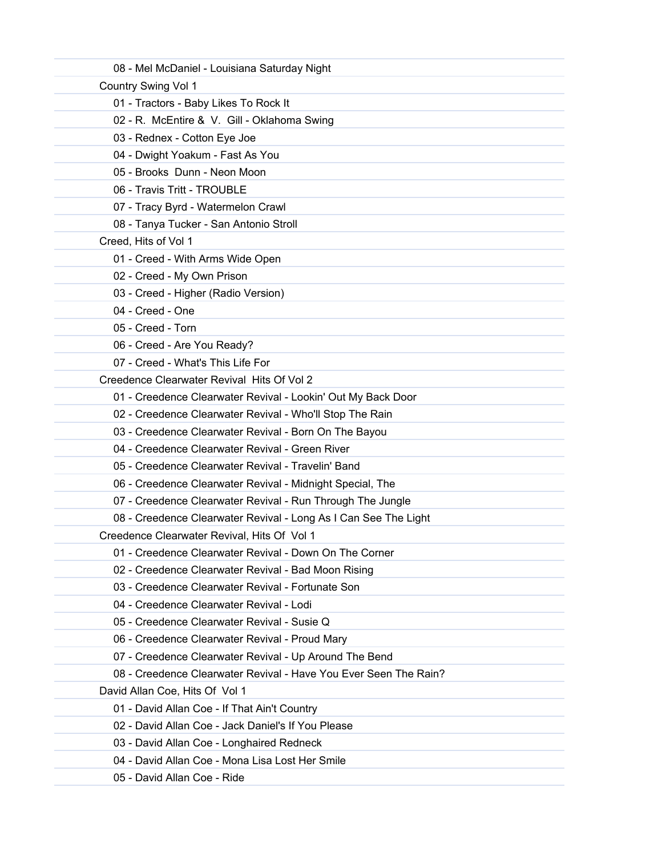| 08 - Mel McDaniel - Louisiana Saturday Night                     |
|------------------------------------------------------------------|
| Country Swing Vol 1                                              |
| 01 - Tractors - Baby Likes To Rock It                            |
| 02 - R. McEntire & V. Gill - Oklahoma Swing                      |
| 03 - Rednex - Cotton Eye Joe                                     |
| 04 - Dwight Yoakum - Fast As You                                 |
| 05 - Brooks Dunn - Neon Moon                                     |
| 06 - Travis Tritt - TROUBLE                                      |
| 07 - Tracy Byrd - Watermelon Crawl                               |
| 08 - Tanya Tucker - San Antonio Stroll                           |
| Creed, Hits of Vol 1                                             |
| 01 - Creed - With Arms Wide Open                                 |
| 02 - Creed - My Own Prison                                       |
| 03 - Creed - Higher (Radio Version)                              |
| 04 - Creed - One                                                 |
| 05 - Creed - Torn                                                |
| 06 - Creed - Are You Ready?                                      |
| 07 - Creed - What's This Life For                                |
| Creedence Clearwater Revival Hits Of Vol 2                       |
| 01 - Creedence Clearwater Revival - Lookin' Out My Back Door     |
| 02 - Creedence Clearwater Revival - Who'll Stop The Rain         |
| 03 - Creedence Clearwater Revival - Born On The Bayou            |
| 04 - Creedence Clearwater Revival - Green River                  |
| 05 - Creedence Clearwater Revival - Travelin' Band               |
| 06 - Creedence Clearwater Revival - Midnight Special, The        |
| 07 - Creedence Clearwater Revival - Run Through The Jungle       |
| 08 - Creedence Clearwater Revival - Long As I Can See The Light  |
| Creedence Clearwater Revival, Hits Of Vol 1                      |
| 01 - Creedence Clearwater Revival - Down On The Corner           |
| 02 - Creedence Clearwater Revival - Bad Moon Rising              |
| 03 - Creedence Clearwater Revival - Fortunate Son                |
| 04 - Creedence Clearwater Revival - Lodi                         |
| 05 - Creedence Clearwater Revival - Susie Q                      |
| 06 - Creedence Clearwater Revival - Proud Mary                   |
| 07 - Creedence Clearwater Revival - Up Around The Bend           |
| 08 - Creedence Clearwater Revival - Have You Ever Seen The Rain? |
| David Allan Coe, Hits Of Vol 1                                   |
| 01 - David Allan Coe - If That Ain't Country                     |
| 02 - David Allan Coe - Jack Daniel's If You Please               |
| 03 - David Allan Coe - Longhaired Redneck                        |
| 04 - David Allan Coe - Mona Lisa Lost Her Smile                  |
| 05 - David Allan Coe - Ride                                      |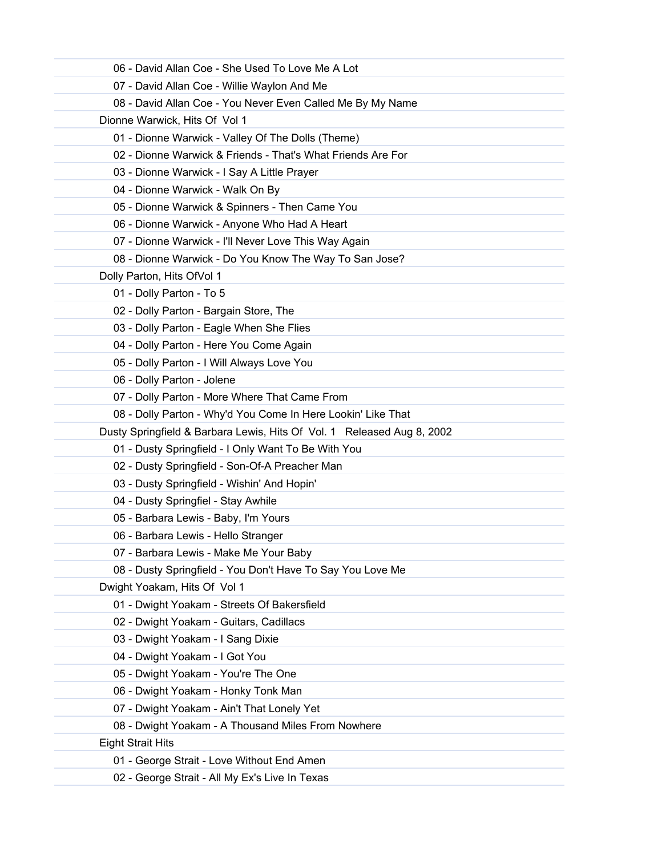| 06 - David Allan Coe - She Used To Love Me A Lot                       |
|------------------------------------------------------------------------|
| 07 - David Allan Coe - Willie Waylon And Me                            |
| 08 - David Allan Coe - You Never Even Called Me By My Name             |
| Dionne Warwick, Hits Of Vol 1                                          |
| 01 - Dionne Warwick - Valley Of The Dolls (Theme)                      |
| 02 - Dionne Warwick & Friends - That's What Friends Are For            |
| 03 - Dionne Warwick - I Say A Little Prayer                            |
| 04 - Dionne Warwick - Walk On By                                       |
| 05 - Dionne Warwick & Spinners - Then Came You                         |
| 06 - Dionne Warwick - Anyone Who Had A Heart                           |
| 07 - Dionne Warwick - I'll Never Love This Way Again                   |
| 08 - Dionne Warwick - Do You Know The Way To San Jose?                 |
| Dolly Parton, Hits OfVol 1                                             |
| 01 - Dolly Parton - To 5                                               |
| 02 - Dolly Parton - Bargain Store, The                                 |
| 03 - Dolly Parton - Eagle When She Flies                               |
| 04 - Dolly Parton - Here You Come Again                                |
| 05 - Dolly Parton - I Will Always Love You                             |
| 06 - Dolly Parton - Jolene                                             |
| 07 - Dolly Parton - More Where That Came From                          |
| 08 - Dolly Parton - Why'd You Come In Here Lookin' Like That           |
| Dusty Springfield & Barbara Lewis, Hits Of Vol. 1 Released Aug 8, 2002 |
| 01 - Dusty Springfield - I Only Want To Be With You                    |
| 02 - Dusty Springfield - Son-Of-A Preacher Man                         |
| 03 - Dusty Springfield - Wishin' And Hopin'                            |
| 04 - Dusty Springfiel - Stay Awhile                                    |
|                                                                        |
| 05 - Barbara Lewis - Baby, I'm Yours                                   |
| 06 - Barbara Lewis - Hello Stranger                                    |
| 07 - Barbara Lewis - Make Me Your Baby                                 |
| 08 - Dusty Springfield - You Don't Have To Say You Love Me             |
| Dwight Yoakam, Hits Of Vol 1                                           |
| 01 - Dwight Yoakam - Streets Of Bakersfield                            |
| 02 - Dwight Yoakam - Guitars, Cadillacs                                |
| 03 - Dwight Yoakam - I Sang Dixie                                      |
| 04 - Dwight Yoakam - I Got You                                         |
| 05 - Dwight Yoakam - You're The One                                    |
| 06 - Dwight Yoakam - Honky Tonk Man                                    |
| 07 - Dwight Yoakam - Ain't That Lonely Yet                             |
| 08 - Dwight Yoakam - A Thousand Miles From Nowhere                     |
| <b>Eight Strait Hits</b>                                               |
| 01 - George Strait - Love Without End Amen                             |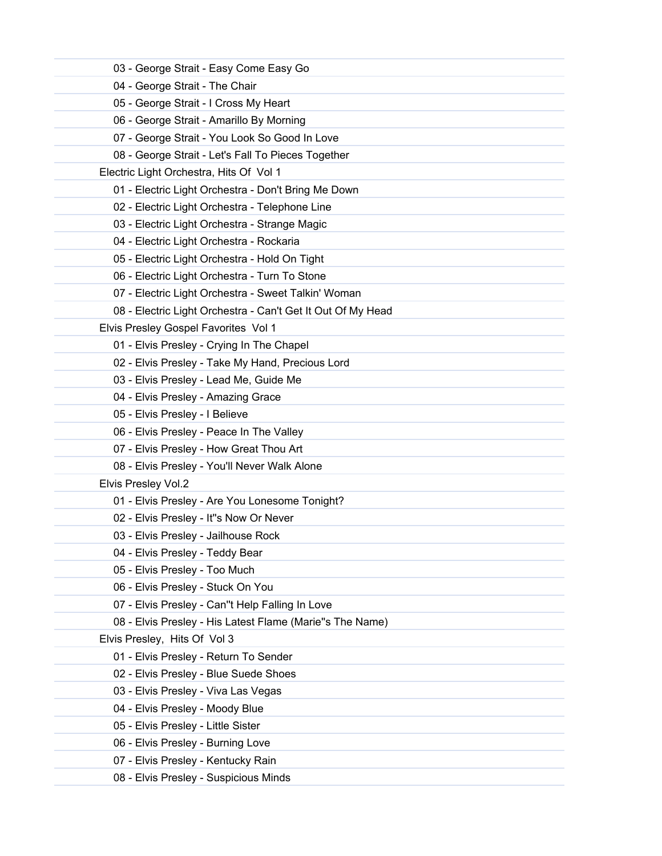| 03 - George Strait - Easy Come Easy Go                      |
|-------------------------------------------------------------|
| 04 - George Strait - The Chair                              |
| 05 - George Strait - I Cross My Heart                       |
| 06 - George Strait - Amarillo By Morning                    |
| 07 - George Strait - You Look So Good In Love               |
| 08 - George Strait - Let's Fall To Pieces Together          |
| Electric Light Orchestra, Hits Of Vol 1                     |
| 01 - Electric Light Orchestra - Don't Bring Me Down         |
| 02 - Electric Light Orchestra - Telephone Line              |
| 03 - Electric Light Orchestra - Strange Magic               |
| 04 - Electric Light Orchestra - Rockaria                    |
| 05 - Electric Light Orchestra - Hold On Tight               |
| 06 - Electric Light Orchestra - Turn To Stone               |
| 07 - Electric Light Orchestra - Sweet Talkin' Woman         |
| 08 - Electric Light Orchestra - Can't Get It Out Of My Head |
| Elvis Presley Gospel Favorites Vol 1                        |
| 01 - Elvis Presley - Crying In The Chapel                   |
| 02 - Elvis Presley - Take My Hand, Precious Lord            |
| 03 - Elvis Presley - Lead Me, Guide Me                      |
| 04 - Elvis Presley - Amazing Grace                          |
| 05 - Elvis Presley - I Believe                              |
| 06 - Elvis Presley - Peace In The Valley                    |
| 07 - Elvis Presley - How Great Thou Art                     |
| 08 - Elvis Presley - You'll Never Walk Alone                |
| Elvis Presley Vol.2                                         |
| 01 - Elvis Presley - Are You Lonesome Tonight?              |
| 02 - Elvis Presley - It"s Now Or Never                      |
| 03 - Elvis Presley - Jailhouse Rock                         |
| 04 - Elvis Presley - Teddy Bear                             |
| 05 - Elvis Presley - Too Much                               |
| 06 - Elvis Presley - Stuck On You                           |
| 07 - Elvis Presley - Can"t Help Falling In Love             |
| 08 - Elvis Presley - His Latest Flame (Marie"s The Name)    |
| Elvis Presley, Hits Of Vol 3                                |
| 01 - Elvis Presley - Return To Sender                       |
| 02 - Elvis Presley - Blue Suede Shoes                       |
| 03 - Elvis Presley - Viva Las Vegas                         |
| 04 - Elvis Presley - Moody Blue                             |
| 05 - Elvis Presley - Little Sister                          |
| 06 - Elvis Presley - Burning Love                           |
| 07 - Elvis Presley - Kentucky Rain                          |
| 08 - Elvis Presley - Suspicious Minds                       |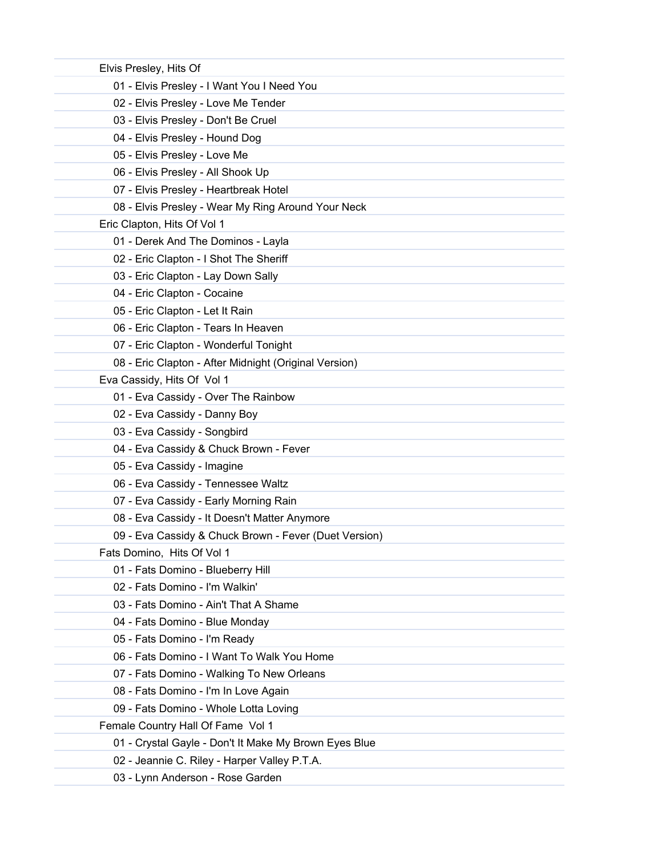| Elvis Presley, Hits Of                                |
|-------------------------------------------------------|
| 01 - Elvis Presley - I Want You I Need You            |
| 02 - Elvis Presley - Love Me Tender                   |
| 03 - Elvis Presley - Don't Be Cruel                   |
| 04 - Elvis Presley - Hound Dog                        |
| 05 - Elvis Presley - Love Me                          |
| 06 - Elvis Presley - All Shook Up                     |
| 07 - Elvis Presley - Heartbreak Hotel                 |
| 08 - Elvis Presley - Wear My Ring Around Your Neck    |
| Eric Clapton, Hits Of Vol 1                           |
| 01 - Derek And The Dominos - Layla                    |
| 02 - Eric Clapton - I Shot The Sheriff                |
| 03 - Eric Clapton - Lay Down Sally                    |
| 04 - Eric Clapton - Cocaine                           |
| 05 - Eric Clapton - Let It Rain                       |
| 06 - Eric Clapton - Tears In Heaven                   |
| 07 - Eric Clapton - Wonderful Tonight                 |
| 08 - Eric Clapton - After Midnight (Original Version) |
| Eva Cassidy, Hits Of Vol 1                            |
| 01 - Eva Cassidy - Over The Rainbow                   |
| 02 - Eva Cassidy - Danny Boy                          |
| 03 - Eva Cassidy - Songbird                           |
| 04 - Eva Cassidy & Chuck Brown - Fever                |
| 05 - Eva Cassidy - Imagine                            |
| 06 - Eva Cassidy - Tennessee Waltz                    |
| 07 - Eva Cassidy - Early Morning Rain                 |
| 08 - Eva Cassidy - It Doesn't Matter Anymore          |
| 09 - Eva Cassidy & Chuck Brown - Fever (Duet Version) |
| Fats Domino, Hits Of Vol 1                            |
| 01 - Fats Domino - Blueberry Hill                     |
| 02 - Fats Domino - I'm Walkin'                        |
| 03 - Fats Domino - Ain't That A Shame                 |
| 04 - Fats Domino - Blue Monday                        |
| 05 - Fats Domino - I'm Ready                          |
| 06 - Fats Domino - I Want To Walk You Home            |
| 07 - Fats Domino - Walking To New Orleans             |
| 08 - Fats Domino - I'm In Love Again                  |
| 09 - Fats Domino - Whole Lotta Loving                 |
| Female Country Hall Of Fame Vol 1                     |
| 01 - Crystal Gayle - Don't It Make My Brown Eyes Blue |
| 02 - Jeannie C. Riley - Harper Valley P.T.A.          |
| 03 - Lynn Anderson - Rose Garden                      |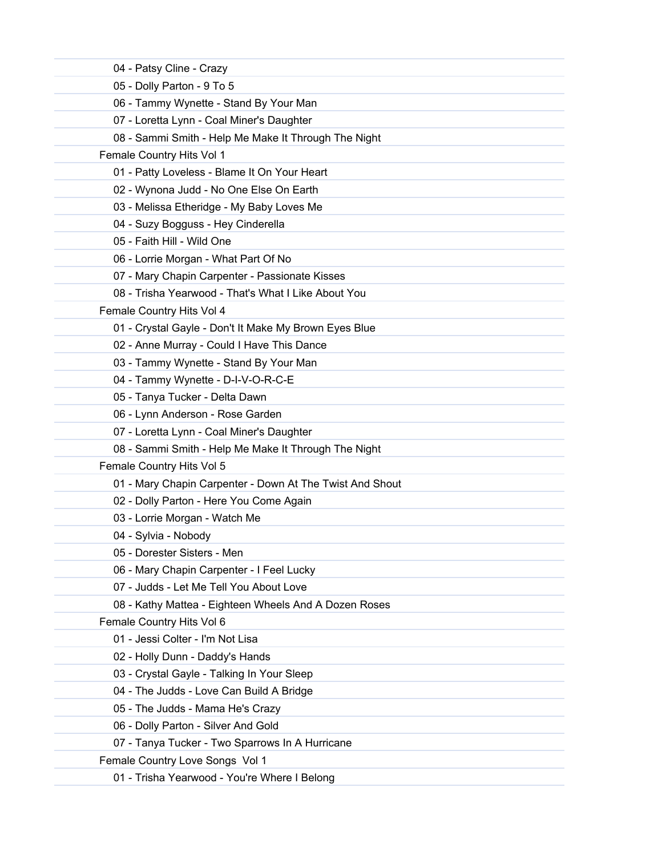| 04 - Patsy Cline - Crazy                                 |
|----------------------------------------------------------|
| 05 - Dolly Parton - 9 To 5                               |
| 06 - Tammy Wynette - Stand By Your Man                   |
| 07 - Loretta Lynn - Coal Miner's Daughter                |
| 08 - Sammi Smith - Help Me Make It Through The Night     |
| Female Country Hits Vol 1                                |
| 01 - Patty Loveless - Blame It On Your Heart             |
| 02 - Wynona Judd - No One Else On Earth                  |
| 03 - Melissa Etheridge - My Baby Loves Me                |
| 04 - Suzy Bogguss - Hey Cinderella                       |
| 05 - Faith Hill - Wild One                               |
| 06 - Lorrie Morgan - What Part Of No                     |
| 07 - Mary Chapin Carpenter - Passionate Kisses           |
| 08 - Trisha Yearwood - That's What I Like About You      |
| Female Country Hits Vol 4                                |
| 01 - Crystal Gayle - Don't It Make My Brown Eyes Blue    |
| 02 - Anne Murray - Could I Have This Dance               |
| 03 - Tammy Wynette - Stand By Your Man                   |
| 04 - Tammy Wynette - D-I-V-O-R-C-E                       |
| 05 - Tanya Tucker - Delta Dawn                           |
| 06 - Lynn Anderson - Rose Garden                         |
| 07 - Loretta Lynn - Coal Miner's Daughter                |
| 08 - Sammi Smith - Help Me Make It Through The Night     |
| Female Country Hits Vol 5                                |
| 01 - Mary Chapin Carpenter - Down At The Twist And Shout |
| 02 - Dolly Parton - Here You Come Again                  |
| 03 - Lorrie Morgan - Watch Me                            |
| 04 - Sylvia - Nobody                                     |
| 05 - Dorester Sisters - Men                              |
| 06 - Mary Chapin Carpenter - I Feel Lucky                |
| 07 - Judds - Let Me Tell You About Love                  |
| 08 - Kathy Mattea - Eighteen Wheels And A Dozen Roses    |
| Female Country Hits Vol 6                                |
| 01 - Jessi Colter - I'm Not Lisa                         |
| 02 - Holly Dunn - Daddy's Hands                          |
| 03 - Crystal Gayle - Talking In Your Sleep               |
| 04 - The Judds - Love Can Build A Bridge                 |
| 05 - The Judds - Mama He's Crazy                         |
| 06 - Dolly Parton - Silver And Gold                      |
| 07 - Tanya Tucker - Two Sparrows In A Hurricane          |
| Female Country Love Songs Vol 1                          |
| 01 - Trisha Yearwood - You're Where I Belong             |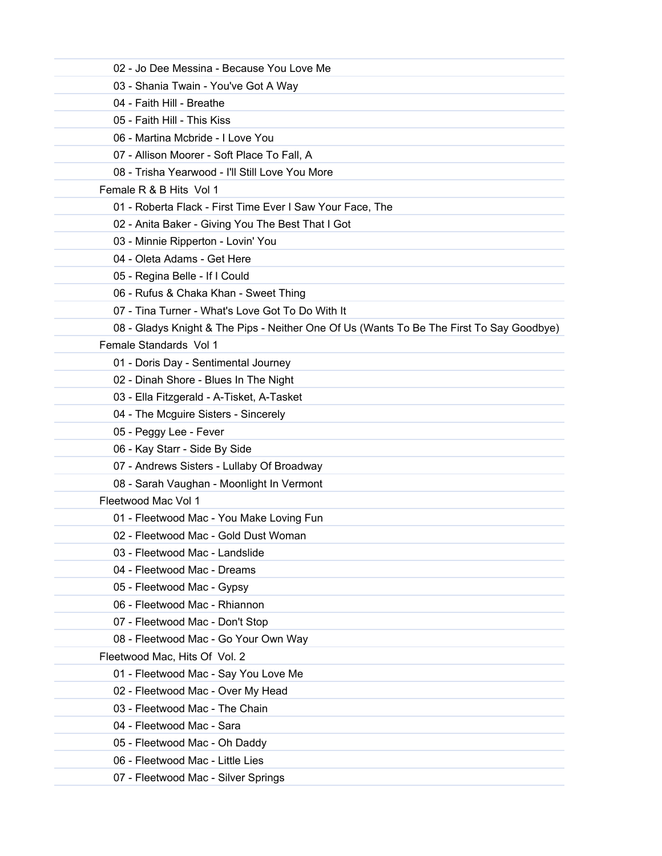| 02 - Jo Dee Messina - Because You Love Me                                                |  |
|------------------------------------------------------------------------------------------|--|
| 03 - Shania Twain - You've Got A Way                                                     |  |
| 04 - Faith Hill - Breathe                                                                |  |
| 05 - Faith Hill - This Kiss                                                              |  |
| 06 - Martina Mcbride - I Love You                                                        |  |
| 07 - Allison Moorer - Soft Place To Fall, A                                              |  |
| 08 - Trisha Yearwood - I'll Still Love You More                                          |  |
| Female R & B Hits Vol 1                                                                  |  |
| 01 - Roberta Flack - First Time Ever I Saw Your Face, The                                |  |
| 02 - Anita Baker - Giving You The Best That I Got                                        |  |
| 03 - Minnie Ripperton - Lovin' You                                                       |  |
| 04 - Oleta Adams - Get Here                                                              |  |
| 05 - Regina Belle - If I Could                                                           |  |
| 06 - Rufus & Chaka Khan - Sweet Thing                                                    |  |
| 07 - Tina Turner - What's Love Got To Do With It                                         |  |
| 08 - Gladys Knight & The Pips - Neither One Of Us (Wants To Be The First To Say Goodbye) |  |
| Female Standards Vol 1                                                                   |  |
| 01 - Doris Day - Sentimental Journey                                                     |  |
| 02 - Dinah Shore - Blues In The Night                                                    |  |
| 03 - Ella Fitzgerald - A-Tisket, A-Tasket                                                |  |
| 04 - The Mcguire Sisters - Sincerely                                                     |  |
| 05 - Peggy Lee - Fever                                                                   |  |
| 06 - Kay Starr - Side By Side                                                            |  |
| 07 - Andrews Sisters - Lullaby Of Broadway                                               |  |
| 08 - Sarah Vaughan - Moonlight In Vermont                                                |  |
| Fleetwood Mac Vol 1                                                                      |  |
| 01 - Fleetwood Mac - You Make Loving Fun                                                 |  |
| 02 - Fleetwood Mac - Gold Dust Woman                                                     |  |
| 03 - Fleetwood Mac - Landslide                                                           |  |
| 04 - Fleetwood Mac - Dreams                                                              |  |
| 05 - Fleetwood Mac - Gypsy                                                               |  |
| 06 - Fleetwood Mac - Rhiannon                                                            |  |
| 07 - Fleetwood Mac - Don't Stop                                                          |  |
| 08 - Fleetwood Mac - Go Your Own Way                                                     |  |
| Fleetwood Mac, Hits Of Vol. 2                                                            |  |
| 01 - Fleetwood Mac - Say You Love Me                                                     |  |
| 02 - Fleetwood Mac - Over My Head                                                        |  |
| 03 - Fleetwood Mac - The Chain                                                           |  |
| 04 - Fleetwood Mac - Sara                                                                |  |
| 05 - Fleetwood Mac - Oh Daddy                                                            |  |
| 06 - Fleetwood Mac - Little Lies                                                         |  |
|                                                                                          |  |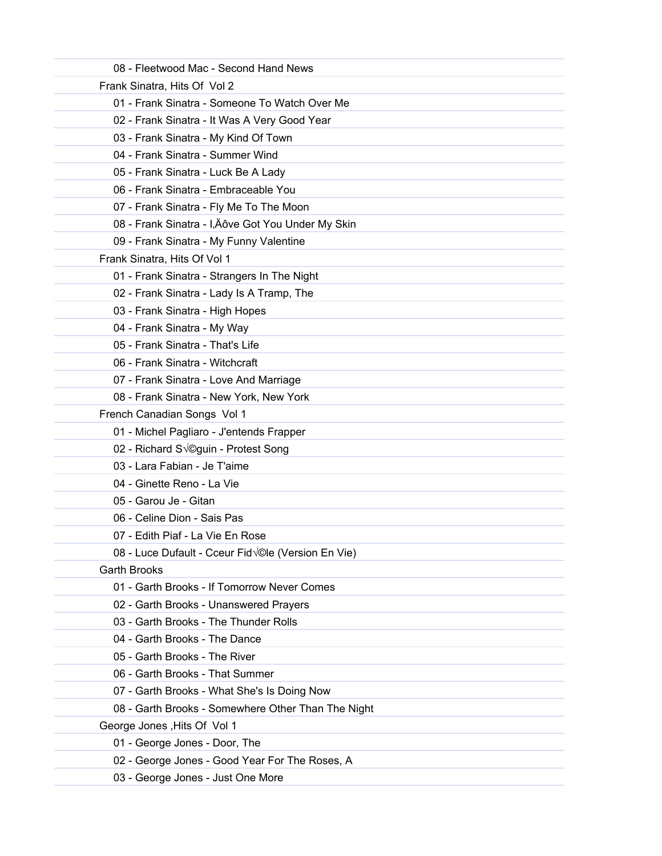| 08 - Fleetwood Mac - Second Hand News                       |
|-------------------------------------------------------------|
| Frank Sinatra, Hits Of Vol 2                                |
| 01 - Frank Sinatra - Someone To Watch Over Me               |
| 02 - Frank Sinatra - It Was A Very Good Year                |
| 03 - Frank Sinatra - My Kind Of Town                        |
| 04 - Frank Sinatra - Summer Wind                            |
| 05 - Frank Sinatra - Luck Be A Lady                         |
| 06 - Frank Sinatra - Embraceable You                        |
| 07 - Frank Sinatra - Fly Me To The Moon                     |
| 08 - Frank Sinatra - I, Äôve Got You Under My Skin          |
| 09 - Frank Sinatra - My Funny Valentine                     |
| Frank Sinatra, Hits Of Vol 1                                |
| 01 - Frank Sinatra - Strangers In The Night                 |
| 02 - Frank Sinatra - Lady Is A Tramp, The                   |
| 03 - Frank Sinatra - High Hopes                             |
| 04 - Frank Sinatra - My Way                                 |
| 05 - Frank Sinatra - That's Life                            |
| 06 - Frank Sinatra - Witchcraft                             |
| 07 - Frank Sinatra - Love And Marriage                      |
| 08 - Frank Sinatra - New York, New York                     |
| French Canadian Songs Vol 1                                 |
| 01 - Michel Pagliaro - J'entends Frapper                    |
| 02 - Richard S $\sqrt{Q}$ guin - Protest Song               |
| 03 - Lara Fabian - Je T'aime                                |
| 04 - Ginette Reno - La Vie                                  |
| 05 - Garou Je - Gitan                                       |
| 06 - Celine Dion - Sais Pas                                 |
| 07 - Edith Piaf - La Vie En Rose                            |
| 08 - Luce Dufault - Cceur Fid <i>V</i> ©le (Version En Vie) |
| <b>Garth Brooks</b>                                         |
| 01 - Garth Brooks - If Tomorrow Never Comes                 |
| 02 - Garth Brooks - Unanswered Prayers                      |
| 03 - Garth Brooks - The Thunder Rolls                       |
| 04 - Garth Brooks - The Dance                               |
| 05 - Garth Brooks - The River                               |
| 06 - Garth Brooks - That Summer                             |
| 07 - Garth Brooks - What She's Is Doing Now                 |
| 08 - Garth Brooks - Somewhere Other Than The Night          |
| George Jones , Hits Of Vol 1                                |
| 01 - George Jones - Door, The                               |
| 02 - George Jones - Good Year For The Roses, A              |
| 03 - George Jones - Just One More                           |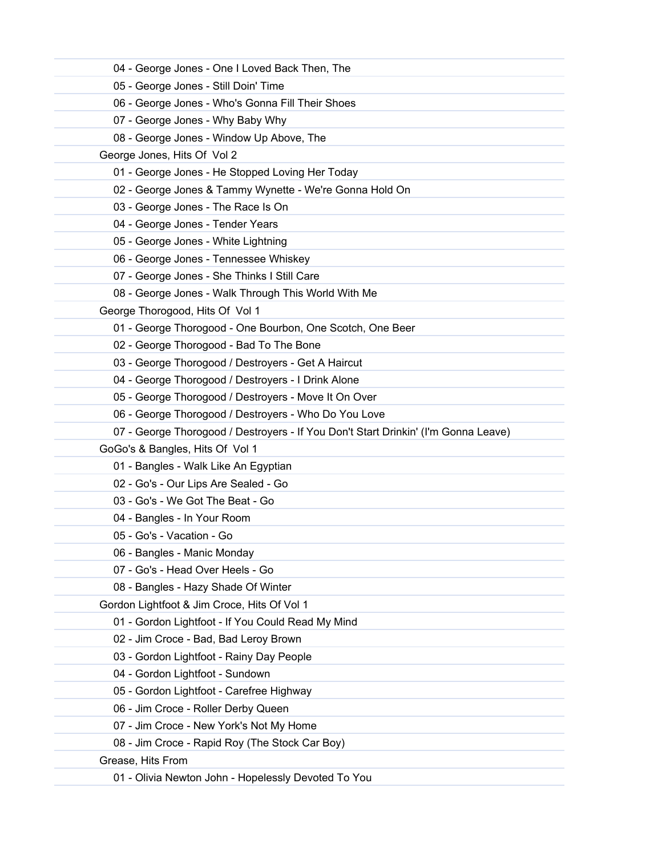| 04 - George Jones - One I Loved Back Then, The                                     |
|------------------------------------------------------------------------------------|
| 05 - George Jones - Still Doin' Time                                               |
| 06 - George Jones - Who's Gonna Fill Their Shoes                                   |
| 07 - George Jones - Why Baby Why                                                   |
| 08 - George Jones - Window Up Above, The                                           |
| George Jones, Hits Of Vol 2                                                        |
| 01 - George Jones - He Stopped Loving Her Today                                    |
| 02 - George Jones & Tammy Wynette - We're Gonna Hold On                            |
| 03 - George Jones - The Race Is On                                                 |
| 04 - George Jones - Tender Years                                                   |
| 05 - George Jones - White Lightning                                                |
| 06 - George Jones - Tennessee Whiskey                                              |
| 07 - George Jones - She Thinks I Still Care                                        |
| 08 - George Jones - Walk Through This World With Me                                |
| George Thorogood, Hits Of Vol 1                                                    |
| 01 - George Thorogood - One Bourbon, One Scotch, One Beer                          |
| 02 - George Thorogood - Bad To The Bone                                            |
| 03 - George Thorogood / Destroyers - Get A Haircut                                 |
| 04 - George Thorogood / Destroyers - I Drink Alone                                 |
| 05 - George Thorogood / Destroyers - Move It On Over                               |
| 06 - George Thorogood / Destroyers - Who Do You Love                               |
|                                                                                    |
| 07 - George Thorogood / Destroyers - If You Don't Start Drinkin' (I'm Gonna Leave) |
| GoGo's & Bangles, Hits Of Vol 1                                                    |
| 01 - Bangles - Walk Like An Egyptian                                               |
| 02 - Go's - Our Lips Are Sealed - Go                                               |
| 03 - Go's - We Got The Beat - Go                                                   |
| 04 - Bangles - In Your Room                                                        |
| 05 - Go's - Vacation - Go                                                          |
| 06 - Bangles - Manic Monday                                                        |
| 07 - Go's - Head Over Heels - Go                                                   |
| 08 - Bangles - Hazy Shade Of Winter                                                |
| Gordon Lightfoot & Jim Croce, Hits Of Vol 1                                        |
| 01 - Gordon Lightfoot - If You Could Read My Mind                                  |
| 02 - Jim Croce - Bad, Bad Leroy Brown                                              |
| 03 - Gordon Lightfoot - Rainy Day People                                           |
| 04 - Gordon Lightfoot - Sundown                                                    |
| 05 - Gordon Lightfoot - Carefree Highway                                           |
| 06 - Jim Croce - Roller Derby Queen                                                |
| 07 - Jim Croce - New York's Not My Home                                            |
| 08 - Jim Croce - Rapid Roy (The Stock Car Boy)                                     |
| Grease, Hits From                                                                  |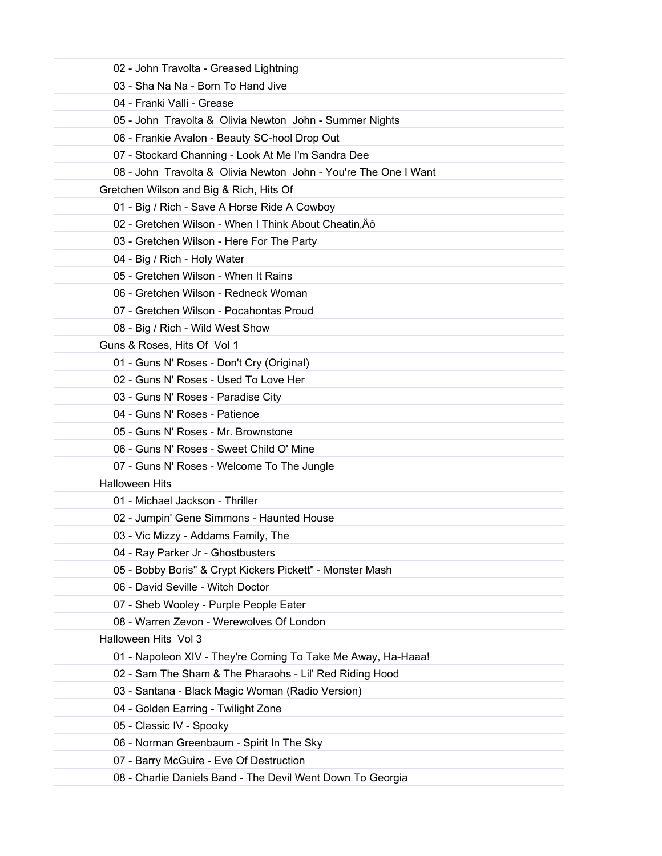| 02 - John Travolta - Greased Lightning                          |
|-----------------------------------------------------------------|
| 03 - Sha Na Na - Born To Hand Jive                              |
| 04 - Franki Valli - Grease                                      |
| 05 - John Travolta & Olivia Newton John - Summer Nights         |
| 06 - Frankie Avalon - Beauty SC-hool Drop Out                   |
| 07 - Stockard Channing - Look At Me I'm Sandra Dee              |
| 08 - John Travolta & Olivia Newton John - You're The One I Want |
| Gretchen Wilson and Big & Rich, Hits Of                         |
| 01 - Big / Rich - Save A Horse Ride A Cowboy                    |
| 02 - Gretchen Wilson - When I Think About Cheatin, Äô           |
| 03 - Gretchen Wilson - Here For The Party                       |
| 04 - Big / Rich - Holy Water                                    |
| 05 - Gretchen Wilson - When It Rains                            |
| 06 - Gretchen Wilson - Redneck Woman                            |
| 07 - Gretchen Wilson - Pocahontas Proud                         |
| 08 - Big / Rich - Wild West Show                                |
| Guns & Roses, Hits Of Vol 1                                     |
| 01 - Guns N' Roses - Don't Cry (Original)                       |
| 02 - Guns N' Roses - Used To Love Her                           |
| 03 - Guns N' Roses - Paradise City                              |
| 04 - Guns N' Roses - Patience                                   |
| 05 - Guns N' Roses - Mr. Brownstone                             |
| 06 - Guns N' Roses - Sweet Child O' Mine                        |
| 07 - Guns N' Roses - Welcome To The Jungle                      |
| <b>Halloween Hits</b>                                           |
| 01 - Michael Jackson - Thriller                                 |
| 02 - Jumpin' Gene Simmons - Haunted House                       |
| 03 - Vic Mizzy - Addams Family, The                             |
| 04 - Ray Parker Jr - Ghostbusters                               |
| 05 - Bobby Boris" & Crypt Kickers Pickett" - Monster Mash       |
| 06 - David Seville - Witch Doctor                               |
| 07 - Sheb Wooley - Purple People Eater                          |
| 08 - Warren Zevon - Werewolves Of London                        |
| Halloween Hits Vol 3                                            |
| 01 - Napoleon XIV - They're Coming To Take Me Away, Ha-Haaa!    |
| 02 - Sam The Sham & The Pharaohs - Lil' Red Riding Hood         |
| 03 - Santana - Black Magic Woman (Radio Version)                |
| 04 - Golden Earring - Twilight Zone                             |
| 05 - Classic IV - Spooky                                        |
| 06 - Norman Greenbaum - Spirit In The Sky                       |
| 07 - Barry McGuire - Eve Of Destruction                         |
| 08 - Charlie Daniels Band - The Devil Went Down To Georgia      |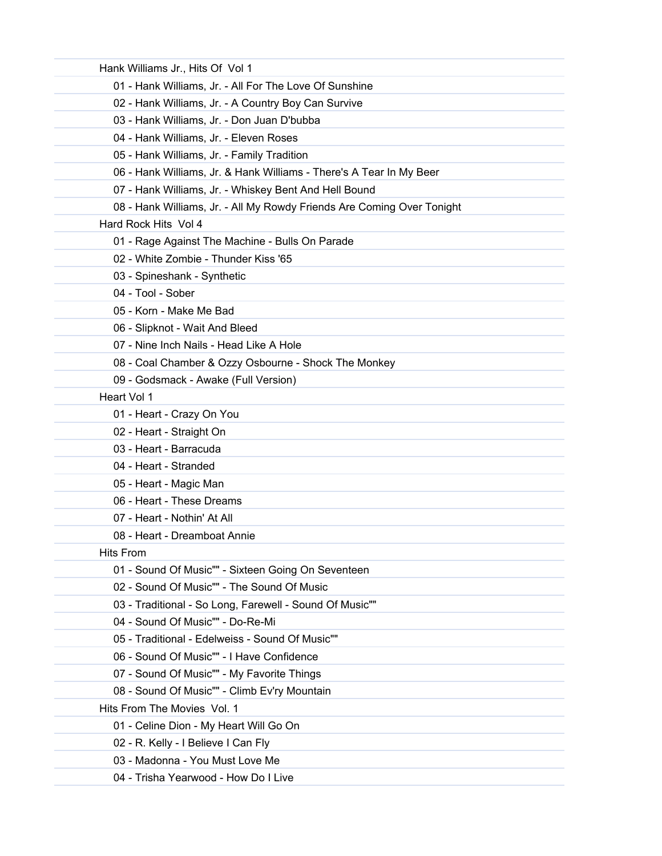| Hank Williams Jr., Hits Of Vol 1                                       |
|------------------------------------------------------------------------|
| 01 - Hank Williams, Jr. - All For The Love Of Sunshine                 |
| 02 - Hank Williams, Jr. - A Country Boy Can Survive                    |
| 03 - Hank Williams, Jr. - Don Juan D'bubba                             |
| 04 - Hank Williams, Jr. - Eleven Roses                                 |
| 05 - Hank Williams, Jr. - Family Tradition                             |
| 06 - Hank Williams, Jr. & Hank Williams - There's A Tear In My Beer    |
| 07 - Hank Williams, Jr. - Whiskey Bent And Hell Bound                  |
| 08 - Hank Williams, Jr. - All My Rowdy Friends Are Coming Over Tonight |
| Hard Rock Hits Vol 4                                                   |
| 01 - Rage Against The Machine - Bulls On Parade                        |
| 02 - White Zombie - Thunder Kiss '65                                   |
| 03 - Spineshank - Synthetic                                            |
| 04 - Tool - Sober                                                      |
| 05 - Korn - Make Me Bad                                                |
| 06 - Slipknot - Wait And Bleed                                         |
| 07 - Nine Inch Nails - Head Like A Hole                                |
| 08 - Coal Chamber & Ozzy Osbourne - Shock The Monkey                   |
| 09 - Godsmack - Awake (Full Version)                                   |
| Heart Vol 1                                                            |
| 01 - Heart - Crazy On You                                              |
| 02 - Heart - Straight On                                               |
| 03 - Heart - Barracuda                                                 |
| 04 - Heart - Stranded                                                  |
| 05 - Heart - Magic Man                                                 |
| 06 - Heart - These Dreams                                              |
| 07 - Heart - Nothin' At All                                            |
| 08 - Heart - Dreamboat Annie                                           |
| <b>Hits From</b>                                                       |
| 01 - Sound Of Music"" - Sixteen Going On Seventeen                     |
| 02 - Sound Of Music"" - The Sound Of Music                             |
| 03 - Traditional - So Long, Farewell - Sound Of Music""                |
| 04 - Sound Of Music"" - Do-Re-Mi                                       |
| 05 - Traditional - Edelweiss - Sound Of Music""                        |
| 06 - Sound Of Music"" - I Have Confidence                              |
| 07 - Sound Of Music"" - My Favorite Things                             |
| 08 - Sound Of Music"" - Climb Ev'ry Mountain                           |
| Hits From The Movies Vol. 1                                            |
| 01 - Celine Dion - My Heart Will Go On                                 |
| 02 - R. Kelly - I Believe I Can Fly                                    |
| 03 - Madonna - You Must Love Me                                        |
| 04 - Trisha Yearwood - How Do I Live                                   |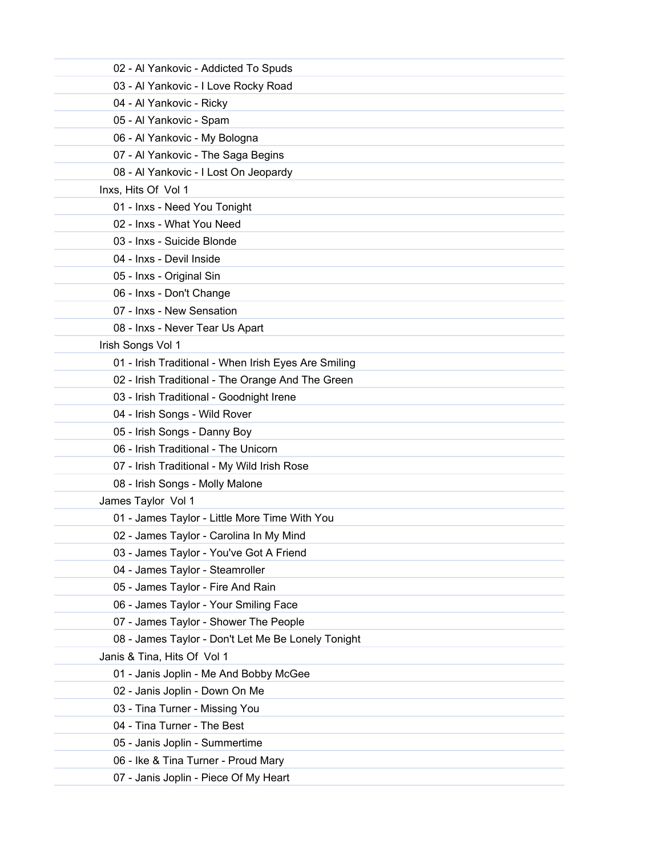| 02 - Al Yankovic - Addicted To Spuds                 |
|------------------------------------------------------|
| 03 - Al Yankovic - I Love Rocky Road                 |
| 04 - Al Yankovic - Ricky                             |
| 05 - Al Yankovic - Spam                              |
| 06 - Al Yankovic - My Bologna                        |
| 07 - Al Yankovic - The Saga Begins                   |
| 08 - Al Yankovic - I Lost On Jeopardy                |
| Inxs, Hits Of Vol 1                                  |
| 01 - Inxs - Need You Tonight                         |
| 02 - Inxs - What You Need                            |
| 03 - Inxs - Suicide Blonde                           |
| 04 - Inxs - Devil Inside                             |
| 05 - Inxs - Original Sin                             |
| 06 - Inxs - Don't Change                             |
| 07 - Inxs - New Sensation                            |
| 08 - Inxs - Never Tear Us Apart                      |
| Irish Songs Vol 1                                    |
| 01 - Irish Traditional - When Irish Eyes Are Smiling |
| 02 - Irish Traditional - The Orange And The Green    |
| 03 - Irish Traditional - Goodnight Irene             |
| 04 - Irish Songs - Wild Rover                        |
| 05 - Irish Songs - Danny Boy                         |
| 06 - Irish Traditional - The Unicorn                 |
| 07 - Irish Traditional - My Wild Irish Rose          |
| 08 - Irish Songs - Molly Malone                      |
| James Taylor Vol 1                                   |
| 01 - James Taylor - Little More Time With You        |
| 02 - James Taylor - Carolina In My Mind              |
| 03 - James Taylor - You've Got A Friend              |
| 04 - James Taylor - Steamroller                      |
| 05 - James Taylor - Fire And Rain                    |
| 06 - James Taylor - Your Smiling Face                |
| 07 - James Taylor - Shower The People                |
| 08 - James Taylor - Don't Let Me Be Lonely Tonight   |
| Janis & Tina, Hits Of Vol 1                          |
| 01 - Janis Joplin - Me And Bobby McGee               |
| 02 - Janis Joplin - Down On Me                       |
| 03 - Tina Turner - Missing You                       |
| 04 - Tina Turner - The Best                          |
| 05 - Janis Joplin - Summertime                       |
| 06 - Ike & Tina Turner - Proud Mary                  |
| 07 - Janis Joplin - Piece Of My Heart                |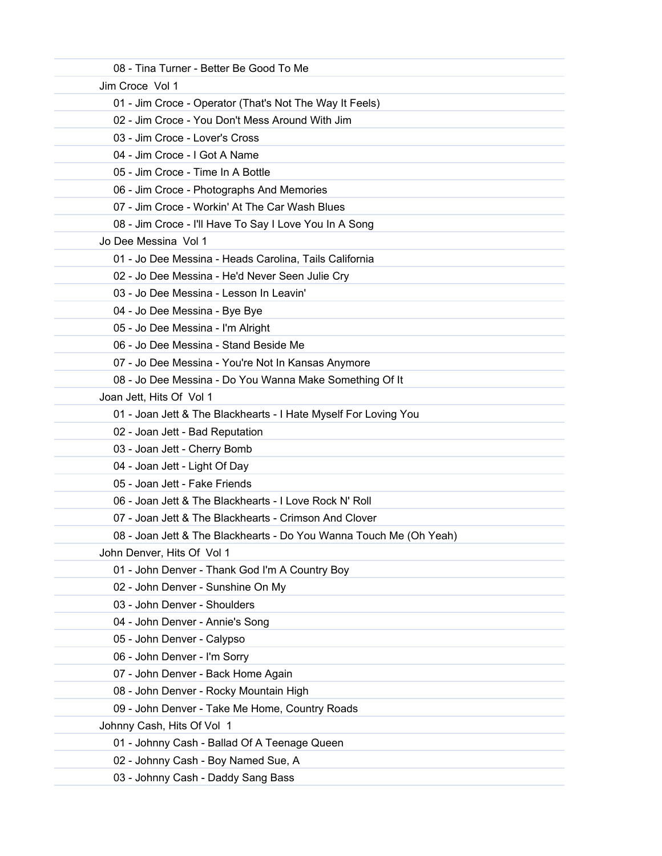| 08 - Tina Turner - Better Be Good To Me                            |
|--------------------------------------------------------------------|
| Jim Croce Vol 1                                                    |
| 01 - Jim Croce - Operator (That's Not The Way It Feels)            |
| 02 - Jim Croce - You Don't Mess Around With Jim                    |
| 03 - Jim Croce - Lover's Cross                                     |
| 04 - Jim Croce - I Got A Name                                      |
| 05 - Jim Croce - Time In A Bottle                                  |
| 06 - Jim Croce - Photographs And Memories                          |
| 07 - Jim Croce - Workin' At The Car Wash Blues                     |
| 08 - Jim Croce - I'll Have To Say I Love You In A Song             |
| Jo Dee Messina Vol 1                                               |
| 01 - Jo Dee Messina - Heads Carolina, Tails California             |
| 02 - Jo Dee Messina - He'd Never Seen Julie Cry                    |
| 03 - Jo Dee Messina - Lesson In Leavin'                            |
| 04 - Jo Dee Messina - Bye Bye                                      |
| 05 - Jo Dee Messina - I'm Alright                                  |
| 06 - Jo Dee Messina - Stand Beside Me                              |
| 07 - Jo Dee Messina - You're Not In Kansas Anymore                 |
| 08 - Jo Dee Messina - Do You Wanna Make Something Of It            |
| Joan Jett, Hits Of Vol 1                                           |
| 01 - Joan Jett & The Blackhearts - I Hate Myself For Loving You    |
| 02 - Joan Jett - Bad Reputation                                    |
| 03 - Joan Jett - Cherry Bomb                                       |
| 04 - Joan Jett - Light Of Day                                      |
| 05 - Joan Jett - Fake Friends                                      |
| 06 - Joan Jett & The Blackhearts - I Love Rock N' Roll             |
| 07 - Joan Jett & The Blackhearts - Crimson And Clover              |
| 08 - Joan Jett & The Blackhearts - Do You Wanna Touch Me (Oh Yeah) |
| John Denver, Hits Of Vol 1                                         |
| 01 - John Denver - Thank God I'm A Country Boy                     |
| 02 - John Denver - Sunshine On My                                  |
| 03 - John Denver - Shoulders                                       |
| 04 - John Denver - Annie's Song                                    |
| 05 - John Denver - Calypso                                         |
| 06 - John Denver - I'm Sorry                                       |
| 07 - John Denver - Back Home Again                                 |
| 08 - John Denver - Rocky Mountain High                             |
| 09 - John Denver - Take Me Home, Country Roads                     |
| Johnny Cash, Hits Of Vol 1                                         |
| 01 - Johnny Cash - Ballad Of A Teenage Queen                       |
| 02 - Johnny Cash - Boy Named Sue, A                                |
| 03 - Johnny Cash - Daddy Sang Bass                                 |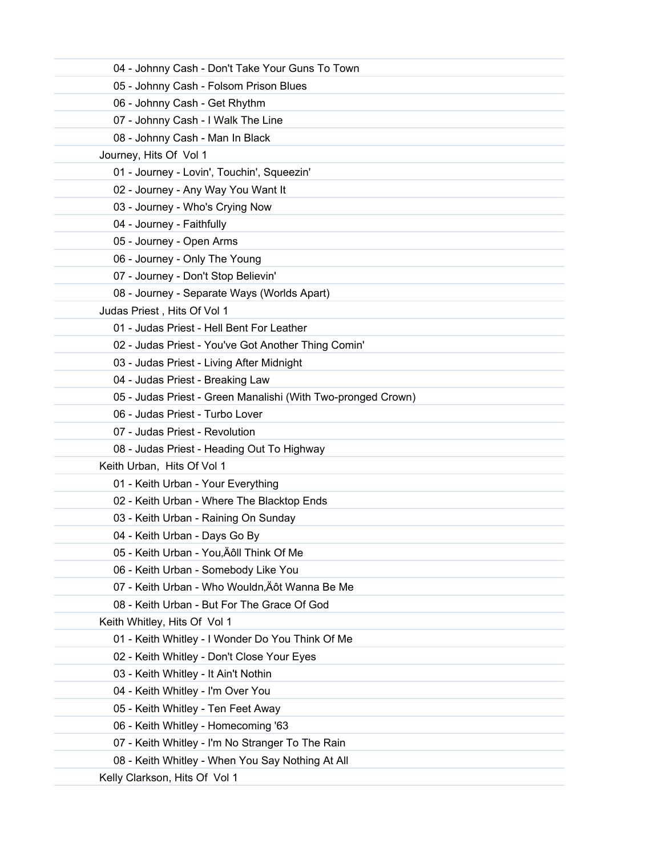| 04 - Johnny Cash - Don't Take Your Guns To Town              |
|--------------------------------------------------------------|
| 05 - Johnny Cash - Folsom Prison Blues                       |
| 06 - Johnny Cash - Get Rhythm                                |
| 07 - Johnny Cash - I Walk The Line                           |
| 08 - Johnny Cash - Man In Black                              |
| Journey, Hits Of Vol 1                                       |
| 01 - Journey - Lovin', Touchin', Squeezin'                   |
| 02 - Journey - Any Way You Want It                           |
| 03 - Journey - Who's Crying Now                              |
| 04 - Journey - Faithfully                                    |
| 05 - Journey - Open Arms                                     |
| 06 - Journey - Only The Young                                |
| 07 - Journey - Don't Stop Believin'                          |
| 08 - Journey - Separate Ways (Worlds Apart)                  |
| Judas Priest, Hits Of Vol 1                                  |
| 01 - Judas Priest - Hell Bent For Leather                    |
| 02 - Judas Priest - You've Got Another Thing Comin'          |
| 03 - Judas Priest - Living After Midnight                    |
| 04 - Judas Priest - Breaking Law                             |
| 05 - Judas Priest - Green Manalishi (With Two-pronged Crown) |
| 06 - Judas Priest - Turbo Lover                              |
| 07 - Judas Priest - Revolution                               |
| 08 - Judas Priest - Heading Out To Highway                   |
| Keith Urban, Hits Of Vol 1                                   |
| 01 - Keith Urban - Your Everything                           |
| 02 - Keith Urban - Where The Blacktop Ends                   |
| 03 - Keith Urban - Raining On Sunday                         |
| 04 - Keith Urban - Days Go By                                |
| 05 - Keith Urban - You, Äôll Think Of Me                     |
| 06 - Keith Urban - Somebody Like You                         |
| 07 - Keith Urban - Who Wouldn, Äôt Wanna Be Me               |
| 08 - Keith Urban - But For The Grace Of God                  |
| Keith Whitley, Hits Of Vol 1                                 |
| 01 - Keith Whitley - I Wonder Do You Think Of Me             |
| 02 - Keith Whitley - Don't Close Your Eyes                   |
| 03 - Keith Whitley - It Ain't Nothin                         |
| 04 - Keith Whitley - I'm Over You                            |
| 05 - Keith Whitley - Ten Feet Away                           |
| 06 - Keith Whitley - Homecoming '63                          |
| 07 - Keith Whitley - I'm No Stranger To The Rain             |
| 08 - Keith Whitley - When You Say Nothing At All             |
| Kelly Clarkson, Hits Of Vol 1                                |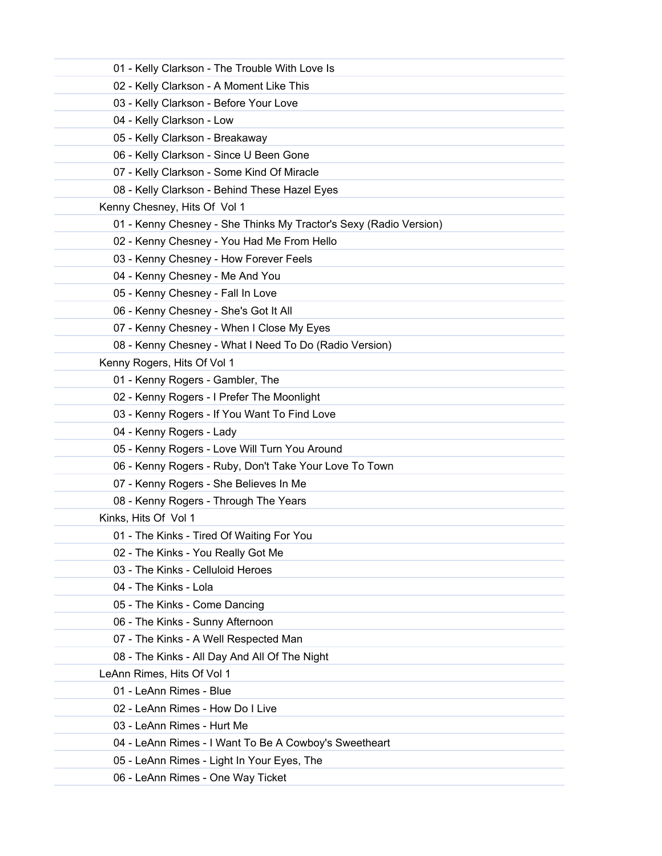| 01 - Kelly Clarkson - The Trouble With Love Is                    |
|-------------------------------------------------------------------|
| 02 - Kelly Clarkson - A Moment Like This                          |
| 03 - Kelly Clarkson - Before Your Love                            |
| 04 - Kelly Clarkson - Low                                         |
| 05 - Kelly Clarkson - Breakaway                                   |
| 06 - Kelly Clarkson - Since U Been Gone                           |
| 07 - Kelly Clarkson - Some Kind Of Miracle                        |
| 08 - Kelly Clarkson - Behind These Hazel Eyes                     |
| Kenny Chesney, Hits Of Vol 1                                      |
| 01 - Kenny Chesney - She Thinks My Tractor's Sexy (Radio Version) |
| 02 - Kenny Chesney - You Had Me From Hello                        |
| 03 - Kenny Chesney - How Forever Feels                            |
| 04 - Kenny Chesney - Me And You                                   |
| 05 - Kenny Chesney - Fall In Love                                 |
| 06 - Kenny Chesney - She's Got It All                             |
| 07 - Kenny Chesney - When I Close My Eyes                         |
| 08 - Kenny Chesney - What I Need To Do (Radio Version)            |
| Kenny Rogers, Hits Of Vol 1                                       |
| 01 - Kenny Rogers - Gambler, The                                  |
| 02 - Kenny Rogers - I Prefer The Moonlight                        |
| 03 - Kenny Rogers - If You Want To Find Love                      |
| 04 - Kenny Rogers - Lady                                          |
| 05 - Kenny Rogers - Love Will Turn You Around                     |
| 06 - Kenny Rogers - Ruby, Don't Take Your Love To Town            |
| 07 - Kenny Rogers - She Believes In Me                            |
| 08 - Kenny Rogers - Through The Years                             |
| Kinks, Hits Of Vol 1                                              |
| 01 - The Kinks - Tired Of Waiting For You                         |
| 02 - The Kinks - You Really Got Me                                |
| 03 - The Kinks - Celluloid Heroes                                 |
| 04 - The Kinks - Lola                                             |
| 05 - The Kinks - Come Dancing                                     |
| 06 - The Kinks - Sunny Afternoon                                  |
| 07 - The Kinks - A Well Respected Man                             |
| 08 - The Kinks - All Day And All Of The Night                     |
| LeAnn Rimes, Hits Of Vol 1                                        |
| 01 - LeAnn Rimes - Blue                                           |
| 02 - LeAnn Rimes - How Do I Live                                  |
| 03 - LeAnn Rimes - Hurt Me                                        |
| 04 - LeAnn Rimes - I Want To Be A Cowboy's Sweetheart             |
| 05 - LeAnn Rimes - Light In Your Eyes, The                        |
| 06 - LeAnn Rimes - One Way Ticket                                 |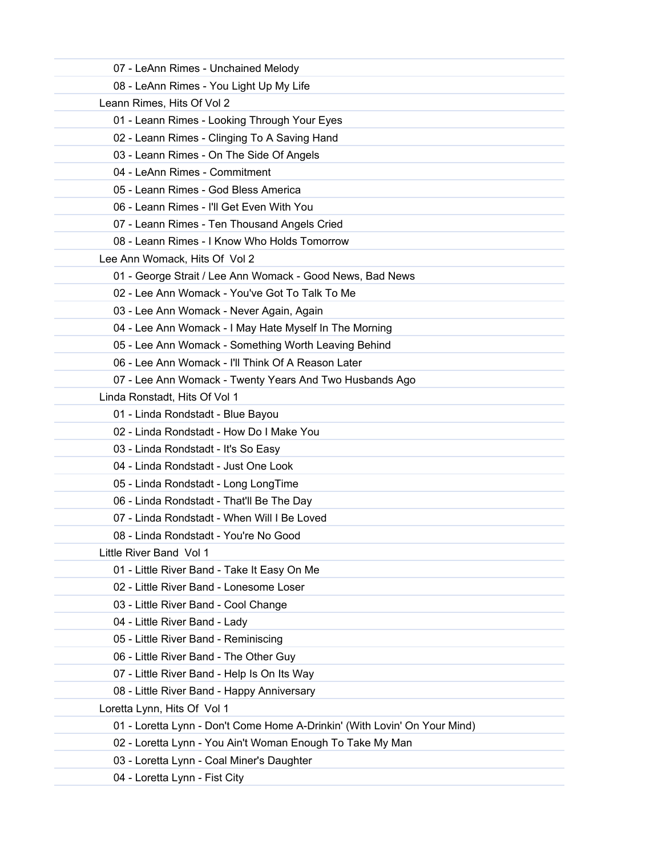| 07 - LeAnn Rimes - Unchained Melody                                       |
|---------------------------------------------------------------------------|
| 08 - LeAnn Rimes - You Light Up My Life                                   |
| Leann Rimes, Hits Of Vol 2                                                |
| 01 - Leann Rimes - Looking Through Your Eyes                              |
| 02 - Leann Rimes - Clinging To A Saving Hand                              |
| 03 - Leann Rimes - On The Side Of Angels                                  |
| 04 - LeAnn Rimes - Commitment                                             |
| 05 - Leann Rimes - God Bless America                                      |
| 06 - Leann Rimes - I'll Get Even With You                                 |
| 07 - Leann Rimes - Ten Thousand Angels Cried                              |
| 08 - Leann Rimes - I Know Who Holds Tomorrow                              |
| Lee Ann Womack, Hits Of Vol 2                                             |
| 01 - George Strait / Lee Ann Womack - Good News, Bad News                 |
| 02 - Lee Ann Womack - You've Got To Talk To Me                            |
| 03 - Lee Ann Womack - Never Again, Again                                  |
| 04 - Lee Ann Womack - I May Hate Myself In The Morning                    |
| 05 - Lee Ann Womack - Something Worth Leaving Behind                      |
| 06 - Lee Ann Womack - I'll Think Of A Reason Later                        |
| 07 - Lee Ann Womack - Twenty Years And Two Husbands Ago                   |
| Linda Ronstadt, Hits Of Vol 1                                             |
| 01 - Linda Rondstadt - Blue Bayou                                         |
| 02 - Linda Rondstadt - How Do I Make You                                  |
| 03 - Linda Rondstadt - It's So Easy                                       |
| 04 - Linda Rondstadt - Just One Look                                      |
| 05 - Linda Rondstadt - Long LongTime                                      |
| 06 - Linda Rondstadt - That'll Be The Day                                 |
| 07 - Linda Rondstadt - When Will I Be Loved                               |
| 08 - Linda Rondstadt - You're No Good                                     |
| Little River Band Vol 1                                                   |
| 01 - Little River Band - Take It Easy On Me                               |
| 02 - Little River Band - Lonesome Loser                                   |
| 03 - Little River Band - Cool Change                                      |
| 04 - Little River Band - Lady                                             |
| 05 - Little River Band - Reminiscing                                      |
| 06 - Little River Band - The Other Guy                                    |
| 07 - Little River Band - Help Is On Its Way                               |
| 08 - Little River Band - Happy Anniversary                                |
| Loretta Lynn, Hits Of Vol 1                                               |
| 01 - Loretta Lynn - Don't Come Home A-Drinkin' (With Lovin' On Your Mind) |
| 02 - Loretta Lynn - You Ain't Woman Enough To Take My Man                 |
| 03 - Loretta Lynn - Coal Miner's Daughter                                 |
| 04 - Loretta Lynn - Fist City                                             |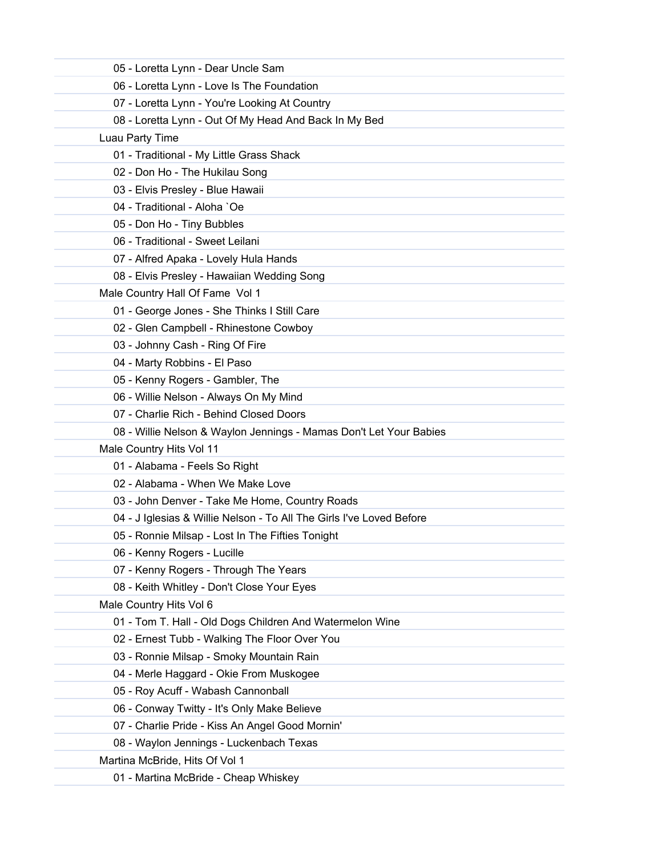| 05 - Loretta Lynn - Dear Uncle Sam                                   |  |
|----------------------------------------------------------------------|--|
| 06 - Loretta Lynn - Love Is The Foundation                           |  |
| 07 - Loretta Lynn - You're Looking At Country                        |  |
| 08 - Loretta Lynn - Out Of My Head And Back In My Bed                |  |
| Luau Party Time                                                      |  |
| 01 - Traditional - My Little Grass Shack                             |  |
| 02 - Don Ho - The Hukilau Song                                       |  |
| 03 - Elvis Presley - Blue Hawaii                                     |  |
| 04 - Traditional - Aloha `Oe                                         |  |
| 05 - Don Ho - Tiny Bubbles                                           |  |
| 06 - Traditional - Sweet Leilani                                     |  |
| 07 - Alfred Apaka - Lovely Hula Hands                                |  |
| 08 - Elvis Presley - Hawaiian Wedding Song                           |  |
| Male Country Hall Of Fame Vol 1                                      |  |
| 01 - George Jones - She Thinks I Still Care                          |  |
| 02 - Glen Campbell - Rhinestone Cowboy                               |  |
| 03 - Johnny Cash - Ring Of Fire                                      |  |
| 04 - Marty Robbins - El Paso                                         |  |
| 05 - Kenny Rogers - Gambler, The                                     |  |
| 06 - Willie Nelson - Always On My Mind                               |  |
| 07 - Charlie Rich - Behind Closed Doors                              |  |
|                                                                      |  |
| 08 - Willie Nelson & Waylon Jennings - Mamas Don't Let Your Babies   |  |
| Male Country Hits Vol 11                                             |  |
| 01 - Alabama - Feels So Right                                        |  |
| 02 - Alabama - When We Make Love                                     |  |
| 03 - John Denver - Take Me Home, Country Roads                       |  |
| 04 - J Iglesias & Willie Nelson - To All The Girls I've Loved Before |  |
| 05 - Ronnie Milsap - Lost In The Fifties Tonight                     |  |
| 06 - Kenny Rogers - Lucille                                          |  |
| 07 - Kenny Rogers - Through The Years                                |  |
| 08 - Keith Whitley - Don't Close Your Eyes                           |  |
| Male Country Hits Vol 6                                              |  |
| 01 - Tom T. Hall - Old Dogs Children And Watermelon Wine             |  |
| 02 - Ernest Tubb - Walking The Floor Over You                        |  |
| 03 - Ronnie Milsap - Smoky Mountain Rain                             |  |
| 04 - Merle Haggard - Okie From Muskogee                              |  |
| 05 - Roy Acuff - Wabash Cannonball                                   |  |
| 06 - Conway Twitty - It's Only Make Believe                          |  |
| 07 - Charlie Pride - Kiss An Angel Good Mornin'                      |  |
| 08 - Waylon Jennings - Luckenbach Texas                              |  |
| Martina McBride, Hits Of Vol 1                                       |  |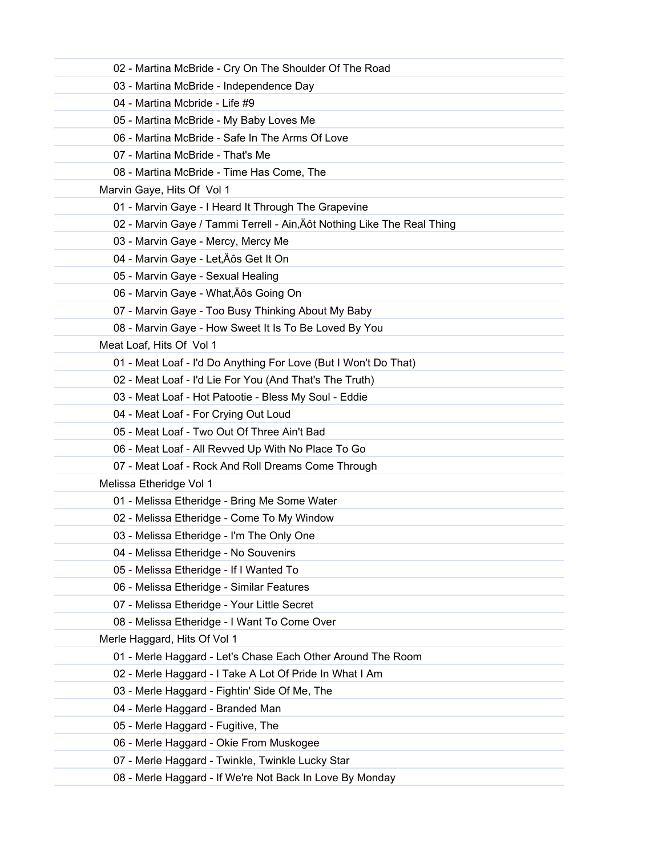| 02 - Martina McBride - Cry On The Shoulder Of The Road                  |
|-------------------------------------------------------------------------|
| 03 - Martina McBride - Independence Day                                 |
| 04 - Martina Mcbride - Life #9                                          |
| 05 - Martina McBride - My Baby Loves Me                                 |
| 06 - Martina McBride - Safe In The Arms Of Love                         |
| 07 - Martina McBride - That's Me                                        |
| 08 - Martina McBride - Time Has Come, The                               |
| Marvin Gaye, Hits Of Vol 1                                              |
| 01 - Marvin Gaye - I Heard It Through The Grapevine                     |
| 02 - Marvin Gaye / Tammi Terrell - Ain, Äôt Nothing Like The Real Thing |
| 03 - Marvin Gaye - Mercy, Mercy Me                                      |
| 04 - Marvin Gaye - Let, Äôs Get It On                                   |
| 05 - Marvin Gaye - Sexual Healing                                       |
| 06 - Marvin Gaye - What, Äôs Going On                                   |
| 07 - Marvin Gaye - Too Busy Thinking About My Baby                      |
| 08 - Marvin Gaye - How Sweet It Is To Be Loved By You                   |
| Meat Loaf, Hits Of Vol 1                                                |
| 01 - Meat Loaf - I'd Do Anything For Love (But I Won't Do That)         |
| 02 - Meat Loaf - I'd Lie For You (And That's The Truth)                 |
| 03 - Meat Loaf - Hot Patootie - Bless My Soul - Eddie                   |
| 04 - Meat Loaf - For Crying Out Loud                                    |
| 05 - Meat Loaf - Two Out Of Three Ain't Bad                             |
| 06 - Meat Loaf - All Revved Up With No Place To Go                      |
| 07 - Meat Loaf - Rock And Roll Dreams Come Through                      |
| Melissa Etheridge Vol 1                                                 |
| 01 - Melissa Etheridge - Bring Me Some Water                            |
| 02 - Melissa Etheridge - Come To My Window                              |
| 03 - Melissa Etheridge - I'm The Only One                               |
| 04 - Melissa Etheridge - No Souvenirs                                   |
| 05 - Melissa Etheridge - If I Wanted To                                 |
| 06 - Melissa Etheridge - Similar Features                               |
| 07 - Melissa Etheridge - Your Little Secret                             |
| 08 - Melissa Etheridge - I Want To Come Over                            |
| Merle Haggard, Hits Of Vol 1                                            |
| 01 - Merle Haggard - Let's Chase Each Other Around The Room             |
| 02 - Merle Haggard - I Take A Lot Of Pride In What I Am                 |
| 03 - Merle Haggard - Fightin' Side Of Me, The                           |
| 04 - Merle Haggard - Branded Man                                        |
| 05 - Merle Haggard - Fugitive, The                                      |
| 06 - Merle Haggard - Okie From Muskogee                                 |
| 07 - Merle Haggard - Twinkle, Twinkle Lucky Star                        |
| 08 - Merle Haggard - If We're Not Back In Love By Monday                |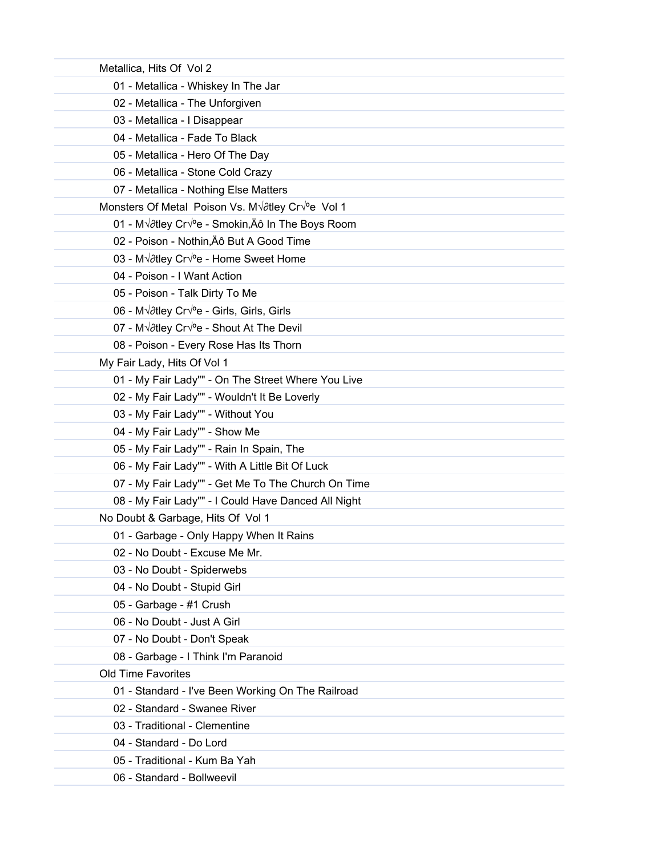| Metallica, Hits Of Vol 2                                      |
|---------------------------------------------------------------|
| 01 - Metallica - Whiskey In The Jar                           |
| 02 - Metallica - The Unforgiven                               |
| 03 - Metallica - I Disappear                                  |
| 04 - Metallica - Fade To Black                                |
| 05 - Metallica - Hero Of The Day                              |
| 06 - Metallica - Stone Cold Crazy                             |
| 07 - Metallica - Nothing Else Matters                         |
| Monsters Of Metal Poison Vs. M√∂tley Cr√ <sup>o</sup> e Vol 1 |
| 01 - M√∂tley Cr√ºe - Smokin,Äô In The Boys Room               |
| 02 - Poison - Nothin, Äô But A Good Time                      |
| 03 - Mötley Crüe - Home Sweet Home                            |
| 04 - Poison - I Want Action                                   |
| 05 - Poison - Talk Dirty To Me                                |
| 06 - Mötley Crüe - Girls, Girls, Girls                        |
| 07 - Mötley Crüe - Shout At The Devil                         |
| 08 - Poison - Every Rose Has Its Thorn                        |
| My Fair Lady, Hits Of Vol 1                                   |
| 01 - My Fair Lady"" - On The Street Where You Live            |
| 02 - My Fair Lady"" - Wouldn't It Be Loverly                  |
| 03 - My Fair Lady"" - Without You                             |
| 04 - My Fair Lady"" - Show Me                                 |
| 05 - My Fair Lady"" - Rain In Spain, The                      |
| 06 - My Fair Lady"" - With A Little Bit Of Luck               |
| 07 - My Fair Lady"" - Get Me To The Church On Time            |
| 08 - My Fair Lady"" - I Could Have Danced All Night           |
| No Doubt & Garbage, Hits Of Vol 1                             |
| 01 - Garbage - Only Happy When It Rains                       |
| 02 - No Doubt - Excuse Me Mr.                                 |
| 03 - No Doubt - Spiderwebs                                    |
| 04 - No Doubt - Stupid Girl                                   |
| 05 - Garbage - #1 Crush                                       |
| 06 - No Doubt - Just A Girl                                   |
| 07 - No Doubt - Don't Speak                                   |
| 08 - Garbage - I Think I'm Paranoid                           |
| <b>Old Time Favorites</b>                                     |
| 01 - Standard - I've Been Working On The Railroad             |
| 02 - Standard - Swanee River                                  |
| 03 - Traditional - Clementine                                 |
| 04 - Standard - Do Lord                                       |
| 05 - Traditional - Kum Ba Yah                                 |
| 06 - Standard - Bollweevil                                    |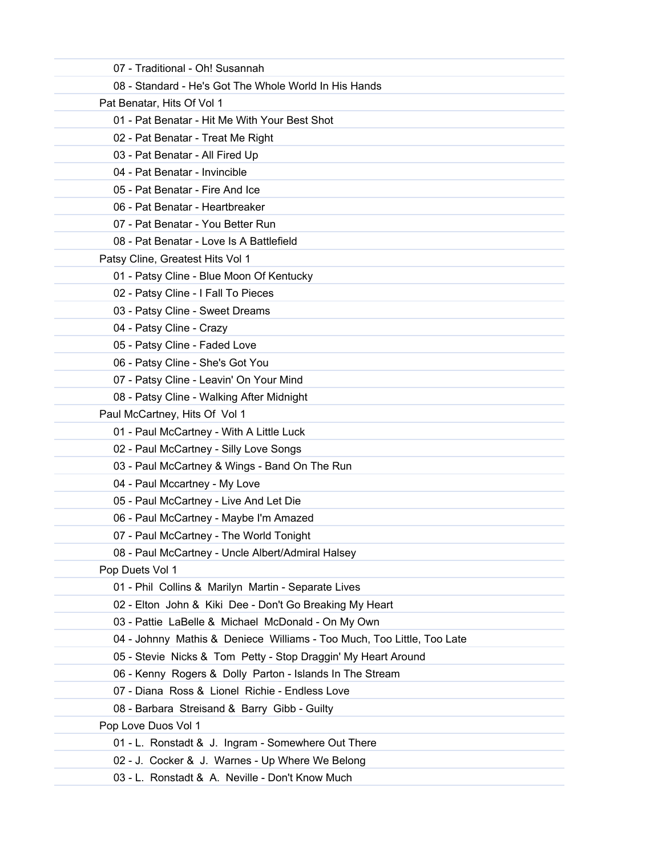| 07 - Traditional - Oh! Susannah                                        |
|------------------------------------------------------------------------|
| 08 - Standard - He's Got The Whole World In His Hands                  |
| Pat Benatar, Hits Of Vol 1                                             |
| 01 - Pat Benatar - Hit Me With Your Best Shot                          |
| 02 - Pat Benatar - Treat Me Right                                      |
| 03 - Pat Benatar - All Fired Up                                        |
| 04 - Pat Benatar - Invincible                                          |
| 05 - Pat Benatar - Fire And Ice                                        |
| 06 - Pat Benatar - Heartbreaker                                        |
| 07 - Pat Benatar - You Better Run                                      |
| 08 - Pat Benatar - Love Is A Battlefield                               |
| Patsy Cline, Greatest Hits Vol 1                                       |
| 01 - Patsy Cline - Blue Moon Of Kentucky                               |
| 02 - Patsy Cline - I Fall To Pieces                                    |
| 03 - Patsy Cline - Sweet Dreams                                        |
| 04 - Patsy Cline - Crazy                                               |
| 05 - Patsy Cline - Faded Love                                          |
| 06 - Patsy Cline - She's Got You                                       |
| 07 - Patsy Cline - Leavin' On Your Mind                                |
| 08 - Patsy Cline - Walking After Midnight                              |
| Paul McCartney, Hits Of Vol 1                                          |
| 01 - Paul McCartney - With A Little Luck                               |
| 02 - Paul McCartney - Silly Love Songs                                 |
| 03 - Paul McCartney & Wings - Band On The Run                          |
| 04 - Paul Mccartney - My Love                                          |
| 05 - Paul McCartney - Live And Let Die                                 |
| 06 - Paul McCartney - Maybe I'm Amazed                                 |
| 07 - Paul McCartney - The World Tonight                                |
| 08 - Paul McCartney - Uncle Albert/Admiral Halsey                      |
| Pop Duets Vol 1                                                        |
| 01 - Phil Collins & Marilyn Martin - Separate Lives                    |
| 02 - Elton John & Kiki Dee - Don't Go Breaking My Heart                |
| 03 - Pattie LaBelle & Michael McDonald - On My Own                     |
| 04 - Johnny Mathis & Deniece Williams - Too Much, Too Little, Too Late |
| 05 - Stevie Nicks & Tom Petty - Stop Draggin' My Heart Around          |
| 06 - Kenny Rogers & Dolly Parton - Islands In The Stream               |
| 07 - Diana Ross & Lionel Richie - Endless Love                         |
| 08 - Barbara Streisand & Barry Gibb - Guilty                           |
| Pop Love Duos Vol 1                                                    |
| 01 - L. Ronstadt & J. Ingram - Somewhere Out There                     |
| 02 - J. Cocker & J. Warnes - Up Where We Belong                        |
| 03 - L. Ronstadt & A. Neville - Don't Know Much                        |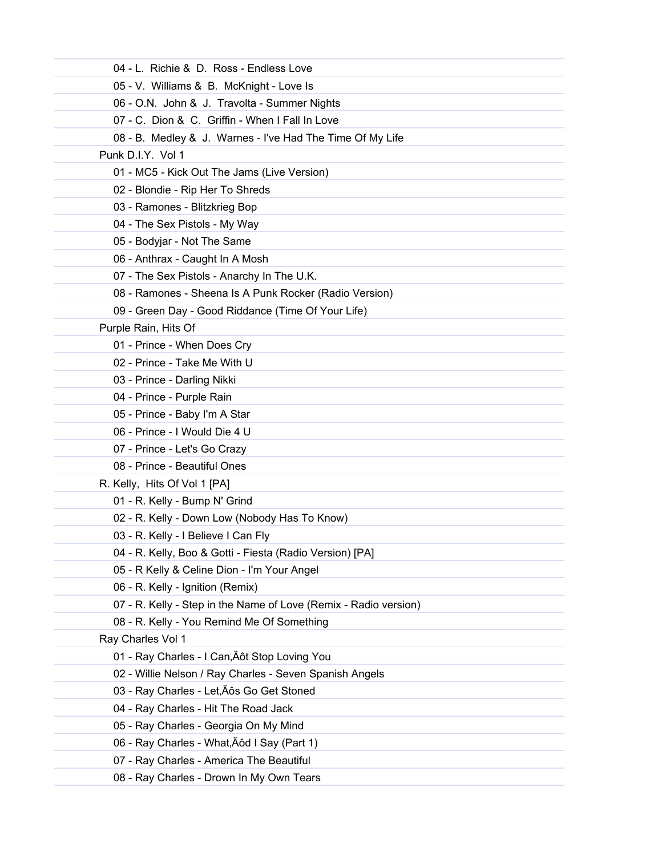| 04 - L. Richie & D. Ross - Endless Love                          |
|------------------------------------------------------------------|
| 05 - V. Williams & B. McKnight - Love Is                         |
| 06 - O.N. John & J. Travolta - Summer Nights                     |
| 07 - C. Dion & C. Griffin - When I Fall In Love                  |
| 08 - B. Medley & J. Warnes - I've Had The Time Of My Life        |
| Punk D.I.Y. Vol 1                                                |
| 01 - MC5 - Kick Out The Jams (Live Version)                      |
| 02 - Blondie - Rip Her To Shreds                                 |
| 03 - Ramones - Blitzkrieg Bop                                    |
| 04 - The Sex Pistols - My Way                                    |
| 05 - Bodyjar - Not The Same                                      |
| 06 - Anthrax - Caught In A Mosh                                  |
| 07 - The Sex Pistols - Anarchy In The U.K.                       |
| 08 - Ramones - Sheena Is A Punk Rocker (Radio Version)           |
| 09 - Green Day - Good Riddance (Time Of Your Life)               |
| Purple Rain, Hits Of                                             |
| 01 - Prince - When Does Cry                                      |
| 02 - Prince - Take Me With U                                     |
| 03 - Prince - Darling Nikki                                      |
| 04 - Prince - Purple Rain                                        |
| 05 - Prince - Baby I'm A Star                                    |
| 06 - Prince - I Would Die 4 U                                    |
| 07 - Prince - Let's Go Crazy                                     |
| 08 - Prince - Beautiful Ones                                     |
| R. Kelly, Hits Of Vol 1 [PA]                                     |
| 01 - R. Kelly - Bump N' Grind                                    |
| 02 - R. Kelly - Down Low (Nobody Has To Know)                    |
| 03 - R. Kelly - I Believe I Can Fly                              |
| 04 - R. Kelly, Boo & Gotti - Fiesta (Radio Version) [PA]         |
| 05 - R Kelly & Celine Dion - I'm Your Angel                      |
| 06 - R. Kelly - Ignition (Remix)                                 |
| 07 - R. Kelly - Step in the Name of Love (Remix - Radio version) |
| 08 - R. Kelly - You Remind Me Of Something                       |
| Ray Charles Vol 1                                                |
| 01 - Ray Charles - I Can, Äôt Stop Loving You                    |
| 02 - Willie Nelson / Ray Charles - Seven Spanish Angels          |
| 03 - Ray Charles - Let, Äôs Go Get Stoned                        |
| 04 - Ray Charles - Hit The Road Jack                             |
| 05 - Ray Charles - Georgia On My Mind                            |
| 06 - Ray Charles - What, Äôd I Say (Part 1)                      |
| 07 - Ray Charles - America The Beautiful                         |
| 08 - Ray Charles - Drown In My Own Tears                         |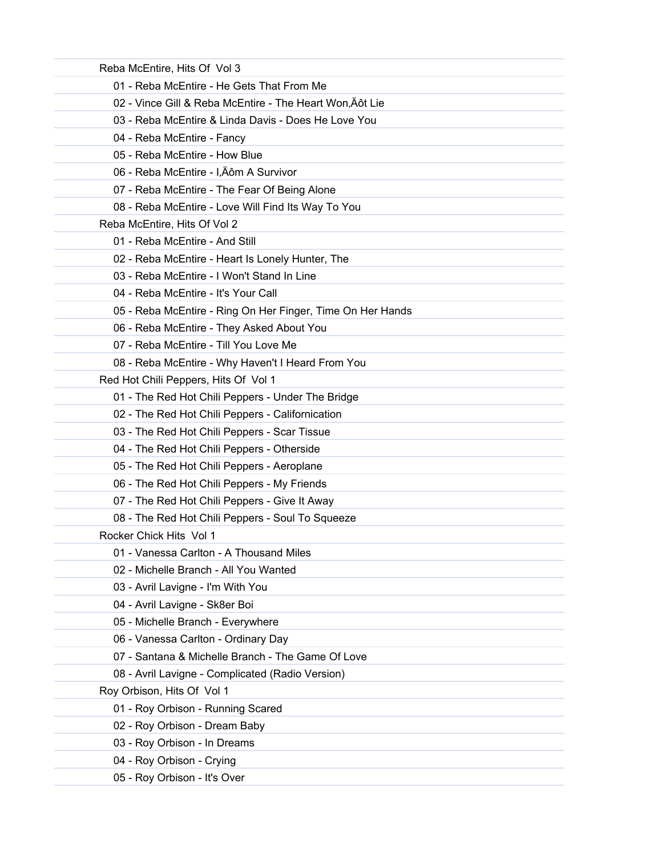| Reba McEntire, Hits Of Vol 3                               |
|------------------------------------------------------------|
| 01 - Reba McEntire - He Gets That From Me                  |
| 02 - Vince Gill & Reba McEntire - The Heart Won, Äôt Lie   |
| 03 - Reba McEntire & Linda Davis - Does He Love You        |
| 04 - Reba McEntire - Fancy                                 |
| 05 - Reba McEntire - How Blue                              |
| 06 - Reba McEntire - I.Äôm A Survivor                      |
| 07 - Reba McEntire - The Fear Of Being Alone               |
| 08 - Reba McEntire - Love Will Find Its Way To You         |
| Reba McEntire, Hits Of Vol 2                               |
| 01 - Reba McEntire - And Still                             |
| 02 - Reba McEntire - Heart Is Lonely Hunter, The           |
| 03 - Reba McEntire - I Won't Stand In Line                 |
| 04 - Reba McEntire - It's Your Call                        |
| 05 - Reba McEntire - Ring On Her Finger, Time On Her Hands |
| 06 - Reba McEntire - They Asked About You                  |
| 07 - Reba McEntire - Till You Love Me                      |
| 08 - Reba McEntire - Why Haven't I Heard From You          |
| Red Hot Chili Peppers, Hits Of Vol 1                       |
| 01 - The Red Hot Chili Peppers - Under The Bridge          |
| 02 - The Red Hot Chili Peppers - Californication           |
| 03 - The Red Hot Chili Peppers - Scar Tissue               |
| 04 - The Red Hot Chili Peppers - Otherside                 |
| 05 - The Red Hot Chili Peppers - Aeroplane                 |
| 06 - The Red Hot Chili Peppers - My Friends                |
| 07 - The Red Hot Chili Peppers - Give It Away              |
| 08 - The Red Hot Chili Peppers - Soul To Squeeze           |
| Rocker Chick Hits Vol 1                                    |
| 01 - Vanessa Carlton - A Thousand Miles                    |
| 02 - Michelle Branch - All You Wanted                      |
| 03 - Avril Lavigne - I'm With You                          |
| 04 - Avril Lavigne - Sk8er Boi                             |
| 05 - Michelle Branch - Everywhere                          |
| 06 - Vanessa Carlton - Ordinary Day                        |
| 07 - Santana & Michelle Branch - The Game Of Love          |
| 08 - Avril Lavigne - Complicated (Radio Version)           |
| Roy Orbison, Hits Of Vol 1                                 |
| 01 - Roy Orbison - Running Scared                          |
| 02 - Roy Orbison - Dream Baby                              |
| 03 - Roy Orbison - In Dreams                               |
| 04 - Roy Orbison - Crying                                  |
| 05 - Roy Orbison - It's Over                               |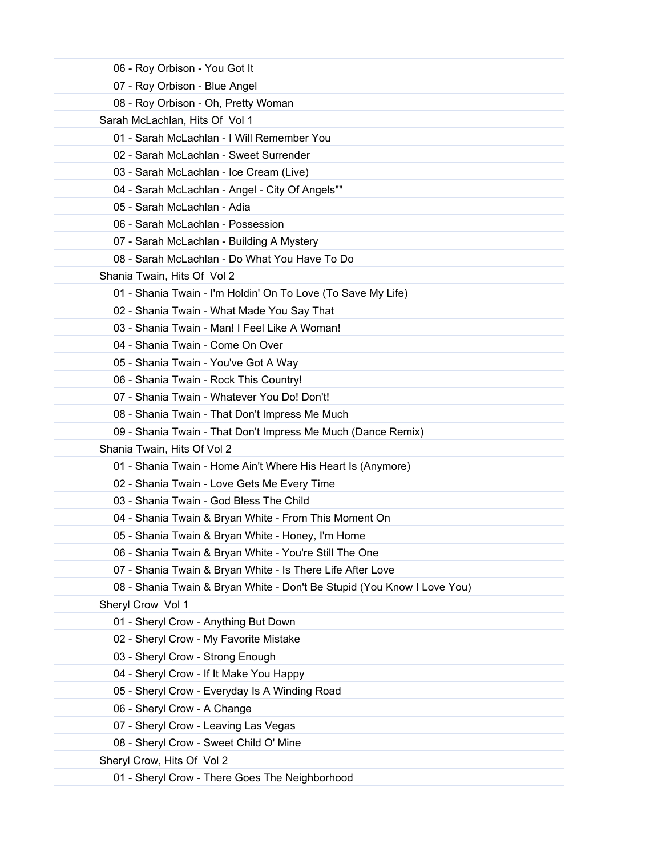| 06 - Roy Orbison - You Got It                                           |
|-------------------------------------------------------------------------|
| 07 - Roy Orbison - Blue Angel                                           |
| 08 - Roy Orbison - Oh, Pretty Woman                                     |
| Sarah McLachlan, Hits Of Vol 1                                          |
| 01 - Sarah McLachlan - I Will Remember You                              |
| 02 - Sarah McLachlan - Sweet Surrender                                  |
| 03 - Sarah McLachlan - Ice Cream (Live)                                 |
| 04 - Sarah McLachlan - Angel - City Of Angels""                         |
| 05 - Sarah McLachlan - Adia                                             |
| 06 - Sarah McLachlan - Possession                                       |
| 07 - Sarah McLachlan - Building A Mystery                               |
| 08 - Sarah McLachlan - Do What You Have To Do                           |
| Shania Twain, Hits Of Vol 2                                             |
| 01 - Shania Twain - I'm Holdin' On To Love (To Save My Life)            |
| 02 - Shania Twain - What Made You Say That                              |
| 03 - Shania Twain - Man! I Feel Like A Woman!                           |
| 04 - Shania Twain - Come On Over                                        |
| 05 - Shania Twain - You've Got A Way                                    |
| 06 - Shania Twain - Rock This Country!                                  |
| 07 - Shania Twain - Whatever You Do! Don't!                             |
| 08 - Shania Twain - That Don't Impress Me Much                          |
| 09 - Shania Twain - That Don't Impress Me Much (Dance Remix)            |
| Shania Twain, Hits Of Vol 2                                             |
| 01 - Shania Twain - Home Ain't Where His Heart Is (Anymore)             |
| 02 - Shania Twain - Love Gets Me Every Time                             |
| 03 - Shania Twain - God Bless The Child                                 |
| 04 - Shania Twain & Bryan White - From This Moment On                   |
| 05 - Shania Twain & Bryan White - Honey, I'm Home                       |
| 06 - Shania Twain & Bryan White - You're Still The One                  |
| 07 - Shania Twain & Bryan White - Is There Life After Love              |
| 08 - Shania Twain & Bryan White - Don't Be Stupid (You Know I Love You) |
| Sheryl Crow Vol 1                                                       |
| 01 - Sheryl Crow - Anything But Down                                    |
| 02 - Sheryl Crow - My Favorite Mistake                                  |
| 03 - Sheryl Crow - Strong Enough                                        |
| 04 - Sheryl Crow - If It Make You Happy                                 |
| 05 - Sheryl Crow - Everyday Is A Winding Road                           |
| 06 - Sheryl Crow - A Change                                             |
| 07 - Sheryl Crow - Leaving Las Vegas                                    |
| 08 - Sheryl Crow - Sweet Child O' Mine                                  |
| Sheryl Crow, Hits Of Vol 2                                              |
| 01 - Sheryl Crow - There Goes The Neighborhood                          |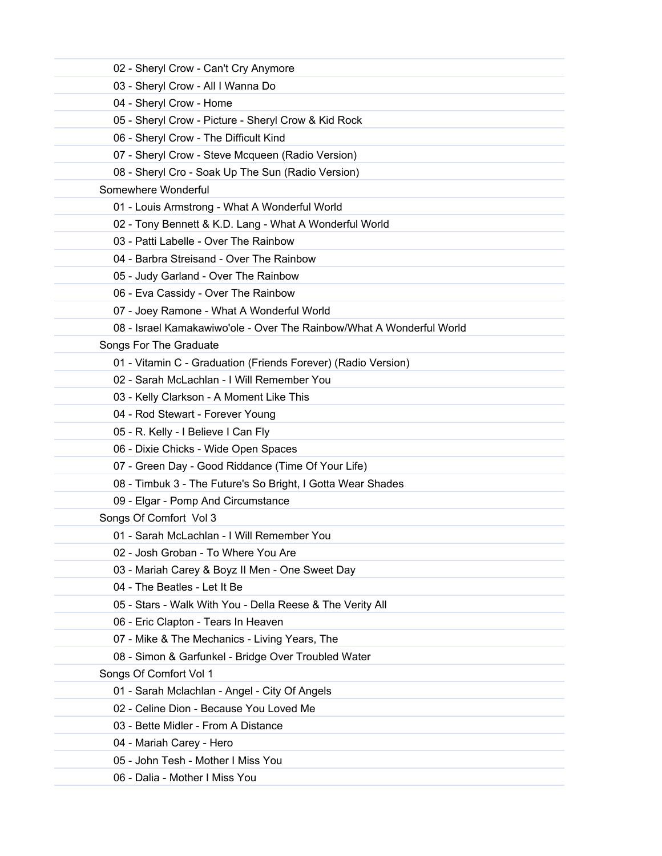| 02 - Sheryl Crow - Can't Cry Anymore                                 |
|----------------------------------------------------------------------|
| 03 - Sheryl Crow - All I Wanna Do                                    |
| 04 - Sheryl Crow - Home                                              |
| 05 - Sheryl Crow - Picture - Sheryl Crow & Kid Rock                  |
| 06 - Sheryl Crow - The Difficult Kind                                |
| 07 - Sheryl Crow - Steve Mcqueen (Radio Version)                     |
| 08 - Sheryl Cro - Soak Up The Sun (Radio Version)                    |
| Somewhere Wonderful                                                  |
| 01 - Louis Armstrong - What A Wonderful World                        |
| 02 - Tony Bennett & K.D. Lang - What A Wonderful World               |
| 03 - Patti Labelle - Over The Rainbow                                |
| 04 - Barbra Streisand - Over The Rainbow                             |
| 05 - Judy Garland - Over The Rainbow                                 |
| 06 - Eva Cassidy - Over The Rainbow                                  |
| 07 - Joey Ramone - What A Wonderful World                            |
| 08 - Israel Kamakawiwo'ole - Over The Rainbow/What A Wonderful World |
| Songs For The Graduate                                               |
| 01 - Vitamin C - Graduation (Friends Forever) (Radio Version)        |
| 02 - Sarah McLachlan - I Will Remember You                           |
| 03 - Kelly Clarkson - A Moment Like This                             |
| 04 - Rod Stewart - Forever Young                                     |
| 05 - R. Kelly - I Believe I Can Fly                                  |
| 06 - Dixie Chicks - Wide Open Spaces                                 |
| 07 - Green Day - Good Riddance (Time Of Your Life)                   |
| 08 - Timbuk 3 - The Future's So Bright, I Gotta Wear Shades          |
| 09 - Elgar - Pomp And Circumstance                                   |
| Songs Of Comfort Vol 3                                               |
| 01 - Sarah McLachlan - I Will Remember You                           |
| 02 - Josh Groban - To Where You Are                                  |
| 03 - Mariah Carey & Boyz II Men - One Sweet Day                      |
| 04 - The Beatles - Let It Be                                         |
| 05 - Stars - Walk With You - Della Reese & The Verity All            |
| 06 - Eric Clapton - Tears In Heaven                                  |
| 07 - Mike & The Mechanics - Living Years, The                        |
| 08 - Simon & Garfunkel - Bridge Over Troubled Water                  |
| Songs Of Comfort Vol 1                                               |
| 01 - Sarah Mclachlan - Angel - City Of Angels                        |
| 02 - Celine Dion - Because You Loved Me                              |
| 03 - Bette Midler - From A Distance                                  |
| 04 - Mariah Carey - Hero                                             |
| 05 - John Tesh - Mother I Miss You                                   |
| 06 - Dalia - Mother I Miss You                                       |
|                                                                      |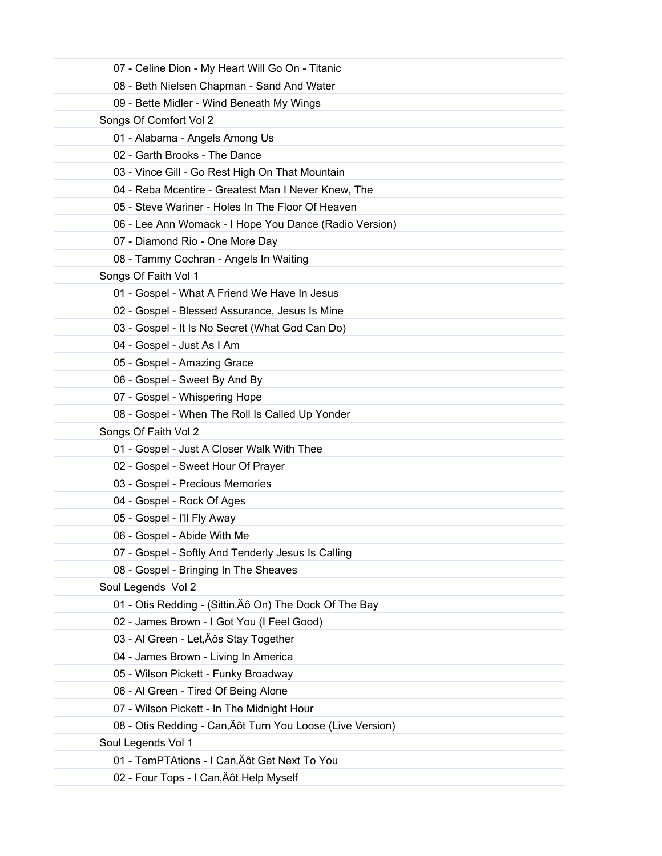| 07 - Celine Dion - My Heart Will Go On - Titanic           |
|------------------------------------------------------------|
| 08 - Beth Nielsen Chapman - Sand And Water                 |
| 09 - Bette Midler - Wind Beneath My Wings                  |
| Songs Of Comfort Vol 2                                     |
| 01 - Alabama - Angels Among Us                             |
| 02 - Garth Brooks - The Dance                              |
| 03 - Vince Gill - Go Rest High On That Mountain            |
| 04 - Reba Mcentire - Greatest Man I Never Knew, The        |
| 05 - Steve Wariner - Holes In The Floor Of Heaven          |
| 06 - Lee Ann Womack - I Hope You Dance (Radio Version)     |
| 07 - Diamond Rio - One More Day                            |
| 08 - Tammy Cochran - Angels In Waiting                     |
| Songs Of Faith Vol 1                                       |
| 01 - Gospel - What A Friend We Have In Jesus               |
| 02 - Gospel - Blessed Assurance, Jesus Is Mine             |
| 03 - Gospel - It Is No Secret (What God Can Do)            |
| 04 - Gospel - Just As I Am                                 |
| 05 - Gospel - Amazing Grace                                |
| 06 - Gospel - Sweet By And By                              |
| 07 - Gospel - Whispering Hope                              |
| 08 - Gospel - When The Roll Is Called Up Yonder            |
| Songs Of Faith Vol 2                                       |
| 01 - Gospel - Just A Closer Walk With Thee                 |
|                                                            |
| 02 - Gospel - Sweet Hour Of Prayer                         |
| 03 - Gospel - Precious Memories                            |
| 04 - Gospel - Rock Of Ages                                 |
| 05 - Gospel - I'll Fly Away                                |
| 06 - Gospel - Abide With Me                                |
| 07 - Gospel - Softly And Tenderly Jesus Is Calling         |
| 08 - Gospel - Bringing In The Sheaves                      |
| Soul Legends Vol 2                                         |
| 01 - Otis Redding - (Sittin, Äô On) The Dock Of The Bay    |
| 02 - James Brown - I Got You (I Feel Good)                 |
| 03 - Al Green - Let, Äôs Stay Together                     |
| 04 - James Brown - Living In America                       |
| 05 - Wilson Pickett - Funky Broadway                       |
| 06 - Al Green - Tired Of Being Alone                       |
| 07 - Wilson Pickett - In The Midnight Hour                 |
| 08 - Otis Redding - Can, Äôt Turn You Loose (Live Version) |
| Soul Legends Vol 1                                         |
| 01 - TemPTAtions - I Can, Äôt Get Next To You              |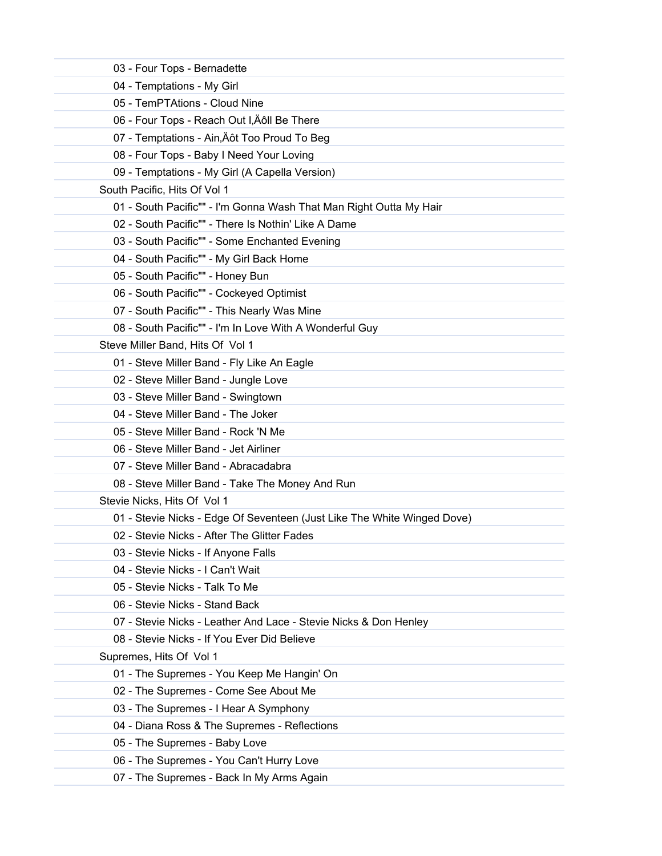| 03 - Four Tops - Bernadette                                             |
|-------------------------------------------------------------------------|
| 04 - Temptations - My Girl                                              |
| 05 - TemPTAtions - Cloud Nine                                           |
| 06 - Four Tops - Reach Out I, Äôll Be There                             |
| 07 - Temptations - Ain, Äôt Too Proud To Beg                            |
| 08 - Four Tops - Baby I Need Your Loving                                |
| 09 - Temptations - My Girl (A Capella Version)                          |
| South Pacific, Hits Of Vol 1                                            |
| 01 - South Pacific"" - I'm Gonna Wash That Man Right Outta My Hair      |
| 02 - South Pacific"" - There Is Nothin' Like A Dame                     |
| 03 - South Pacific"" - Some Enchanted Evening                           |
| 04 - South Pacific"" - My Girl Back Home                                |
| 05 - South Pacific"" - Honey Bun                                        |
| 06 - South Pacific"" - Cockeyed Optimist                                |
| 07 - South Pacific"" - This Nearly Was Mine                             |
| 08 - South Pacific"" - I'm In Love With A Wonderful Guy                 |
| Steve Miller Band, Hits Of Vol 1                                        |
| 01 - Steve Miller Band - Fly Like An Eagle                              |
| 02 - Steve Miller Band - Jungle Love                                    |
| 03 - Steve Miller Band - Swingtown                                      |
| 04 - Steve Miller Band - The Joker                                      |
| 05 - Steve Miller Band - Rock 'N Me                                     |
| 06 - Steve Miller Band - Jet Airliner                                   |
| 07 - Steve Miller Band - Abracadabra                                    |
| 08 - Steve Miller Band - Take The Money And Run                         |
| Stevie Nicks, Hits Of Vol 1                                             |
| 01 - Stevie Nicks - Edge Of Seventeen (Just Like The White Winged Dove) |
| 02 - Stevie Nicks - After The Glitter Fades                             |
| 03 - Stevie Nicks - If Anyone Falls                                     |
| 04 - Stevie Nicks - I Can't Wait                                        |
| 05 - Stevie Nicks - Talk To Me                                          |
| 06 - Stevie Nicks - Stand Back                                          |
| 07 - Stevie Nicks - Leather And Lace - Stevie Nicks & Don Henley        |
| 08 - Stevie Nicks - If You Ever Did Believe                             |
| Supremes, Hits Of Vol 1                                                 |
| 01 - The Supremes - You Keep Me Hangin' On                              |
| 02 - The Supremes - Come See About Me                                   |
| 03 - The Supremes - I Hear A Symphony                                   |
| 04 - Diana Ross & The Supremes - Reflections                            |
| 05 - The Supremes - Baby Love                                           |
| 06 - The Supremes - You Can't Hurry Love                                |
| 07 - The Supremes - Back In My Arms Again                               |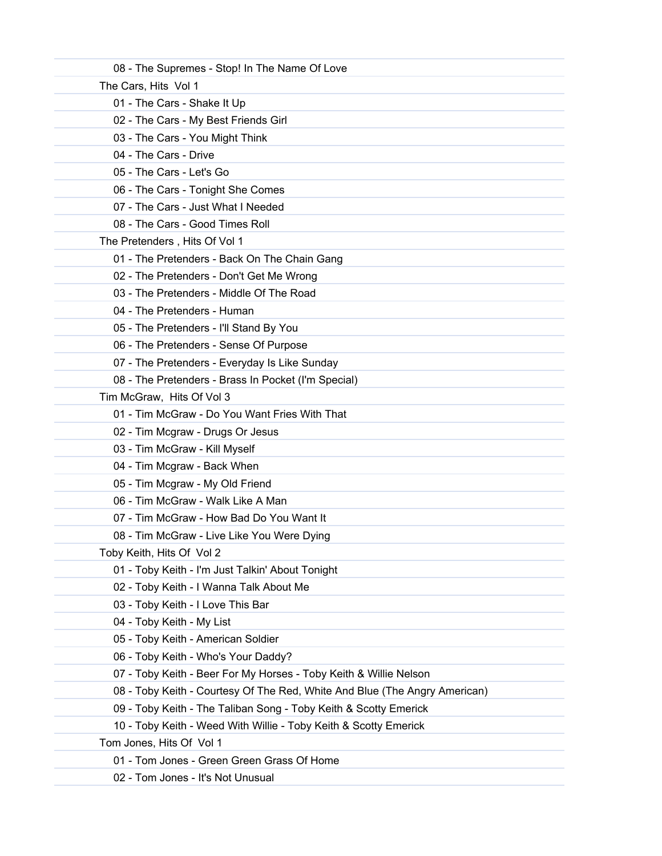| 08 - The Supremes - Stop! In The Name Of Love                              |
|----------------------------------------------------------------------------|
| The Cars, Hits Vol 1                                                       |
| 01 - The Cars - Shake It Up                                                |
| 02 - The Cars - My Best Friends Girl                                       |
| 03 - The Cars - You Might Think                                            |
| 04 - The Cars - Drive                                                      |
| 05 - The Cars - Let's Go                                                   |
| 06 - The Cars - Tonight She Comes                                          |
| 07 - The Cars - Just What I Needed                                         |
| 08 - The Cars - Good Times Roll                                            |
| The Pretenders, Hits Of Vol 1                                              |
| 01 - The Pretenders - Back On The Chain Gang                               |
| 02 - The Pretenders - Don't Get Me Wrong                                   |
| 03 - The Pretenders - Middle Of The Road                                   |
| 04 - The Pretenders - Human                                                |
| 05 - The Pretenders - I'll Stand By You                                    |
| 06 - The Pretenders - Sense Of Purpose                                     |
| 07 - The Pretenders - Everyday Is Like Sunday                              |
| 08 - The Pretenders - Brass In Pocket (I'm Special)                        |
| Tim McGraw, Hits Of Vol 3                                                  |
| 01 - Tim McGraw - Do You Want Fries With That                              |
| 02 - Tim Mcgraw - Drugs Or Jesus                                           |
| 03 - Tim McGraw - Kill Myself                                              |
| 04 - Tim Mcgraw - Back When                                                |
| 05 - Tim Mcgraw - My Old Friend                                            |
| 06 - Tim McGraw - Walk Like A Man                                          |
| 07 - Tim McGraw - How Bad Do You Want It                                   |
| 08 - Tim McGraw - Live Like You Were Dying                                 |
| Toby Keith, Hits Of Vol 2                                                  |
| 01 - Toby Keith - I'm Just Talkin' About Tonight                           |
| 02 - Toby Keith - I Wanna Talk About Me                                    |
| 03 - Toby Keith - I Love This Bar                                          |
| 04 - Toby Keith - My List                                                  |
| 05 - Toby Keith - American Soldier                                         |
| 06 - Toby Keith - Who's Your Daddy?                                        |
| 07 - Toby Keith - Beer For My Horses - Toby Keith & Willie Nelson          |
| 08 - Toby Keith - Courtesy Of The Red, White And Blue (The Angry American) |
| 09 - Toby Keith - The Taliban Song - Toby Keith & Scotty Emerick           |
| 10 - Toby Keith - Weed With Willie - Toby Keith & Scotty Emerick           |
| Tom Jones, Hits Of Vol 1                                                   |
| 01 - Tom Jones - Green Green Grass Of Home                                 |
| 02 - Tom Jones - It's Not Unusual                                          |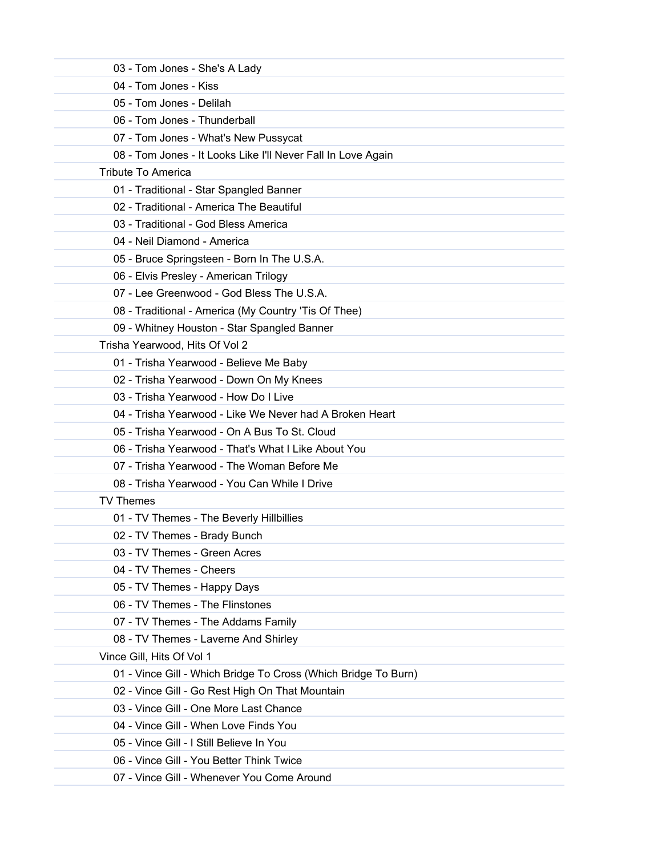| 03 - Tom Jones - She's A Lady                                  |
|----------------------------------------------------------------|
| 04 - Tom Jones - Kiss                                          |
| 05 - Tom Jones - Delilah                                       |
| 06 - Tom Jones - Thunderball                                   |
| 07 - Tom Jones - What's New Pussycat                           |
| 08 - Tom Jones - It Looks Like I'll Never Fall In Love Again   |
| <b>Tribute To America</b>                                      |
| 01 - Traditional - Star Spangled Banner                        |
| 02 - Traditional - America The Beautiful                       |
| 03 - Traditional - God Bless America                           |
| 04 - Neil Diamond - America                                    |
| 05 - Bruce Springsteen - Born In The U.S.A.                    |
| 06 - Elvis Presley - American Trilogy                          |
| 07 - Lee Greenwood - God Bless The U.S.A.                      |
| 08 - Traditional - America (My Country 'Tis Of Thee)           |
| 09 - Whitney Houston - Star Spangled Banner                    |
| Trisha Yearwood, Hits Of Vol 2                                 |
| 01 - Trisha Yearwood - Believe Me Baby                         |
| 02 - Trisha Yearwood - Down On My Knees                        |
| 03 - Trisha Yearwood - How Do I Live                           |
| 04 - Trisha Yearwood - Like We Never had A Broken Heart        |
| 05 - Trisha Yearwood - On A Bus To St. Cloud                   |
| 06 - Trisha Yearwood - That's What I Like About You            |
| 07 - Trisha Yearwood - The Woman Before Me                     |
| 08 - Trisha Yearwood - You Can While I Drive                   |
| <b>TV Themes</b>                                               |
| 01 - TV Themes - The Beverly Hillbillies                       |
| 02 - TV Themes - Brady Bunch                                   |
| 03 - TV Themes - Green Acres                                   |
| 04 - TV Themes - Cheers                                        |
| 05 - TV Themes - Happy Days                                    |
| 06 - TV Themes - The Flinstones                                |
| 07 - TV Themes - The Addams Family                             |
| 08 - TV Themes - Laverne And Shirley                           |
| Vince Gill, Hits Of Vol 1                                      |
| 01 - Vince Gill - Which Bridge To Cross (Which Bridge To Burn) |
| 02 - Vince Gill - Go Rest High On That Mountain                |
| 03 - Vince Gill - One More Last Chance                         |
| 04 - Vince Gill - When Love Finds You                          |
| 05 - Vince Gill - I Still Believe In You                       |
| 06 - Vince Gill - You Better Think Twice                       |
| 07 - Vince Gill - Whenever You Come Around                     |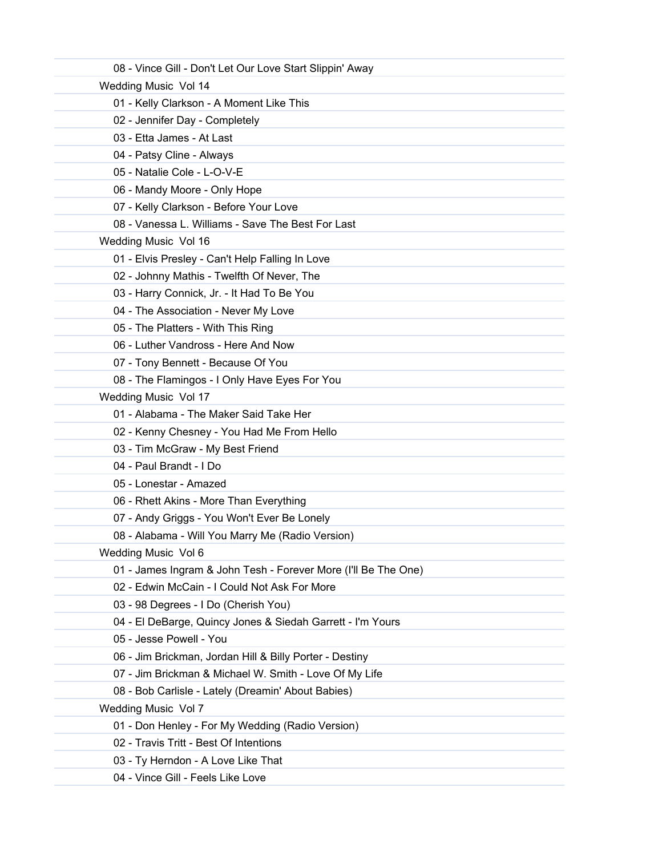| 08 - Vince Gill - Don't Let Our Love Start Slippin' Away       |
|----------------------------------------------------------------|
| Wedding Music Vol 14                                           |
| 01 - Kelly Clarkson - A Moment Like This                       |
| 02 - Jennifer Day - Completely                                 |
| 03 - Etta James - At Last                                      |
| 04 - Patsy Cline - Always                                      |
| 05 - Natalie Cole - L-O-V-E                                    |
| 06 - Mandy Moore - Only Hope                                   |
| 07 - Kelly Clarkson - Before Your Love                         |
| 08 - Vanessa L. Williams - Save The Best For Last              |
| Wedding Music Vol 16                                           |
| 01 - Elvis Presley - Can't Help Falling In Love                |
| 02 - Johnny Mathis - Twelfth Of Never, The                     |
| 03 - Harry Connick, Jr. - It Had To Be You                     |
| 04 - The Association - Never My Love                           |
| 05 - The Platters - With This Ring                             |
| 06 - Luther Vandross - Here And Now                            |
| 07 - Tony Bennett - Because Of You                             |
| 08 - The Flamingos - I Only Have Eyes For You                  |
| Wedding Music Vol 17                                           |
| 01 - Alabama - The Maker Said Take Her                         |
| 02 - Kenny Chesney - You Had Me From Hello                     |
| 03 - Tim McGraw - My Best Friend                               |
| 04 - Paul Brandt - I Do                                        |
| 05 - Lonestar - Amazed                                         |
| 06 - Rhett Akins - More Than Everything                        |
| 07 - Andy Griggs - You Won't Ever Be Lonely                    |
| 08 - Alabama - Will You Marry Me (Radio Version)               |
| Wedding Music Vol 6                                            |
| 01 - James Ingram & John Tesh - Forever More (I'll Be The One) |
| 02 - Edwin McCain - I Could Not Ask For More                   |
| 03 - 98 Degrees - I Do (Cherish You)                           |
| 04 - El DeBarge, Quincy Jones & Siedah Garrett - I'm Yours     |
| 05 - Jesse Powell - You                                        |
| 06 - Jim Brickman, Jordan Hill & Billy Porter - Destiny        |
| 07 - Jim Brickman & Michael W. Smith - Love Of My Life         |
| 08 - Bob Carlisle - Lately (Dreamin' About Babies)             |
| Wedding Music Vol 7                                            |
| 01 - Don Henley - For My Wedding (Radio Version)               |
| 02 - Travis Tritt - Best Of Intentions                         |
| 03 - Ty Herndon - A Love Like That                             |
| 04 - Vince Gill - Feels Like Love                              |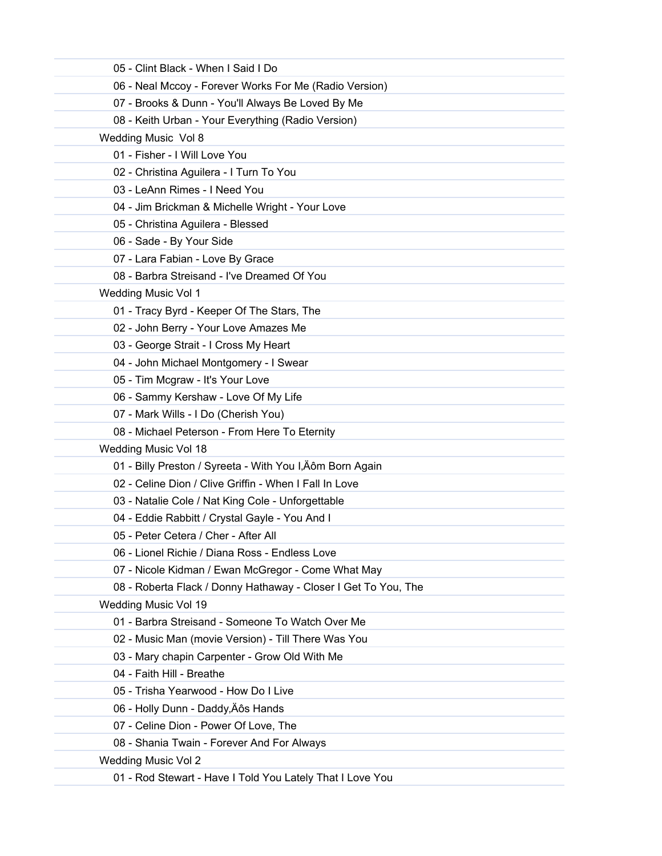| 05 - Clint Black - When I Said I Do                            |
|----------------------------------------------------------------|
| 06 - Neal Mccoy - Forever Works For Me (Radio Version)         |
| 07 - Brooks & Dunn - You'll Always Be Loved By Me              |
| 08 - Keith Urban - Your Everything (Radio Version)             |
| Wedding Music Vol 8                                            |
| 01 - Fisher - I Will Love You                                  |
| 02 - Christina Aguilera - I Turn To You                        |
| 03 - LeAnn Rimes - I Need You                                  |
| 04 - Jim Brickman & Michelle Wright - Your Love                |
| 05 - Christina Aguilera - Blessed                              |
| 06 - Sade - By Your Side                                       |
| 07 - Lara Fabian - Love By Grace                               |
| 08 - Barbra Streisand - I've Dreamed Of You                    |
| Wedding Music Vol 1                                            |
| 01 - Tracy Byrd - Keeper Of The Stars, The                     |
| 02 - John Berry - Your Love Amazes Me                          |
| 03 - George Strait - I Cross My Heart                          |
| 04 - John Michael Montgomery - I Swear                         |
| 05 - Tim Mcgraw - It's Your Love                               |
| 06 - Sammy Kershaw - Love Of My Life                           |
| 07 - Mark Wills - I Do (Cherish You)                           |
| 08 - Michael Peterson - From Here To Eternity                  |
| Wedding Music Vol 18                                           |
| 01 - Billy Preston / Syreeta - With You I, Äôm Born Again      |
| 02 - Celine Dion / Clive Griffin - When I Fall In Love         |
| 03 - Natalie Cole / Nat King Cole - Unforgettable              |
| 04 - Eddie Rabbitt / Crystal Gayle - You And I                 |
| 05 - Peter Cetera / Cher - After All                           |
| 06 - Lionel Richie / Diana Ross - Endless Love                 |
| 07 - Nicole Kidman / Ewan McGregor - Come What May             |
| 08 - Roberta Flack / Donny Hathaway - Closer I Get To You, The |
| Wedding Music Vol 19                                           |
| 01 - Barbra Streisand - Someone To Watch Over Me               |
| 02 - Music Man (movie Version) - Till There Was You            |
| 03 - Mary chapin Carpenter - Grow Old With Me                  |
| 04 - Faith Hill - Breathe                                      |
| 05 - Trisha Yearwood - How Do I Live                           |
| 06 - Holly Dunn - Daddy, Äôs Hands                             |
| 07 - Celine Dion - Power Of Love, The                          |
| 08 - Shania Twain - Forever And For Always                     |
| <b>Wedding Music Vol 2</b>                                     |
| 01 - Rod Stewart - Have I Told You Lately That I Love You      |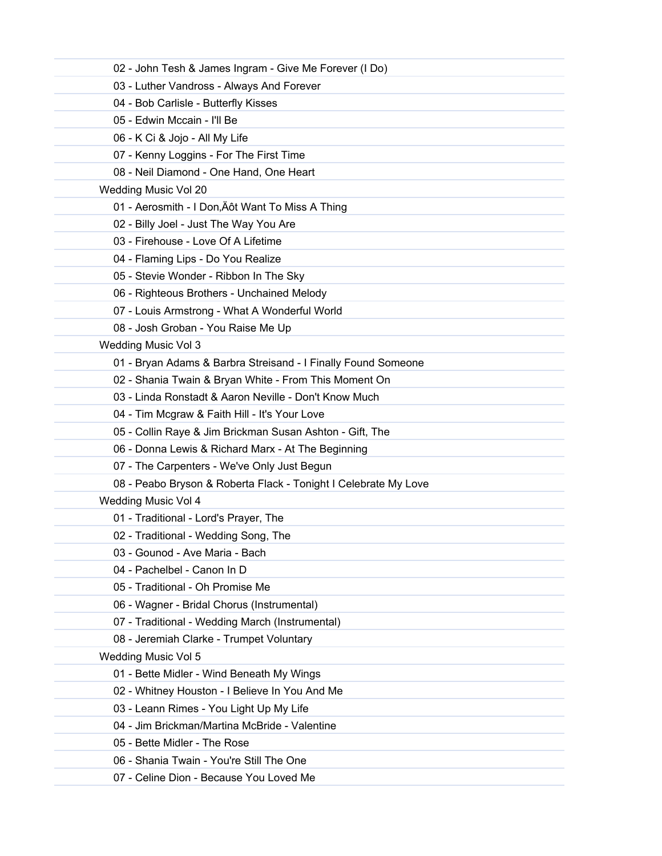| 02 - John Tesh & James Ingram - Give Me Forever (I Do)<br>03 - Luther Vandross - Always And Forever |
|-----------------------------------------------------------------------------------------------------|
| 04 - Bob Carlisle - Butterfly Kisses                                                                |
| 05 - Edwin Mccain - I'll Be                                                                         |
| 06 - K Ci & Jojo - All My Life                                                                      |
| 07 - Kenny Loggins - For The First Time                                                             |
| 08 - Neil Diamond - One Hand, One Heart                                                             |
| Wedding Music Vol 20                                                                                |
| 01 - Aerosmith - I Don, Äôt Want To Miss A Thing                                                    |
| 02 - Billy Joel - Just The Way You Are                                                              |
| 03 - Firehouse - Love Of A Lifetime                                                                 |
| 04 - Flaming Lips - Do You Realize                                                                  |
| 05 - Stevie Wonder - Ribbon In The Sky                                                              |
| 06 - Righteous Brothers - Unchained Melody                                                          |
| 07 - Louis Armstrong - What A Wonderful World                                                       |
| 08 - Josh Groban - You Raise Me Up                                                                  |
| <b>Wedding Music Vol 3</b>                                                                          |
| 01 - Bryan Adams & Barbra Streisand - I Finally Found Someone                                       |
| 02 - Shania Twain & Bryan White - From This Moment On                                               |
| 03 - Linda Ronstadt & Aaron Neville - Don't Know Much                                               |
| 04 - Tim Mcgraw & Faith Hill - It's Your Love                                                       |
| 05 - Collin Raye & Jim Brickman Susan Ashton - Gift, The                                            |
| 06 - Donna Lewis & Richard Marx - At The Beginning                                                  |
| 07 - The Carpenters - We've Only Just Begun                                                         |
| 08 - Peabo Bryson & Roberta Flack - Tonight I Celebrate My Love                                     |
| Wedding Music Vol 4                                                                                 |
| 01 - Traditional - Lord's Prayer, The                                                               |
| 02 - Traditional - Wedding Song, The                                                                |
| 03 - Gounod - Ave Maria - Bach                                                                      |
| 04 - Pachelbel - Canon In D                                                                         |
| 05 - Traditional - Oh Promise Me                                                                    |
| 06 - Wagner - Bridal Chorus (Instrumental)                                                          |
| 07 - Traditional - Wedding March (Instrumental)                                                     |
| 08 - Jeremiah Clarke - Trumpet Voluntary                                                            |
| Wedding Music Vol 5                                                                                 |
| 01 - Bette Midler - Wind Beneath My Wings                                                           |
| 02 - Whitney Houston - I Believe In You And Me                                                      |
| 03 - Leann Rimes - You Light Up My Life                                                             |
| 04 - Jim Brickman/Martina McBride - Valentine                                                       |
| 05 - Bette Midler - The Rose                                                                        |
| 06 - Shania Twain - You're Still The One                                                            |
| 07 - Celine Dion - Because You Loved Me                                                             |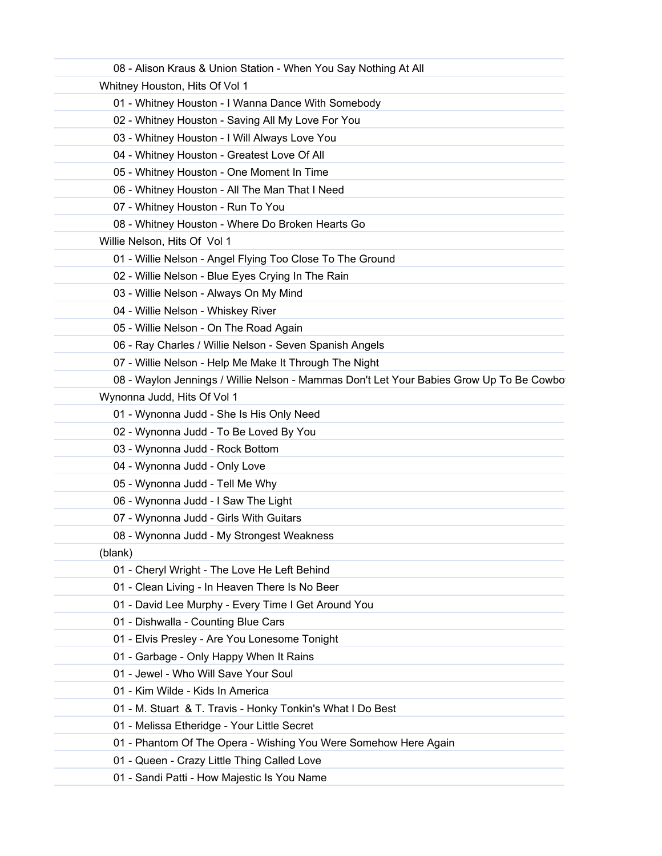| 08 - Alison Kraus & Union Station - When You Say Nothing At All                         |
|-----------------------------------------------------------------------------------------|
| Whitney Houston, Hits Of Vol 1                                                          |
| 01 - Whitney Houston - I Wanna Dance With Somebody                                      |
| 02 - Whitney Houston - Saving All My Love For You                                       |
| 03 - Whitney Houston - I Will Always Love You                                           |
| 04 - Whitney Houston - Greatest Love Of All                                             |
| 05 - Whitney Houston - One Moment In Time                                               |
| 06 - Whitney Houston - All The Man That I Need                                          |
| 07 - Whitney Houston - Run To You                                                       |
| 08 - Whitney Houston - Where Do Broken Hearts Go                                        |
| Willie Nelson, Hits Of Vol 1                                                            |
| 01 - Willie Nelson - Angel Flying Too Close To The Ground                               |
| 02 - Willie Nelson - Blue Eyes Crying In The Rain                                       |
| 03 - Willie Nelson - Always On My Mind                                                  |
| 04 - Willie Nelson - Whiskey River                                                      |
| 05 - Willie Nelson - On The Road Again                                                  |
| 06 - Ray Charles / Willie Nelson - Seven Spanish Angels                                 |
| 07 - Willie Nelson - Help Me Make It Through The Night                                  |
| 08 - Waylon Jennings / Willie Nelson - Mammas Don't Let Your Babies Grow Up To Be Cowbo |
| Wynonna Judd, Hits Of Vol 1                                                             |
| 01 - Wynonna Judd - She Is His Only Need                                                |
| 02 - Wynonna Judd - To Be Loved By You                                                  |
| 03 - Wynonna Judd - Rock Bottom                                                         |
| 04 - Wynonna Judd - Only Love                                                           |
| 05 - Wynonna Judd - Tell Me Why                                                         |
| 06 - Wynonna Judd - I Saw The Light                                                     |
| 07 - Wynonna Judd - Girls With Guitars                                                  |
| 08 - Wynonna Judd - My Strongest Weakness                                               |
| (blank)                                                                                 |
| 01 - Cheryl Wright - The Love He Left Behind                                            |
| 01 - Clean Living - In Heaven There Is No Beer                                          |
| 01 - David Lee Murphy - Every Time I Get Around You                                     |
| 01 - Dishwalla - Counting Blue Cars                                                     |
| 01 - Elvis Presley - Are You Lonesome Tonight                                           |
| 01 - Garbage - Only Happy When It Rains                                                 |
| 01 - Jewel - Who Will Save Your Soul                                                    |
| 01 - Kim Wilde - Kids In America                                                        |
| 01 - M. Stuart & T. Travis - Honky Tonkin's What I Do Best                              |
| 01 - Melissa Etheridge - Your Little Secret                                             |
| 01 - Phantom Of The Opera - Wishing You Were Somehow Here Again                         |
| 01 - Queen - Crazy Little Thing Called Love                                             |
| 01 - Sandi Patti - How Majestic Is You Name                                             |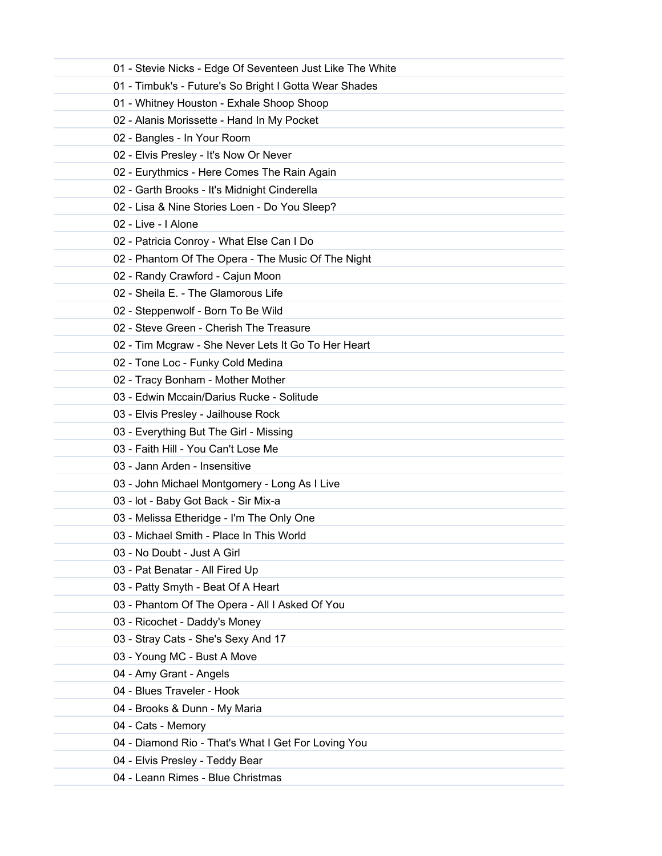| 01 - Stevie Nicks - Edge Of Seventeen Just Like The White |
|-----------------------------------------------------------|
| 01 - Timbuk's - Future's So Bright I Gotta Wear Shades    |
| 01 - Whitney Houston - Exhale Shoop Shoop                 |
| 02 - Alanis Morissette - Hand In My Pocket                |
| 02 - Bangles - In Your Room                               |
| 02 - Elvis Presley - It's Now Or Never                    |
| 02 - Eurythmics - Here Comes The Rain Again               |
| 02 - Garth Brooks - It's Midnight Cinderella              |
| 02 - Lisa & Nine Stories Loen - Do You Sleep?             |
| 02 - Live - I Alone                                       |
| 02 - Patricia Conroy - What Else Can I Do                 |
| 02 - Phantom Of The Opera - The Music Of The Night        |
| 02 - Randy Crawford - Cajun Moon                          |
| 02 - Sheila E. - The Glamorous Life                       |
| 02 - Steppenwolf - Born To Be Wild                        |
| 02 - Steve Green - Cherish The Treasure                   |
| 02 - Tim Mcgraw - She Never Lets It Go To Her Heart       |
| 02 - Tone Loc - Funky Cold Medina                         |
| 02 - Tracy Bonham - Mother Mother                         |
| 03 - Edwin Mccain/Darius Rucke - Solitude                 |
| 03 - Elvis Presley - Jailhouse Rock                       |
| 03 - Everything But The Girl - Missing                    |
| 03 - Faith Hill - You Can't Lose Me                       |
| 03 - Jann Arden - Insensitive                             |
| 03 - John Michael Montgomery - Long As I Live             |
| 03 - lot - Baby Got Back - Sir Mix-a                      |
| 03 - Melissa Etheridge - I'm The Only One                 |
| 03 - Michael Smith - Place In This World                  |
| 03 - No Doubt - Just A Girl                               |
| 03 - Pat Benatar - All Fired Up                           |
| 03 - Patty Smyth - Beat Of A Heart                        |
| 03 - Phantom Of The Opera - All I Asked Of You            |
| 03 - Ricochet - Daddy's Money                             |
| 03 - Stray Cats - She's Sexy And 17                       |
| 03 - Young MC - Bust A Move                               |
| 04 - Amy Grant - Angels                                   |
| 04 - Blues Traveler - Hook                                |
| 04 - Brooks & Dunn - My Maria                             |
| 04 - Cats - Memory                                        |
| 04 - Diamond Rio - That's What I Get For Loving You       |
| 04 - Elvis Presley - Teddy Bear                           |
| 04 - Leann Rimes - Blue Christmas                         |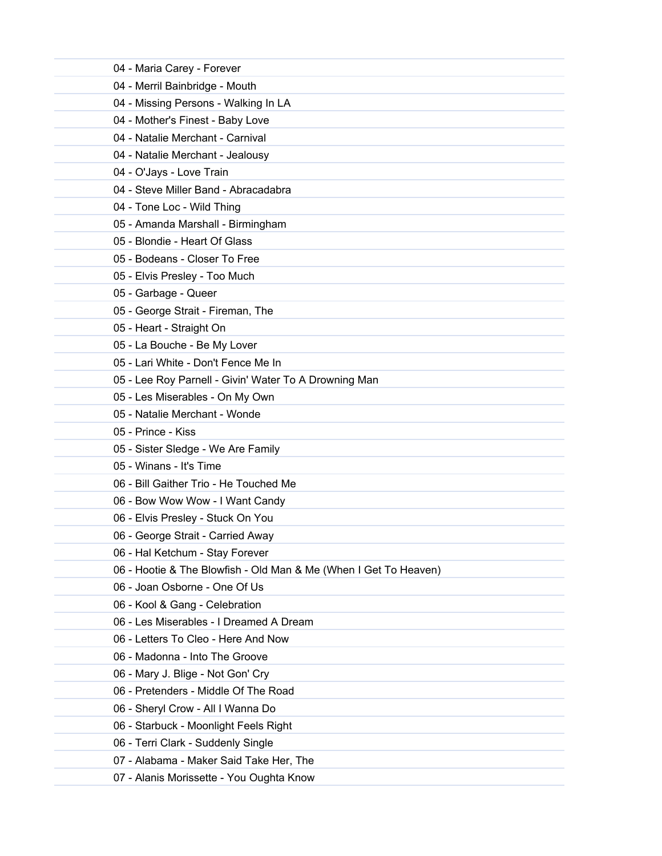| 04 - Maria Carey - Forever                                       |  |
|------------------------------------------------------------------|--|
| 04 - Merril Bainbridge - Mouth                                   |  |
| 04 - Missing Persons - Walking In LA                             |  |
| 04 - Mother's Finest - Baby Love                                 |  |
| 04 - Natalie Merchant - Carnival                                 |  |
| 04 - Natalie Merchant - Jealousy                                 |  |
| 04 - O'Jays - Love Train                                         |  |
| 04 - Steve Miller Band - Abracadabra                             |  |
| 04 - Tone Loc - Wild Thing                                       |  |
| 05 - Amanda Marshall - Birmingham                                |  |
| 05 - Blondie - Heart Of Glass                                    |  |
| 05 - Bodeans - Closer To Free                                    |  |
| 05 - Elvis Presley - Too Much                                    |  |
| 05 - Garbage - Queer                                             |  |
| 05 - George Strait - Fireman, The                                |  |
| 05 - Heart - Straight On                                         |  |
| 05 - La Bouche - Be My Lover                                     |  |
| 05 - Lari White - Don't Fence Me In                              |  |
| 05 - Lee Roy Parnell - Givin' Water To A Drowning Man            |  |
| 05 - Les Miserables - On My Own                                  |  |
| 05 - Natalie Merchant - Wonde                                    |  |
| 05 - Prince - Kiss                                               |  |
| 05 - Sister Sledge - We Are Family                               |  |
| 05 - Winans - It's Time                                          |  |
| 06 - Bill Gaither Trio - He Touched Me                           |  |
| 06 - Bow Wow Wow - I Want Candy                                  |  |
| 06 - Elvis Presley - Stuck On You                                |  |
| 06 - George Strait - Carried Away                                |  |
| 06 - Hal Ketchum - Stay Forever                                  |  |
| 06 - Hootie & The Blowfish - Old Man & Me (When I Get To Heaven) |  |
| 06 - Joan Osborne - One Of Us                                    |  |
| 06 - Kool & Gang - Celebration                                   |  |
| 06 - Les Miserables - I Dreamed A Dream                          |  |
| 06 - Letters To Cleo - Here And Now                              |  |
| 06 - Madonna - Into The Groove                                   |  |
| 06 - Mary J. Blige - Not Gon' Cry                                |  |
| 06 - Pretenders - Middle Of The Road                             |  |
| 06 - Sheryl Crow - All I Wanna Do                                |  |
| 06 - Starbuck - Moonlight Feels Right                            |  |
| 06 - Terri Clark - Suddenly Single                               |  |
| 07 - Alabama - Maker Said Take Her, The                          |  |
| 07 - Alanis Morissette - You Oughta Know                         |  |